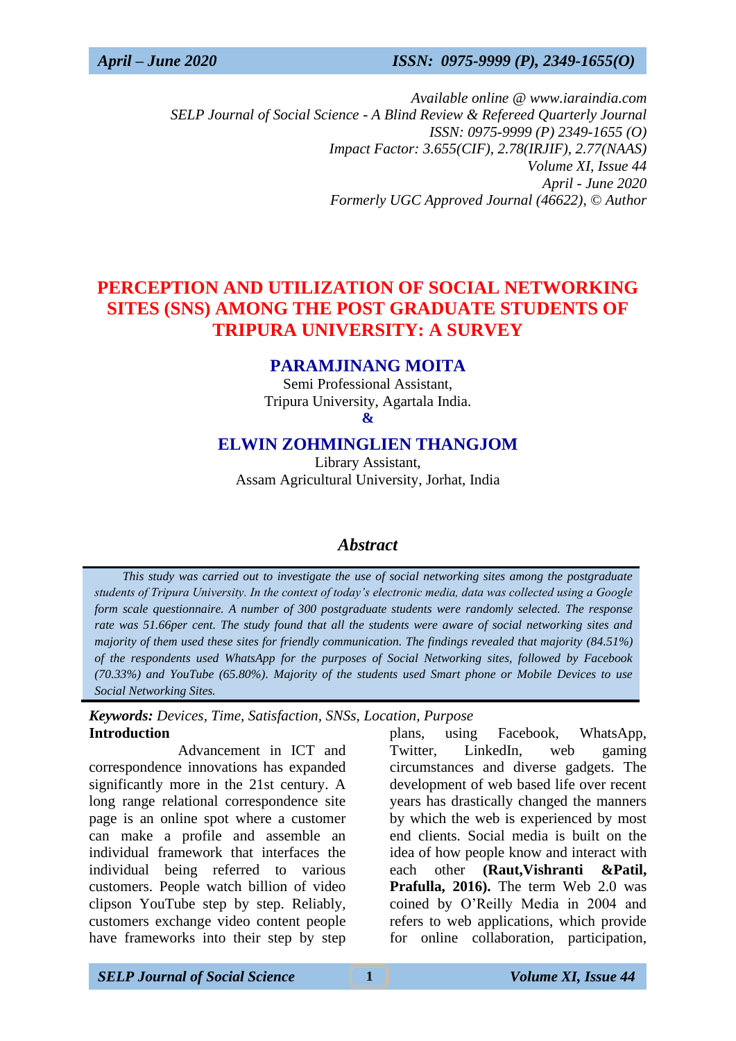*Available online @ www.iaraindia.com SELP Journal of Social Science - A Blind Review & Refereed Quarterly Journal ISSN: 0975-9999 (P) 2349-1655 (O) Impact Factor: 3.655(CIF), 2.78(IRJIF), 2.77(NAAS) Volume XI, Issue 44 April - June 2020 Formerly UGC Approved Journal (46622),* © *Author*

# **PERCEPTION AND UTILIZATION OF SOCIAL NETWORKING SITES (SNS) AMONG THE POST GRADUATE STUDENTS OF TRIPURA UNIVERSITY: A SURVEY**

## **PARAMJINANG MOITA**

Semi Professional Assistant, Tripura University, Agartala India. **&**

## **ELWIN ZOHMINGLIEN THANGJOM**

Library Assistant, Assam Agricultural University, Jorhat, India

## *Abstract*

 *This study was carried out to investigate the use of social networking sites among the postgraduate students of Tripura University. In the context of today's electronic media, data was collected using a Google form scale questionnaire. A number of 300 postgraduate students were randomly selected. The response rate was 51.66per cent. The study found that all the students were aware of social networking sites and majority of them used these sites for friendly communication. The findings revealed that majority (84.51%) of the respondents used WhatsApp for the purposes of Social Networking sites, followed by Facebook (70.33%) and YouTube (65.80%). Majority of the students used Smart phone or Mobile Devices to use Social Networking Sites.*

*Keywords: Devices, Time, Satisfaction, SNSs, Location, Purpose* **Introduction**

Advancement in ICT and correspondence innovations has expanded significantly more in the 21st century. A long range relational correspondence site page is an online spot where a customer can make a profile and assemble an individual framework that interfaces the individual being referred to various customers. People watch billion of video clipson YouTube step by step. Reliably, customers exchange video content people have frameworks into their step by step plans, using Facebook, WhatsApp, Twitter, LinkedIn, web gaming circumstances and diverse gadgets. The development of web based life over recent years has drastically changed the manners by which the web is experienced by most end clients. Social media is built on the idea of how people know and interact with each other **(Raut,Vishranti &Patil, Prafulla, 2016).** The term Web 2.0 was coined by O'Reilly Media in 2004 and refers to web applications, which provide for online collaboration, participation,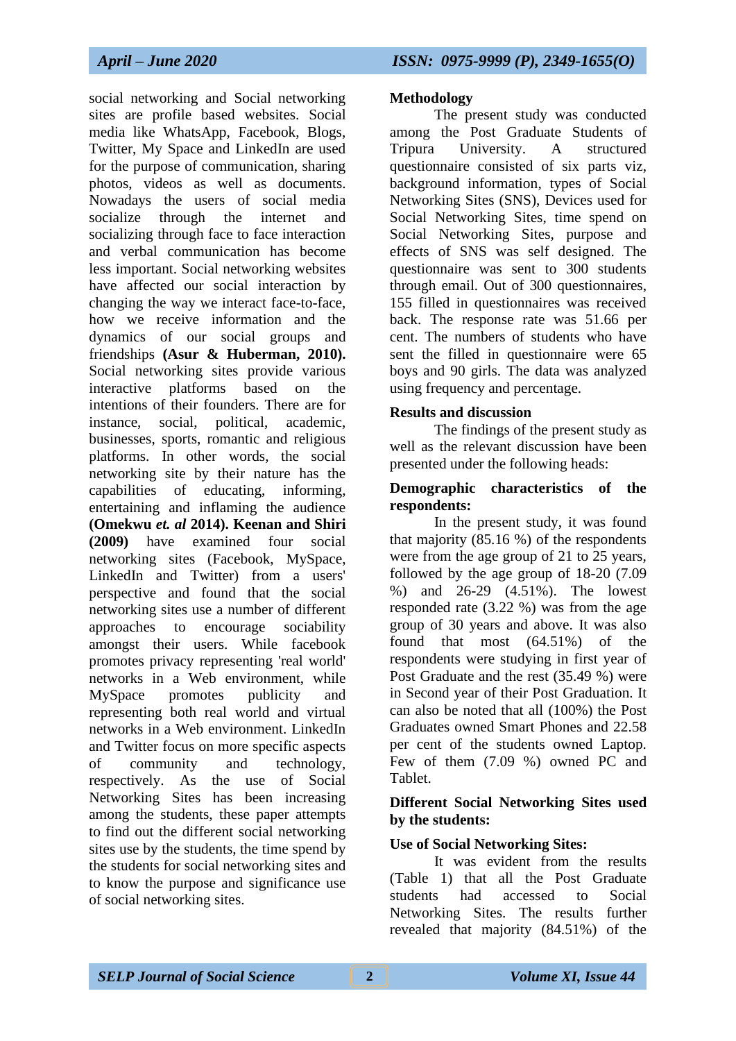social networking and Social networking sites are profile based websites. Social media like WhatsApp, Facebook, Blogs, Twitter, My Space and LinkedIn are used for the purpose of communication, sharing photos, videos as well as documents. Nowadays the users of social media socialize through the internet and socializing through face to face interaction and verbal communication has become less important. Social networking websites have affected our social interaction by changing the way we interact face-to-face, how we receive information and the dynamics of our social groups and friendships **(Asur & Huberman, 2010).** Social networking sites provide various interactive platforms based on the intentions of their founders. There are for instance, social, political, academic, businesses, sports, romantic and religious platforms. In other words, the social networking site by their nature has the capabilities of educating, informing, entertaining and inflaming the audience **(Omekwu** *et. al* **2014). Keenan and Shiri (2009)** have examined four social networking sites (Facebook, MySpace, LinkedIn and Twitter) from a users' perspective and found that the social networking sites use a number of different approaches to encourage sociability amongst their users. While facebook promotes privacy representing 'real world' networks in a Web environment, while MySpace promotes publicity and representing both real world and virtual networks in a Web environment. LinkedIn and Twitter focus on more specific aspects of community and technology, respectively. As the use of Social Networking Sites has been increasing among the students, these paper attempts to find out the different social networking sites use by the students, the time spend by the students for social networking sites and to know the purpose and significance use of social networking sites.

#### **Methodology**

The present study was conducted among the Post Graduate Students of Tripura University. A structured questionnaire consisted of six parts viz, background information, types of Social Networking Sites (SNS), Devices used for Social Networking Sites, time spend on Social Networking Sites, purpose and effects of SNS was self designed. The questionnaire was sent to 300 students through email. Out of 300 questionnaires, 155 filled in questionnaires was received back. The response rate was 51.66 per cent. The numbers of students who have sent the filled in questionnaire were 65 boys and 90 girls. The data was analyzed using frequency and percentage.

#### **Results and discussion**

The findings of the present study as well as the relevant discussion have been presented under the following heads:

#### **Demographic characteristics of the respondents:**

In the present study, it was found that majority (85.16 %) of the respondents were from the age group of 21 to 25 years, followed by the age group of 18-20 (7.09 %) and 26-29 (4.51%). The lowest responded rate (3.22 %) was from the age group of 30 years and above. It was also found that most (64.51%) of the respondents were studying in first year of Post Graduate and the rest (35.49 %) were in Second year of their Post Graduation. It can also be noted that all (100%) the Post Graduates owned Smart Phones and 22.58 per cent of the students owned Laptop. Few of them (7.09 %) owned PC and Tablet.

## **Different Social Networking Sites used by the students:**

## **Use of Social Networking Sites:**

It was evident from the results (Table 1) that all the Post Graduate students had accessed to Social Networking Sites. The results further revealed that majority (84.51%) of the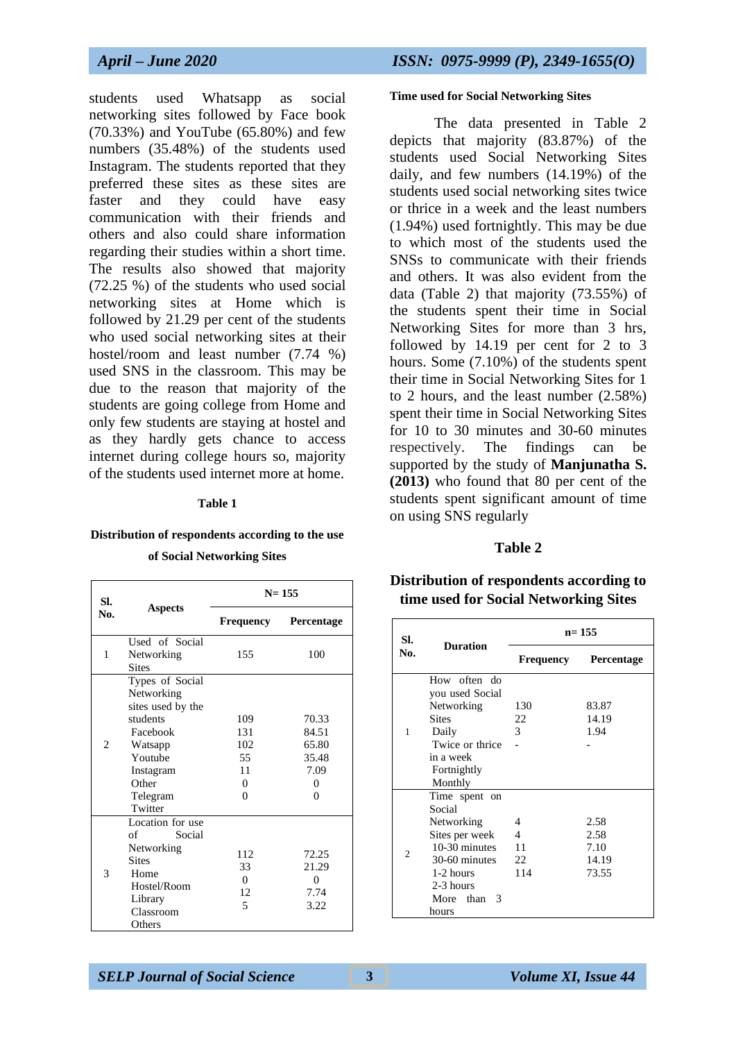students used Whatsapp as social networking sites followed by Face book (70.33%) and YouTube (65.80%) and few numbers (35.48%) of the students used Instagram. The students reported that they preferred these sites as these sites are faster and they could have easy communication with their friends and others and also could share information regarding their studies within a short time. The results also showed that majority (72.25 %) of the students who used social networking sites at Home which is followed by 21.29 per cent of the students who used social networking sites at their hostel/room and least number (7.74 %) used SNS in the classroom. This may be due to the reason that majority of the students are going college from Home and only few students are staying at hostel and as they hardly gets chance to access internet during college hours so, majority of the students used internet more at home.

#### **Table 1**

#### **Distribution of respondents according to the use**

**of Social Networking Sites**

| SI.            | <b>Aspects</b>                                                                                                                                | $N = 155$                                             |                                                                  |
|----------------|-----------------------------------------------------------------------------------------------------------------------------------------------|-------------------------------------------------------|------------------------------------------------------------------|
| No.            |                                                                                                                                               | Frequency                                             | Percentage                                                       |
| 1              | Used of Social<br>Networking<br><b>Sites</b>                                                                                                  | 155                                                   | 100                                                              |
| $\mathfrak{D}$ | Types of Social<br>Networking<br>sites used by the<br>students<br>Facebook<br>Watsapp<br>Youtube<br>Instagram<br>Other<br>Telegram<br>Twitter | 109<br>131<br>102<br>55<br>11<br>$\Omega$<br>$\Omega$ | 70.33<br>84.51<br>65.80<br>35.48<br>7.09<br>$\Omega$<br>$\Omega$ |
| 3              | Location for use<br>of<br>Social<br>Networking<br><b>Sites</b><br>Home<br>Hostel/Room<br>Library<br>Classroom<br>Others                       | 112<br>33<br>$\Omega$<br>12<br>$\overline{5}$         | 72.25<br>21.29<br>$\theta$<br>7.74<br>3.22                       |

#### **Time used for Social Networking Sites**

The data presented in Table 2 depicts that majority (83.87%) of the students used Social Networking Sites daily, and few numbers (14.19%) of the students used social networking sites twice or thrice in a week and the least numbers (1.94%) used fortnightly. This may be due to which most of the students used the SNSs to communicate with their friends and others. It was also evident from the data (Table 2) that majority (73.55%) of the students spent their time in Social Networking Sites for more than 3 hrs, followed by 14.19 per cent for 2 to 3 hours. Some (7.10%) of the students spent their time in Social Networking Sites for 1 to 2 hours, and the least number (2.58%) spent their time in Social Networking Sites for 10 to 30 minutes and 30-60 minutes respectively. The findings can be supported by the study of **Manjunatha S. (2013)** who found that 80 per cent of the students spent significant amount of time on using SNS regularly

#### **Table 2**

#### **Distribution of respondents according to time used for Social Networking Sites**

| SI.            | <b>Duration</b>                                                                                                                             | $n = 155$                 |                                        |  |
|----------------|---------------------------------------------------------------------------------------------------------------------------------------------|---------------------------|----------------------------------------|--|
| No.            |                                                                                                                                             | Frequency                 | Percentage                             |  |
| 1              | How often do<br>you used Social<br>Networking<br><b>Sites</b><br>Daily<br>Twice or thrice<br>in a week<br>Fortnightly<br>Monthly            | 130<br>22<br>3            | 83.87<br>14.19<br>1.94                 |  |
| $\overline{c}$ | Time spent on<br>Social<br>Networking<br>Sites per week<br>10-30 minutes<br>30-60 minutes<br>1-2 hours<br>2-3 hours<br>More than 3<br>hours | 4<br>4<br>11<br>22<br>114 | 2.58<br>2.58<br>7.10<br>14.19<br>73.55 |  |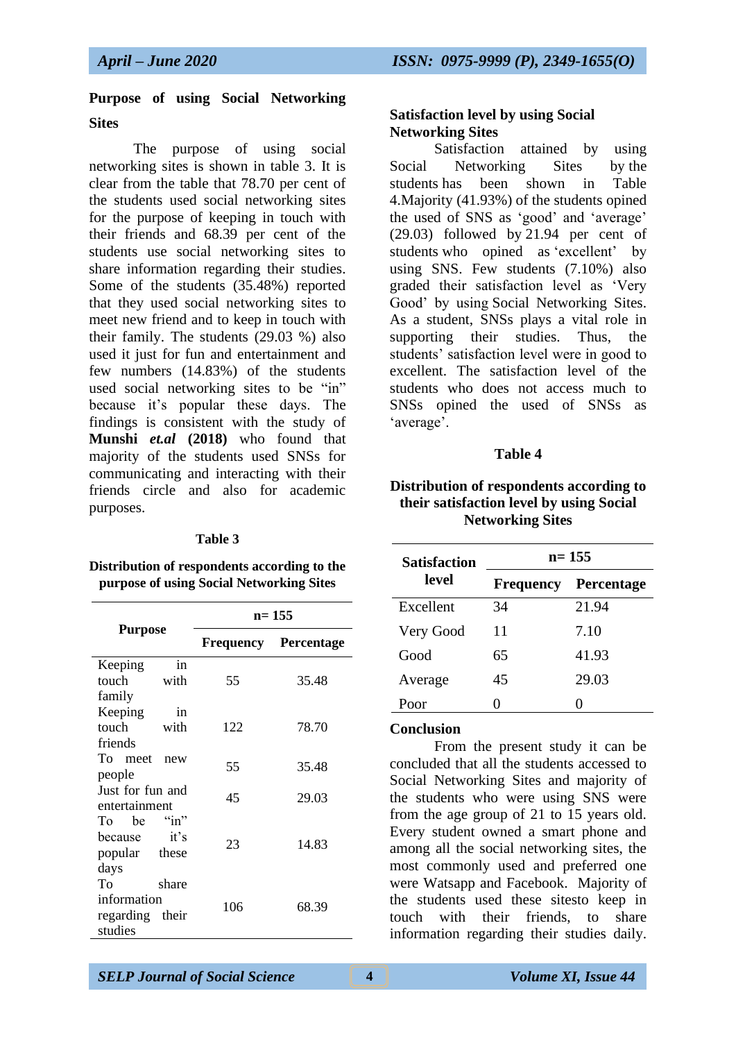## **Purpose of using Social Networking Sites**

The purpose of using social networking sites is shown in table 3. It is clear from the table that 78.70 per cent of the students used social networking sites for the purpose of keeping in touch with their friends and 68.39 per cent of the students use social networking sites to share information regarding their studies. Some of the students (35.48%) reported that they used social networking sites to meet new friend and to keep in touch with their family. The students (29.03 %) also used it just for fun and entertainment and few numbers (14.83%) of the students used social networking sites to be "in" because it's popular these days. The findings is consistent with the study of **Munshi** *et.al* **(2018)** who found that majority of the students used SNSs for communicating and interacting with their friends circle and also for academic purposes.

#### **Table 3**

**Distribution of respondents according to the purpose of using Social Networking Sites**

|                  | $n = 155$    |            |  |
|------------------|--------------|------------|--|
| <b>Purpose</b>   | Frequency    | Percentage |  |
| in<br>Keeping    |              |            |  |
| touch<br>with    | 55           | 35.48      |  |
| family           |              |            |  |
| Keeping<br>in    |              |            |  |
| touch<br>with    | 122          | 78.70      |  |
| friends          |              |            |  |
| To meet<br>new   | 55           | 35.48      |  |
| people           |              |            |  |
| Just for fun and | 45           | 29.03      |  |
| entertainment    |              |            |  |
| To be            |              |            |  |
| it's<br>because  | 23           | 14.83      |  |
| popular these    |              |            |  |
| days             |              |            |  |
| Tο<br>share      |              |            |  |
| information      | 106<br>68.39 |            |  |
| regarding their  |              |            |  |
| studies          |              |            |  |

#### **Satisfaction level by using Social Networking Sites**

Satisfaction attained by using Social Networking Sites by the students has been shown in Table 4.Majority (41.93%) of the students opined the used of SNS as 'good' and 'average' (29.03) followed by 21.94 per cent of students who opined as 'excellent' by using SNS. Few students (7.10%) also graded their satisfaction level as 'Very Good' by using Social Networking Sites. As a student, SNSs plays a vital role in supporting their studies. Thus, the students' satisfaction level were in good to excellent. The satisfaction level of the students who does not access much to SNSs opined the used of SNSs as 'average'.

#### **Table 4**

#### **Distribution of respondents according to their satisfaction level by using Social Networking Sites**

| <b>Satisfaction</b> | $n=155$          |                   |  |
|---------------------|------------------|-------------------|--|
| level               | <b>Frequency</b> | <b>Percentage</b> |  |
| Excellent           | 34               | 21.94             |  |
| Very Good           | 11               | 7.10              |  |
| Good                | 65               | 41.93             |  |
| Average             | 45               | 29.03             |  |
| Poor                |                  |                   |  |

#### **Conclusion**

From the present study it can be concluded that all the students accessed to Social Networking Sites and majority of the students who were using SNS were from the age group of 21 to 15 years old. Every student owned a smart phone and among all the social networking sites, the most commonly used and preferred one were Watsapp and Facebook. Majority of the students used these sitesto keep in touch with their friends to share information regarding their studies daily.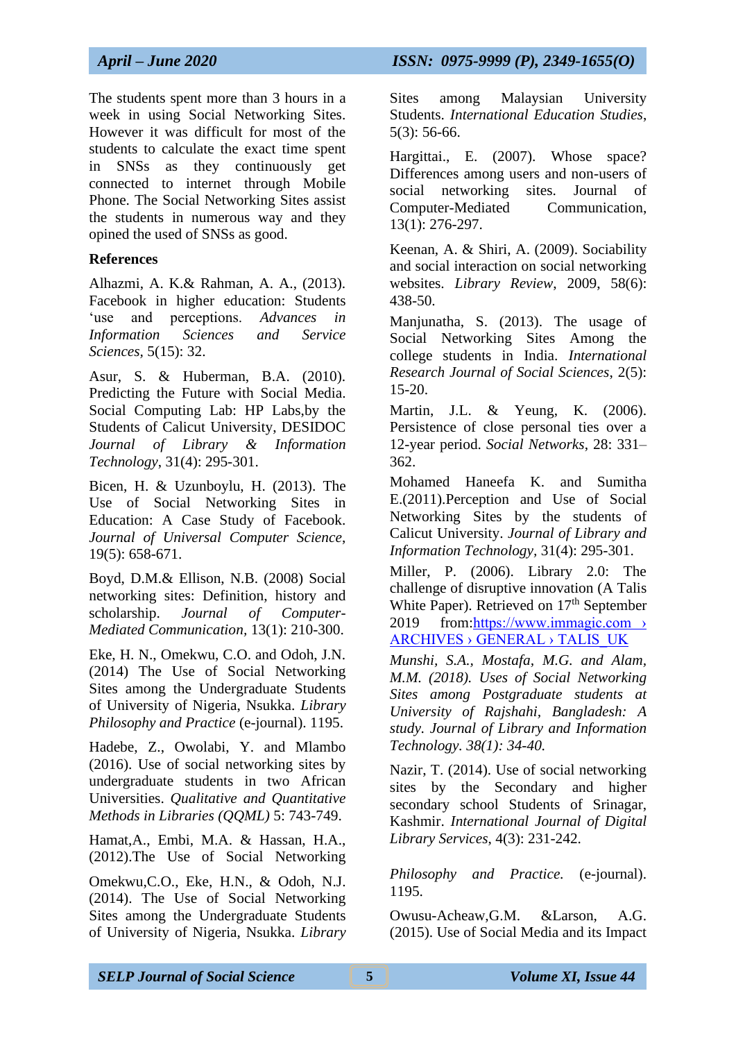The students spent more than 3 hours in a week in using Social Networking Sites. However it was difficult for most of the students to calculate the exact time spent in SNSs as they continuously get connected to internet through Mobile Phone. The Social Networking Sites assist the students in numerous way and they opined the used of SNSs as good.

#### **References**

Alhazmi, A. K.& Rahman, A. A., (2013). Facebook in higher education: Students 'use and perceptions. *Advances in Information Sciences and Service Sciences,* 5(15): 32.

Asur, S. & Huberman, B.A. (2010). Predicting the Future with Social Media. Social Computing Lab: HP Labs,by the Students of Calicut University, DESIDOC *Journal of Library & Information Technology*, 31(4): 295-301.

Bicen, H. & Uzunboylu, H. (2013). The Use of Social Networking Sites in Education: A Case Study of Facebook. *Journal of Universal Computer Science*, 19(5): 658-671.

Boyd, D.M.& Ellison, N.B. (2008) Social networking sites: Definition, history and scholarship. *Journal of Computer-Mediated Communication,* 13(1): 210-300.

Eke, H. N., Omekwu, C.O. and Odoh, J.N. (2014) The Use of Social Networking Sites among the Undergraduate Students of University of Nigeria, Nsukka. *Library Philosophy and Practice* (e-journal). 1195.

Hadebe, Z., Owolabi, Y. and Mlambo (2016). Use of social networking sites by undergraduate students in two African Universities. *Qualitative and Quantitative Methods in Libraries (QQML)* 5: 743-749.

Hamat,A., Embi, M.A. & Hassan, H.A., (2012).The Use of Social Networking

Omekwu,C.O., Eke, H.N., & Odoh, N.J. (2014). The Use of Social Networking Sites among the Undergraduate Students of University of Nigeria, Nsukka. *Library*  Sites among Malaysian University Students. *International Education Studies*, 5(3): 56-66.

Hargittai., E. (2007). Whose space? Differences among users and non-users of social networking sites. Journal of Computer-Mediated Communication, 13(1): 276-297.

Keenan, A. & Shiri, A. (2009). Sociability and social interaction on social networking websites. *Library Review*, 2009, 58(6): 438-50.

Manjunatha, S. (2013). The usage of Social Networking Sites Among the college students in India. *International Research Journal of Social Sciences*, 2(5): 15-20.

Martin, J.L. & Yeung, K. (2006). Persistence of close personal ties over a 12-year period. *Social Networks*, 28: 331– 362.

Mohamed Haneefa K. and Sumitha E.(2011).Perception and Use of Social Networking Sites by the students of Calicut University. *Journal of Library and Information Technology,* 31(4): 295-301.

Miller, P. (2006). Library 2.0: The challenge of disruptive innovation (A Talis White Paper). Retrieved on 17<sup>th</sup> September 2019 from:https://www.immagic.com › ARCHIVES › GENERAL › TALIS\_UK

*Munshi, S.A., Mostafa, M.G. and Alam, M.M. (2018). Uses of Social Networking Sites among Postgraduate students at University of Rajshahi, Bangladesh: A study. Journal of Library and Information Technology. 38(1): 34-40.*

Nazir, T. (2014). Use of social networking sites by the Secondary and higher secondary school Students of Srinagar, Kashmir. *International Journal of Digital Library Services*, 4(3): 231-242.

*Philosophy and Practice.* (e-journal). 1195.

Owusu-Acheaw,G.M. &Larson, A.G. (2015). Use of Social Media and its Impact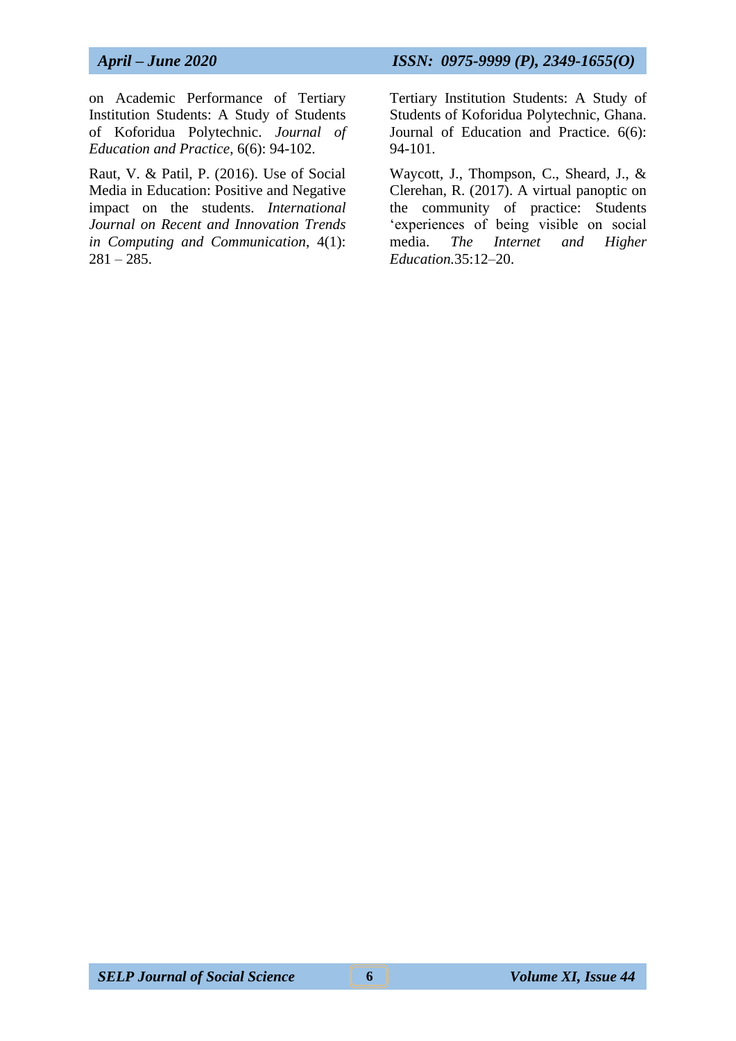on Academic Performance of Tertiary Institution Students: A Study of Students of Koforidua Polytechnic. *Journal of Education and Practice*, 6(6): 94-102.

Raut, V. & Patil, P. (2016). Use of Social Media in Education: Positive and Negative impact on the students. *International Journal on Recent and Innovation Trends in Computing and Communication*, 4(1):  $281 - 285.$ 

Tertiary Institution Students: A Study of Students of Koforidua Polytechnic, Ghana. Journal of Education and Practice. 6(6): 94-101.

Waycott, J., Thompson, C., Sheard, J., & Clerehan, R. (2017). A virtual panoptic on the community of practice: Students 'experiences of being visible on social media. *The Internet and Higher Education.*35:12–20.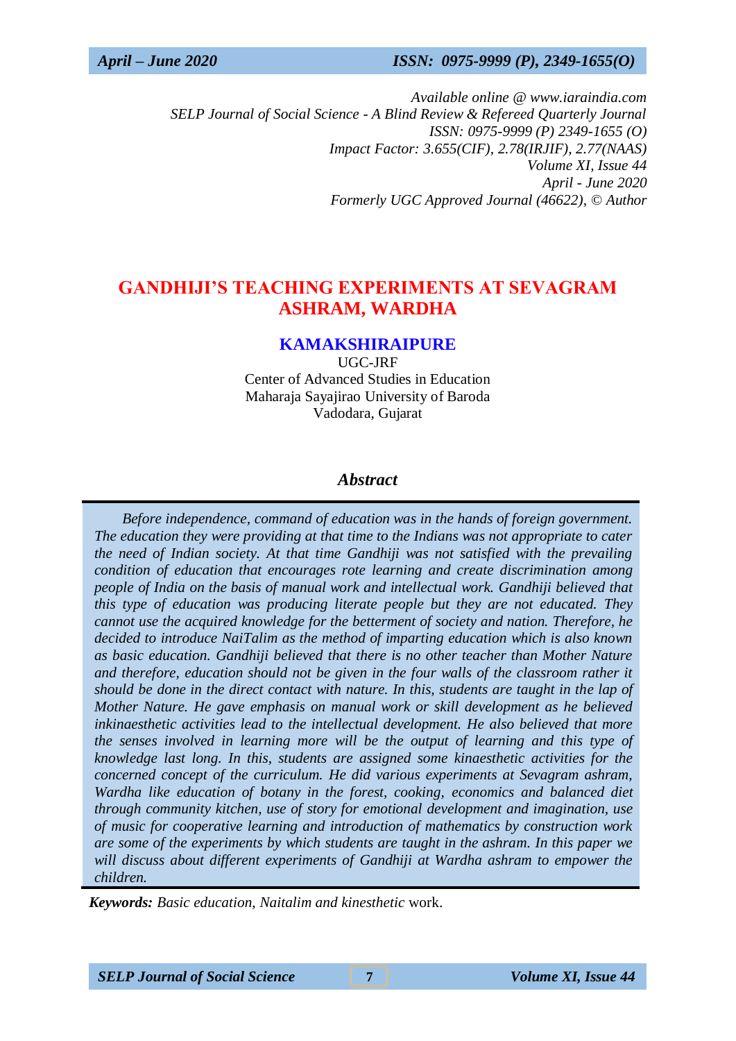*Available online @ www.iaraindia.com SELP Journal of Social Science - A Blind Review & Refereed Quarterly Journal ISSN: 0975-9999 (P) 2349-1655 (O) Impact Factor: 3.655(CIF), 2.78(IRJIF), 2.77(NAAS) Volume XI, Issue 44 April - June 2020 Formerly UGC Approved Journal (46622),* © *Author*

# **GANDHIJI'S TEACHING EXPERIMENTS AT SEVAGRAM ASHRAM, WARDHA**

#### **KAMAKSHIRAIPURE**

UGC-JRF Center of Advanced Studies in Education Maharaja Sayajirao University of Baroda Vadodara, Gujarat

## *Abstract*

 *Before independence, command of education was in the hands of foreign government. The education they were providing at that time to the Indians was not appropriate to cater the need of Indian society. At that time Gandhiji was not satisfied with the prevailing condition of education that encourages rote learning and create discrimination among people of India on the basis of manual work and intellectual work. Gandhiji believed that this type of education was producing literate people but they are not educated. They cannot use the acquired knowledge for the betterment of society and nation. Therefore, he decided to introduce NaiTalim as the method of imparting education which is also known as basic education. Gandhiji believed that there is no other teacher than Mother Nature and therefore, education should not be given in the four walls of the classroom rather it should be done in the direct contact with nature. In this, students are taught in the lap of Mother Nature. He gave emphasis on manual work or skill development as he believed inkinaesthetic activities lead to the intellectual development. He also believed that more the senses involved in learning more will be the output of learning and this type of knowledge last long. In this, students are assigned some kinaesthetic activities for the concerned concept of the curriculum. He did various experiments at Sevagram ashram, Wardha like education of botany in the forest, cooking, economics and balanced diet through community kitchen, use of story for emotional development and imagination, use of music for cooperative learning and introduction of mathematics by construction work are some of the experiments by which students are taught in the ashram. In this paper we will discuss about different experiments of Gandhiji at Wardha ashram to empower the children.*

*Keywords: Basic education, Naitalim and kinesthetic* work.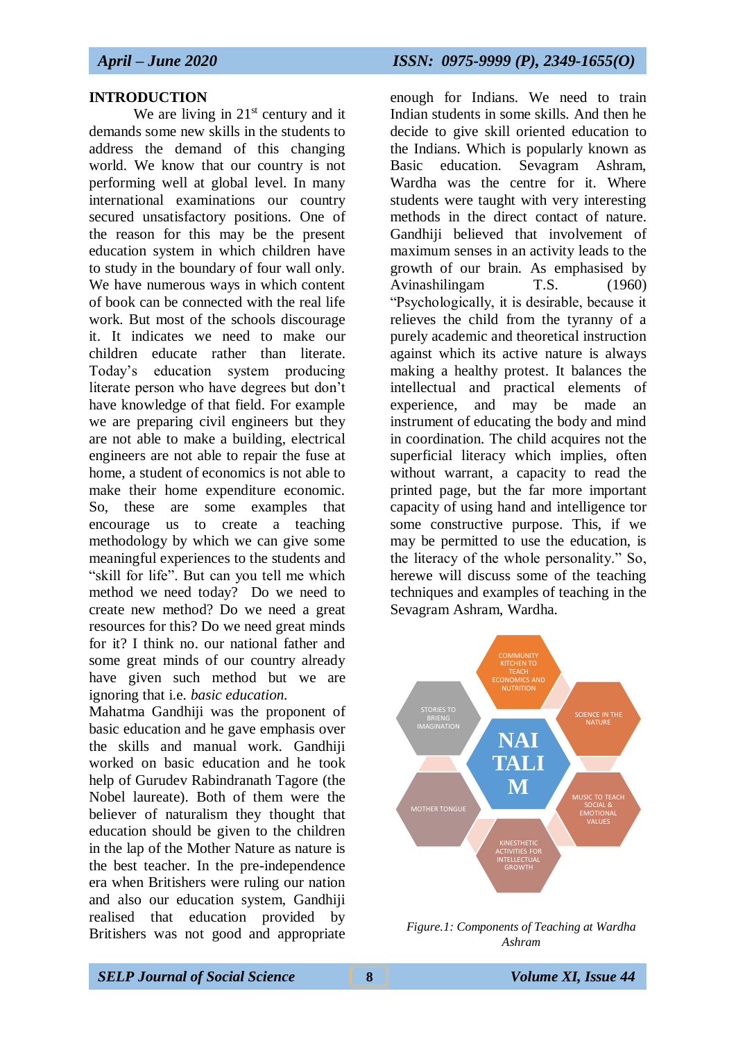#### **INTRODUCTION**

We are living in  $21<sup>st</sup>$  century and it demands some new skills in the students to address the demand of this changing world. We know that our country is not performing well at global level. In many international examinations our country secured unsatisfactory positions. One of the reason for this may be the present education system in which children have to study in the boundary of four wall only. We have numerous ways in which content of book can be connected with the real life work. But most of the schools discourage it. It indicates we need to make our children educate rather than literate. Today's education system producing literate person who have degrees but don't have knowledge of that field. For example we are preparing civil engineers but they are not able to make a building, electrical engineers are not able to repair the fuse at home, a student of economics is not able to make their home expenditure economic. So, these are some examples that encourage us to create a teaching methodology by which we can give some meaningful experiences to the students and "skill for life". But can you tell me which method we need today? Do we need to create new method? Do we need a great resources for this? Do we need great minds for it? I think no. our national father and some great minds of our country already have given such method but we are ignoring that i.e. *basic education.* 

Mahatma Gandhiji was the proponent of basic education and he gave emphasis over the skills and manual work. Gandhiji worked on basic education and he took help of Gurudev Rabindranath Tagore (the Nobel laureate). Both of them were the believer of naturalism they thought that education should be given to the children in the lap of the Mother Nature as nature is the best teacher. In the pre-independence era when Britishers were ruling our nation and also our education system, Gandhiji realised that education provided by Britishers was not good and appropriate

enough for Indians. We need to train Indian students in some skills. And then he decide to give skill oriented education to the Indians. Which is popularly known as Basic education. Sevagram Ashram, Wardha was the centre for it. Where students were taught with very interesting methods in the direct contact of nature. Gandhiji believed that involvement of maximum senses in an activity leads to the growth of our brain. As emphasised by Avinashilingam T.S. (1960) "Psychologically, it is desirable, because it relieves the child from the tyranny of a purely academic and theoretical instruction against which its active nature is always making a healthy protest. It balances the intellectual and practical elements of experience, and may be made an instrument of educating the body and mind in coordination. The child acquires not the superficial literacy which implies, often without warrant, a capacity to read the printed page, but the far more important capacity of using hand and intelligence tor some constructive purpose. This, if we may be permitted to use the education, is the literacy of the whole personality." So, herewe will discuss some of the teaching techniques and examples of teaching in the Sevagram Ashram, Wardha.



*Figure.1: Components of Teaching at Wardha Ashram*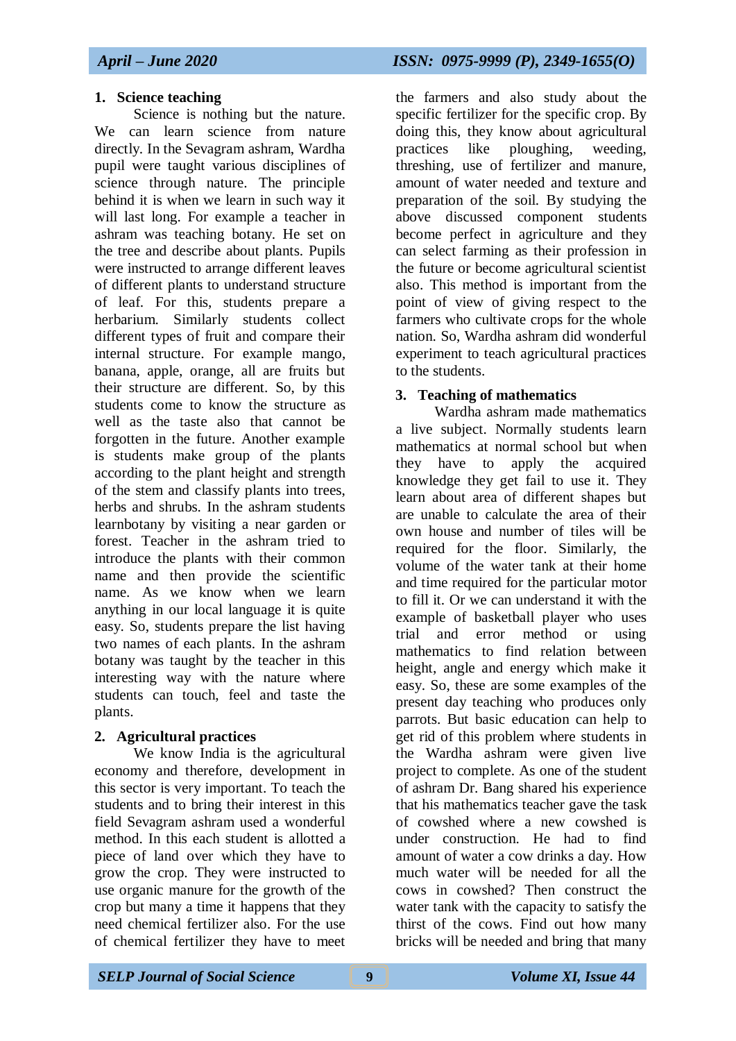## **1. Science teaching**

Science is nothing but the nature. We can learn science from nature directly. In the Sevagram ashram, Wardha pupil were taught various disciplines of science through nature. The principle behind it is when we learn in such way it will last long. For example a teacher in ashram was teaching botany. He set on the tree and describe about plants. Pupils were instructed to arrange different leaves of different plants to understand structure of leaf. For this, students prepare a herbarium. Similarly students collect different types of fruit and compare their internal structure. For example mango, banana, apple, orange, all are fruits but their structure are different. So, by this students come to know the structure as well as the taste also that cannot be forgotten in the future. Another example is students make group of the plants according to the plant height and strength of the stem and classify plants into trees, herbs and shrubs. In the ashram students learnbotany by visiting a near garden or forest. Teacher in the ashram tried to introduce the plants with their common name and then provide the scientific name. As we know when we learn anything in our local language it is quite easy. So, students prepare the list having two names of each plants. In the ashram botany was taught by the teacher in this interesting way with the nature where students can touch, feel and taste the plants.

## **2. Agricultural practices**

We know India is the agricultural economy and therefore, development in this sector is very important. To teach the students and to bring their interest in this field Sevagram ashram used a wonderful method. In this each student is allotted a piece of land over which they have to grow the crop. They were instructed to use organic manure for the growth of the crop but many a time it happens that they need chemical fertilizer also. For the use of chemical fertilizer they have to meet

the farmers and also study about the specific fertilizer for the specific crop. By doing this, they know about agricultural practices like ploughing, weeding, threshing, use of fertilizer and manure, amount of water needed and texture and preparation of the soil. By studying the above discussed component students become perfect in agriculture and they can select farming as their profession in the future or become agricultural scientist also. This method is important from the point of view of giving respect to the farmers who cultivate crops for the whole nation. So, Wardha ashram did wonderful experiment to teach agricultural practices to the students.

## **3. Teaching of mathematics**

Wardha ashram made mathematics a live subject. Normally students learn mathematics at normal school but when they have to apply the acquired knowledge they get fail to use it. They learn about area of different shapes but are unable to calculate the area of their own house and number of tiles will be required for the floor. Similarly, the volume of the water tank at their home and time required for the particular motor to fill it. Or we can understand it with the example of basketball player who uses trial and error method or using mathematics to find relation between height, angle and energy which make it easy. So, these are some examples of the present day teaching who produces only parrots. But basic education can help to get rid of this problem where students in the Wardha ashram were given live project to complete. As one of the student of ashram Dr. Bang shared his experience that his mathematics teacher gave the task of cowshed where a new cowshed is under construction. He had to find amount of water a cow drinks a day. How much water will be needed for all the cows in cowshed? Then construct the water tank with the capacity to satisfy the thirst of the cows. Find out how many bricks will be needed and bring that many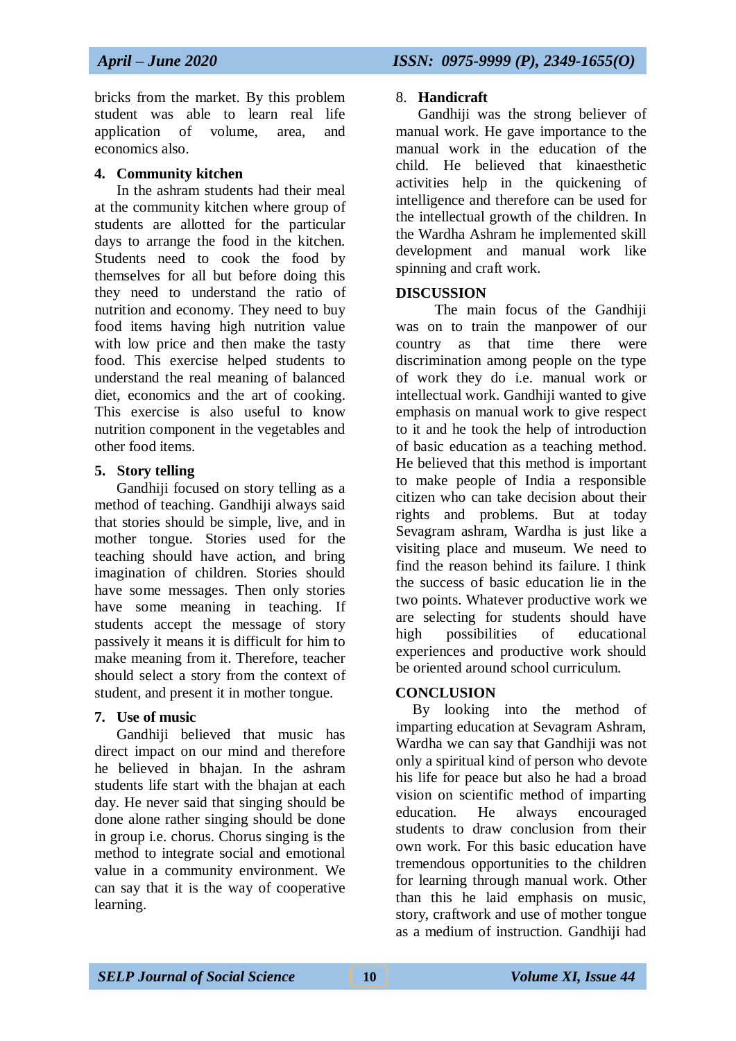bricks from the market. By this problem student was able to learn real life application of volume, area, and economics also.

#### **4. Community kitchen**

In the ashram students had their meal at the community kitchen where group of students are allotted for the particular days to arrange the food in the kitchen. Students need to cook the food by themselves for all but before doing this they need to understand the ratio of nutrition and economy. They need to buy food items having high nutrition value with low price and then make the tasty food. This exercise helped students to understand the real meaning of balanced diet, economics and the art of cooking. This exercise is also useful to know nutrition component in the vegetables and other food items.

#### **5. Story telling**

Gandhiji focused on story telling as a method of teaching. Gandhiji always said that stories should be simple, live, and in mother tongue. Stories used for the teaching should have action, and bring imagination of children. Stories should have some messages. Then only stories have some meaning in teaching. If students accept the message of story passively it means it is difficult for him to make meaning from it. Therefore, teacher should select a story from the context of student, and present it in mother tongue.

#### **7. Use of music**

Gandhiji believed that music has direct impact on our mind and therefore he believed in bhajan. In the ashram students life start with the bhajan at each day. He never said that singing should be done alone rather singing should be done in group i.e. chorus. Chorus singing is the method to integrate social and emotional value in a community environment. We can say that it is the way of cooperative learning.

#### 8. **Handicraft**

Gandhiji was the strong believer of manual work. He gave importance to the manual work in the education of the child. He believed that kinaesthetic activities help in the quickening of intelligence and therefore can be used for the intellectual growth of the children. In the Wardha Ashram he implemented skill development and manual work like spinning and craft work.

#### **DISCUSSION**

The main focus of the Gandhiji was on to train the manpower of our country as that time there were discrimination among people on the type of work they do i.e. manual work or intellectual work. Gandhiji wanted to give emphasis on manual work to give respect to it and he took the help of introduction of basic education as a teaching method. He believed that this method is important to make people of India a responsible citizen who can take decision about their rights and problems. But at today Sevagram ashram, Wardha is just like a visiting place and museum. We need to find the reason behind its failure. I think the success of basic education lie in the two points. Whatever productive work we are selecting for students should have high possibilities of educational experiences and productive work should be oriented around school curriculum.

## **CONCLUSION**

By looking into the method of imparting education at Sevagram Ashram, Wardha we can say that Gandhiji was not only a spiritual kind of person who devote his life for peace but also he had a broad vision on scientific method of imparting education. He always encouraged students to draw conclusion from their own work. For this basic education have tremendous opportunities to the children for learning through manual work. Other than this he laid emphasis on music, story, craftwork and use of mother tongue as a medium of instruction. Gandhiji had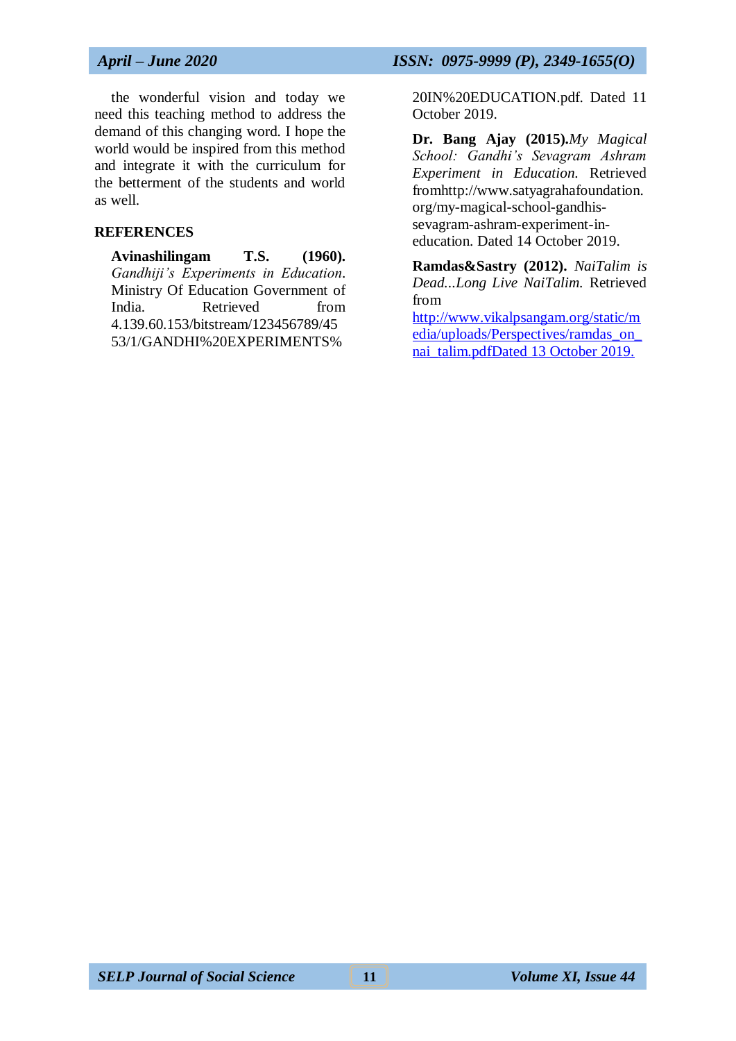the wonderful vision and today we need this teaching method to address the demand of this changing word. I hope the world would be inspired from this method and integrate it with the curriculum for the betterment of the students and world as well.

#### **REFERENCES**

**Avinashilingam T.S. (1960).** *Gandhiji's Experiments in Education*. Ministry Of Education Government of India. Retrieved from 4.139.60.153/bitstream/123456789/45 53/1/GANDHI%20EXPERIMENTS%

20IN%20EDUCATION.pdf. Dated 11 October 2019.

**Dr. Bang Ajay (2015).***My Magical School: Gandhi's Sevagram Ashram Experiment in Education.* Retrieved fromhttp://www.satyagrahafoundation. org/my-magical-school-gandhissevagram-ashram-experiment-ineducation. Dated 14 October 2019.

**Ramdas&Sastry (2012).** *NaiTalim is Dead...Long Live NaiTalim.* Retrieved from

[http://www.vikalpsangam.org/static/m](http://www.vikalpsangam.org/static/media/uploads/Perspectives/ramdas_on_nai_talim.pdf) [edia/uploads/Perspectives/ramdas\\_on\\_](http://www.vikalpsangam.org/static/media/uploads/Perspectives/ramdas_on_nai_talim.pdf) [nai\\_talim.pdfD](http://www.vikalpsangam.org/static/media/uploads/Perspectives/ramdas_on_nai_talim.pdf)ated 13 October 2019.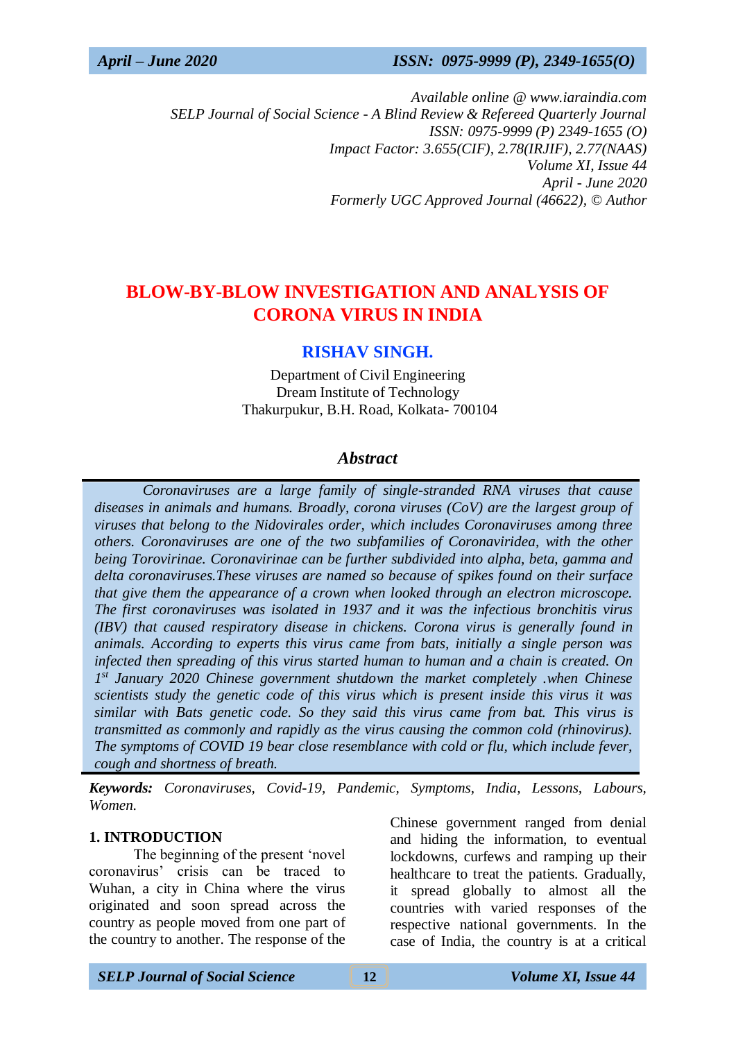*Available online @ www.iaraindia.com SELP Journal of Social Science - A Blind Review & Refereed Quarterly Journal ISSN: 0975-9999 (P) 2349-1655 (O) Impact Factor: 3.655(CIF), 2.78(IRJIF), 2.77(NAAS) Volume XI, Issue 44 April - June 2020 Formerly UGC Approved Journal (46622),* © *Author*

# **BLOW-BY-BLOW INVESTIGATION AND ANALYSIS OF CORONA VIRUS IN INDIA**

## **RISHAV SINGH.**

Department of Civil Engineering Dream Institute of Technology Thakurpukur, B.H. Road, Kolkata- 700104

## *Abstract*

 *Coronaviruses are a large family of single-stranded RNA viruses that cause diseases in animals and humans. Broadly, corona viruses (CoV) are the largest group of viruses that belong to the Nidovirales order, which includes Coronaviruses among three others. Coronaviruses are one of the two subfamilies of Coronaviridea, with the other being Torovirinae. Coronavirinae can be further subdivided into alpha, beta, gamma and delta coronaviruses.These viruses are named so because of spikes found on their surface that give them the appearance of a crown when looked through an electron microscope. The first coronaviruses was isolated in 1937 and it was the infectious bronchitis virus (IBV) that caused respiratory disease in chickens. Corona virus is generally found in animals. According to experts this virus came from bats, initially a single person was infected then spreading of this virus started human to human and a chain is created. On 1 st January 2020 Chinese government shutdown the market completely .when Chinese scientists study the genetic code of this virus which is present inside this virus it was similar with Bats genetic code. So they said this virus came from bat. This virus is transmitted as commonly and rapidly as the virus causing the common cold (rhinovirus). The symptoms of COVID 19 bear close resemblance with cold or flu, which include fever, cough and shortness of breath.*

*Keywords: Coronaviruses, Covid-19, Pandemic, Symptoms, India, Lessons, Labours, Women.*

#### **1. INTRODUCTION**

The beginning of the present 'novel coronavirus' crisis can be traced to Wuhan, a city in China where the virus originated and soon spread across the country as people moved from one part of the country to another. The response of the Chinese government ranged from denial and hiding the information, to eventual lockdowns, curfews and ramping up their healthcare to treat the patients. Gradually, it spread globally to almost all the countries with varied responses of the respective national governments. In the case of India, the country is at a critical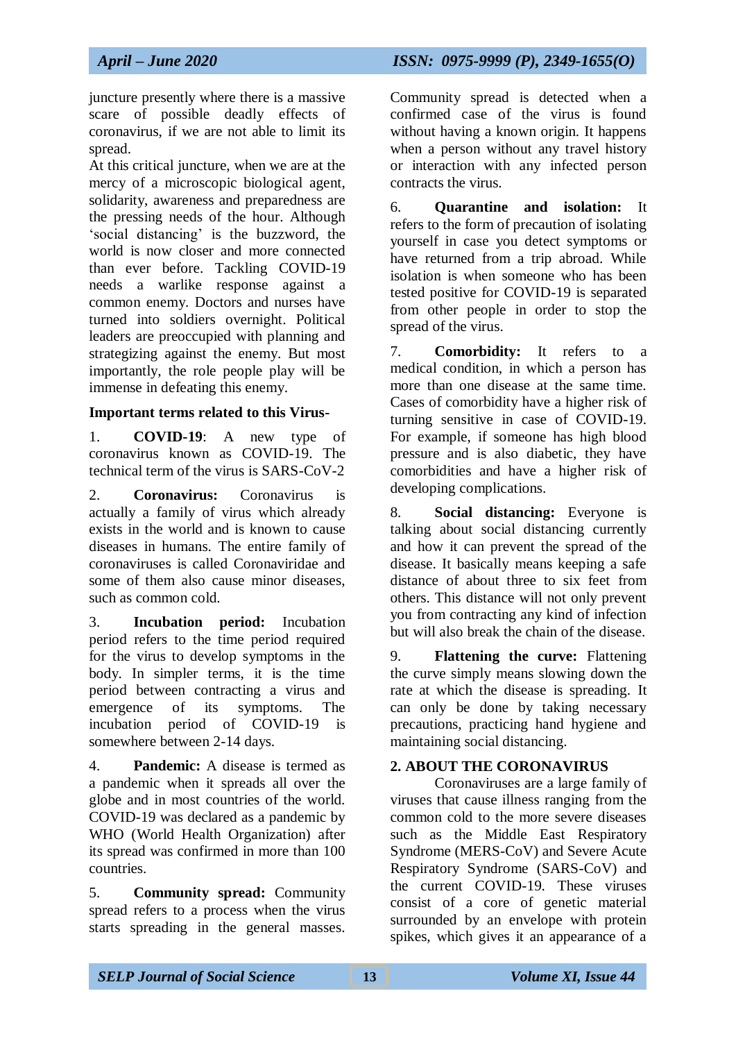juncture presently where there is a massive scare of possible deadly effects of coronavirus, if we are not able to limit its spread.

At this critical juncture, when we are at the mercy of a microscopic biological agent, solidarity, awareness and preparedness are the pressing needs of the hour. Although 'social distancing' is the buzzword, the world is now closer and more connected than ever before. Tackling COVID-19 needs a warlike response against a common enemy. Doctors and nurses have turned into soldiers overnight. Political leaders are preoccupied with planning and strategizing against the enemy. But most importantly, the role people play will be immense in defeating this enemy.

## **Important terms related to this Virus-**

1. **COVID-19**: A new type of coronavirus known as COVID-19. The technical term of the virus is SARS-CoV-2

2. **Coronavirus:** Coronavirus is actually a family of virus which already exists in the world and is known to cause diseases in humans. The entire family of coronaviruses is called Coronaviridae and some of them also cause minor diseases such as common cold.

3. **Incubation period:** Incubation period refers to the time period required for the virus to develop symptoms in the body. In simpler terms, it is the time period between contracting a virus and emergence of its symptoms. The incubation period of COVID-19 is somewhere between 2-14 days.

4. **Pandemic:** A disease is termed as a pandemic when it spreads all over the globe and in most countries of the world. COVID-19 was declared as a pandemic by WHO (World Health Organization) after its spread was confirmed in more than 100 countries.

5. **Community spread:** Community spread refers to a process when the virus starts spreading in the general masses.

Community spread is detected when a confirmed case of the virus is found without having a known origin. It happens when a person without any travel history or interaction with any infected person contracts the virus.

6. **Quarantine and isolation:** It refers to the form of precaution of isolating yourself in case you detect symptoms or have returned from a trip abroad. While isolation is when someone who has been tested positive for COVID-19 is separated from other people in order to stop the spread of the virus.

7. **Comorbidity:** It refers to a medical condition, in which a person has more than one disease at the same time. Cases of comorbidity have a higher risk of turning sensitive in case of COVID-19. For example, if someone has high blood pressure and is also diabetic, they have comorbidities and have a higher risk of developing complications.

8. **Social distancing:** Everyone is talking about social distancing currently and how it can prevent the spread of the disease. It basically means keeping a safe distance of about three to six feet from others. This distance will not only prevent you from contracting any kind of infection but will also break the chain of the disease.

9. **Flattening the curve:** Flattening the curve simply means slowing down the rate at which the disease is spreading. It can only be done by taking necessary precautions, practicing hand hygiene and maintaining social distancing.

## **2. ABOUT THE CORONAVIRUS**

Coronaviruses are a large family of viruses that cause illness ranging from the common cold to the more severe diseases such as the Middle East Respiratory Syndrome (MERS-CoV) and Severe Acute Respiratory Syndrome (SARS-CoV) and the current COVID-19. These viruses consist of a core of genetic material surrounded by an envelope with protein spikes, which gives it an appearance of a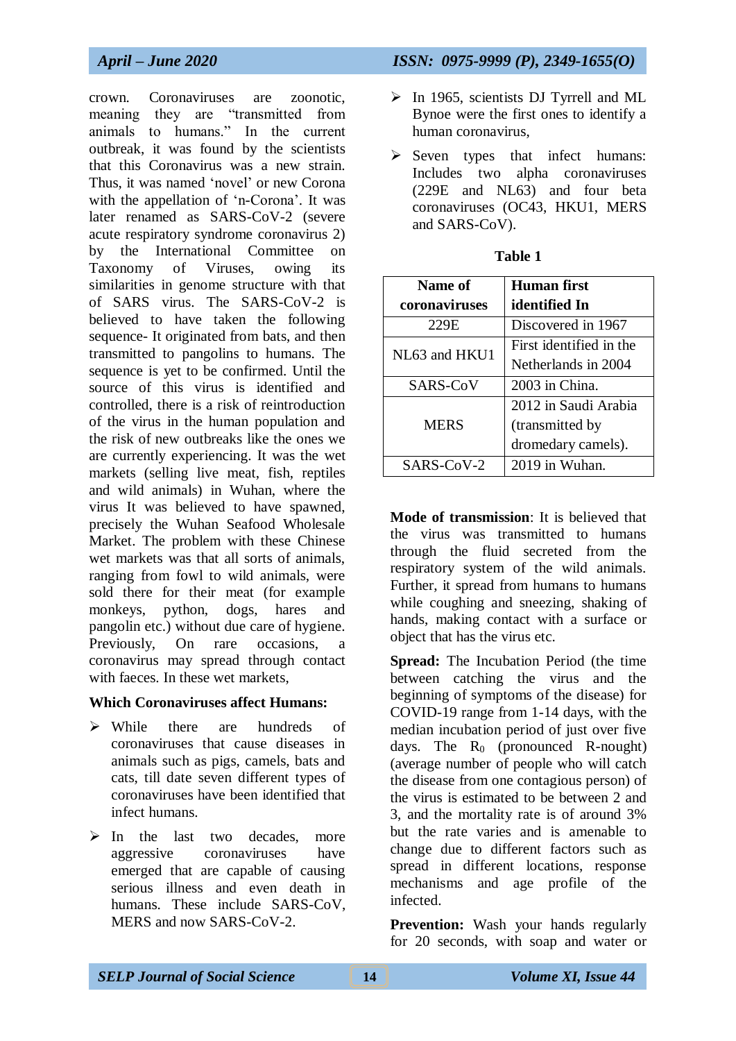crown. Coronaviruses are zoonotic, meaning they are "transmitted from animals to humans." In the current outbreak, it was found by the scientists that this Coronavirus was a new strain. Thus, it was named 'novel' or new Corona with the appellation of 'n-Corona'. It was later renamed as SARS-CoV-2 (severe acute respiratory syndrome coronavirus 2) by the International Committee on Taxonomy of Viruses, owing its similarities in genome structure with that of SARS virus. The SARS-CoV-2 is believed to have taken the following sequence- It originated from bats, and then transmitted to pangolins to humans. The sequence is yet to be confirmed. Until the source of this virus is identified and controlled, there is a risk of reintroduction of the virus in the human population and the risk of new outbreaks like the ones we are currently experiencing. It was the wet markets (selling live meat, fish, reptiles and wild animals) in Wuhan, where the virus It was believed to have spawned, precisely the Wuhan Seafood Wholesale Market. The problem with these Chinese wet markets was that all sorts of animals, ranging from fowl to wild animals, were sold there for their meat (for example monkeys, python, dogs, hares and pangolin etc.) without due care of hygiene. Previously, On rare occasions, a coronavirus may spread through contact with faeces. In these wet markets,

#### **Which Coronaviruses affect Humans:**

- $\triangleright$  While there are hundreds of coronaviruses that cause diseases in animals such as pigs, camels, bats and cats, till date seven different types of coronaviruses have been identified that infect humans.
- $\triangleright$  In the last two decades, more aggressive coronaviruses have emerged that are capable of causing serious illness and even death in humans. These include SARS-CoV, MERS and now SARS-CoV-2.

# *April – June 2020 ISSN: 0975-9999 (P), 2349-1655(O)*

- $\triangleright$  In 1965, scientists DJ Tyrrell and ML Bynoe were the first ones to identify a human coronavirus,
- $\triangleright$  Seven types that infect humans: Includes two alpha coronaviruses (229E and NL63) and four beta coronaviruses (OC43, HKU1, MERS and SARS-CoV).

| Name of       | Human first             |
|---------------|-------------------------|
| coronaviruses | identified In           |
| 229E          | Discovered in 1967      |
| NL63 and HKU1 | First identified in the |
|               | Netherlands in 2004     |
| SARS-CoV      | 2003 in China.          |
|               | 2012 in Saudi Arabia    |
| <b>MERS</b>   | (transmitted by         |
|               | dromedary camels).      |
| SARS-CoV-2    | 2019 in Wuhan.          |

| ını<br>н |  |
|----------|--|
|----------|--|

**Mode of transmission**: It is believed that the virus was transmitted to humans through the fluid secreted from the respiratory system of the wild animals. Further, it spread from humans to humans while coughing and sneezing, shaking of hands, making contact with a surface or object that has the virus etc.

**Spread:** The Incubation Period (the time between catching the virus and the beginning of symptoms of the disease) for COVID-19 range from 1-14 days, with the median incubation period of just over five days. The  $R_0$  (pronounced R-nought) (average number of people who will catch the disease from one contagious person) of the virus is estimated to be between 2 and 3, and the mortality rate is of around 3% but the rate varies and is amenable to change due to different factors such as spread in different locations, response mechanisms and age profile of the infected.

**Prevention:** Wash your hands regularly for 20 seconds, with soap and water or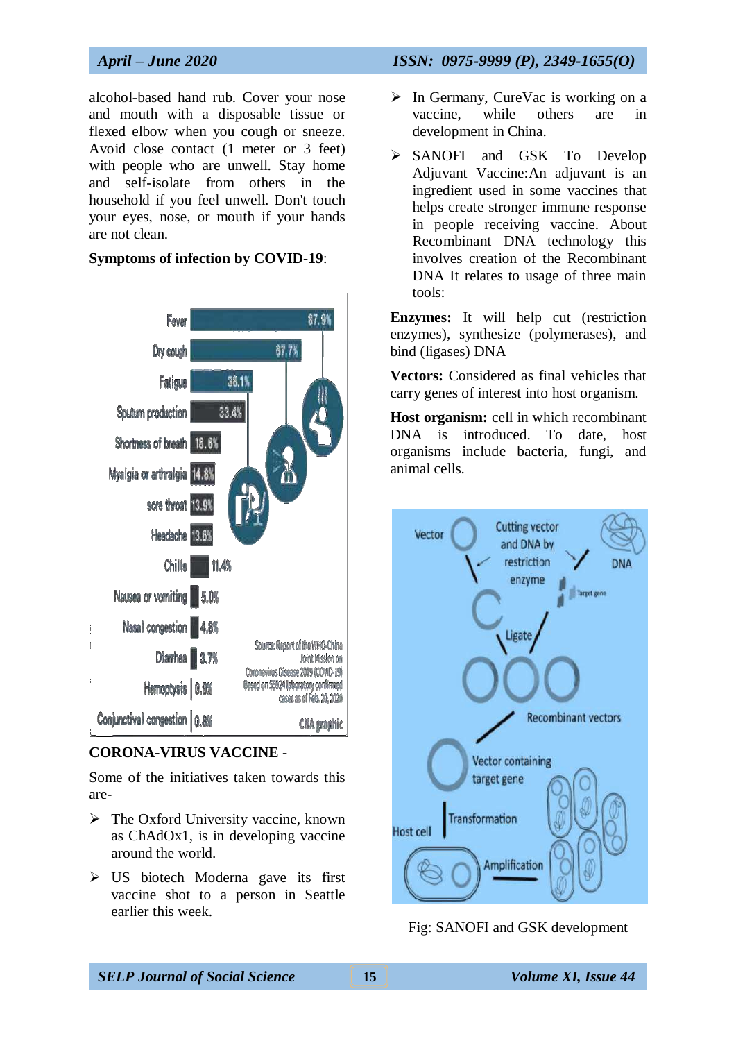alcohol-based hand rub. Cover your nose and mouth with a disposable tissue or flexed elbow when you cough or sneeze. Avoid close contact (1 meter or 3 feet) with people who are unwell. Stay home and self-isolate from others in the household if you feel unwell. Don't touch your eyes, nose, or mouth if your hands are not clean.

#### **Symptoms of infection by COVID-19**:



#### **CORONA-VIRUS VACCINE** -

Some of the initiatives taken towards this are-

- $\triangleright$  The Oxford University vaccine, known as ChAdOx1, is in developing vaccine around the world.
- $\triangleright$  US biotech Moderna gave its first vaccine shot to a person in Seattle earlier this week.

## *April – June 2020 ISSN: 0975-9999 (P), 2349-1655(O)*

- $\triangleright$  In Germany, CureVac is working on a vaccine, while others are in development in China.
- SANOFI and GSK To Develop Adjuvant Vaccine:An adjuvant is an ingredient used in some vaccines that helps create stronger immune response in people receiving vaccine. About Recombinant DNA technology this involves creation of the Recombinant DNA It relates to usage of three main tools:

**Enzymes:** It will help cut (restriction enzymes), synthesize (polymerases), and bind (ligases) DNA

**Vectors:** Considered as final vehicles that carry genes of interest into host organism.

**Host organism:** cell in which recombinant DNA is introduced. To date, host organisms include bacteria, fungi, and animal cells.



Fig: SANOFI and GSK development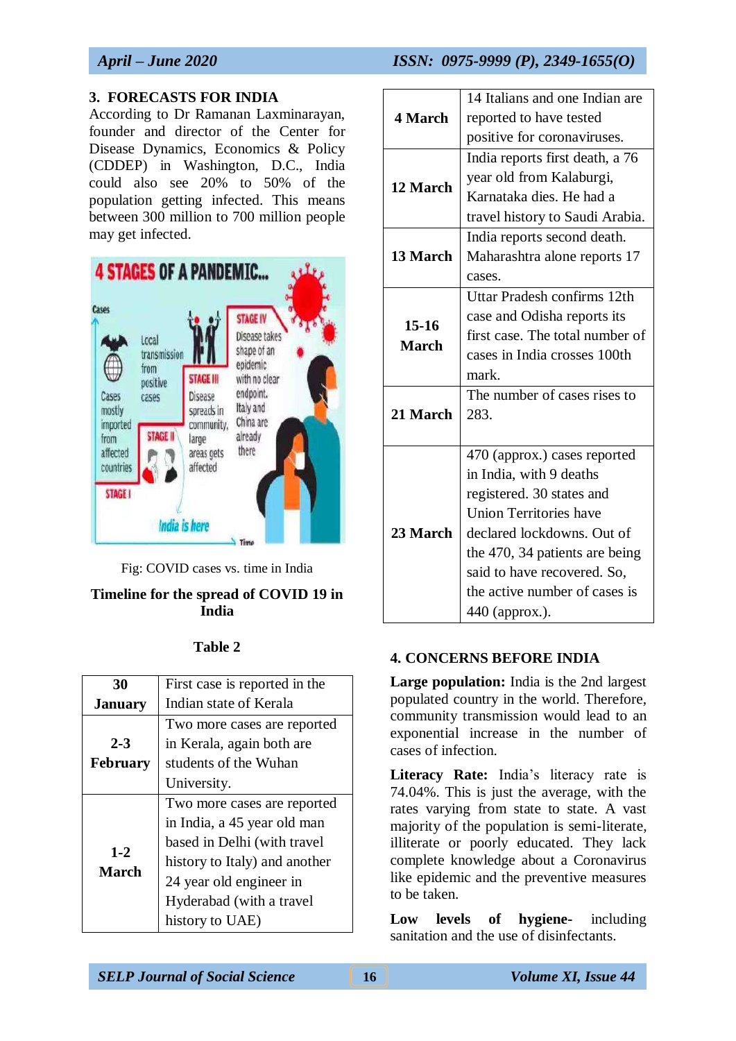## **3. FORECASTS FOR INDIA**

According to Dr Ramanan Laxminarayan, founder and director of the Center for Disease Dynamics, Economics & Policy (CDDEP) in Washington, D.C., India could also see 20% to 50% of the population getting infected. This means between 300 million to 700 million people may get infected.



Fig: COVID cases vs. time in India

## **Timeline for the spread of COVID 19 in India**

## **Table 2**

| 30              | First case is reported in the |  |
|-----------------|-------------------------------|--|
| <b>January</b>  | Indian state of Kerala        |  |
|                 | Two more cases are reported   |  |
| $2 - 3$         | in Kerala, again both are     |  |
| <b>February</b> | students of the Wuhan         |  |
|                 | University.                   |  |
|                 | Two more cases are reported   |  |
|                 | in India, a 45 year old man   |  |
| $1 - 2$         | based in Delhi (with travel   |  |
| <b>March</b>    | history to Italy) and another |  |
|                 | 24 year old engineer in       |  |
|                 | Hyderabad (with a travel      |  |
|                 | history to UAE)               |  |

|              | 14 Italians and one Indian are  |
|--------------|---------------------------------|
| 4 March      | reported to have tested         |
|              | positive for coronaviruses.     |
|              | India reports first death, a 76 |
| 12 March     | year old from Kalaburgi,        |
|              | Karnataka dies. He had a        |
|              | travel history to Saudi Arabia. |
|              | India reports second death.     |
| 13 March     | Maharashtra alone reports 17    |
|              | cases.                          |
|              | Uttar Pradesh confirms 12th     |
|              | case and Odisha reports its     |
| $15-16$      | first case. The total number of |
| <b>March</b> | cases in India crosses 100th    |
|              | mark.                           |
|              | The number of cases rises to    |
| 21 March     | 283.                            |
|              |                                 |
|              | 470 (approx.) cases reported    |
|              | in India, with 9 deaths         |
|              | registered. 30 states and       |
|              | <b>Union Territories have</b>   |
| 23 March     | declared lockdowns. Out of      |
|              | the 470, 34 patients are being  |
|              | said to have recovered. So,     |
|              | the active number of cases is   |
|              | 440 (approx.).                  |

## **4. CONCERNS BEFORE INDIA**

**Large population:** India is the 2nd largest populated country in the world. Therefore, community transmission would lead to an exponential increase in the number of cases of infection.

Literacy Rate: India's literacy rate is 74.04%. This is just the average, with the rates varying from state to state. A vast majority of the population is semi-literate, illiterate or poorly educated. They lack complete knowledge about a Coronavirus like epidemic and the preventive measures to be taken.

**Low levels of hygiene-** including sanitation and the use of disinfectants.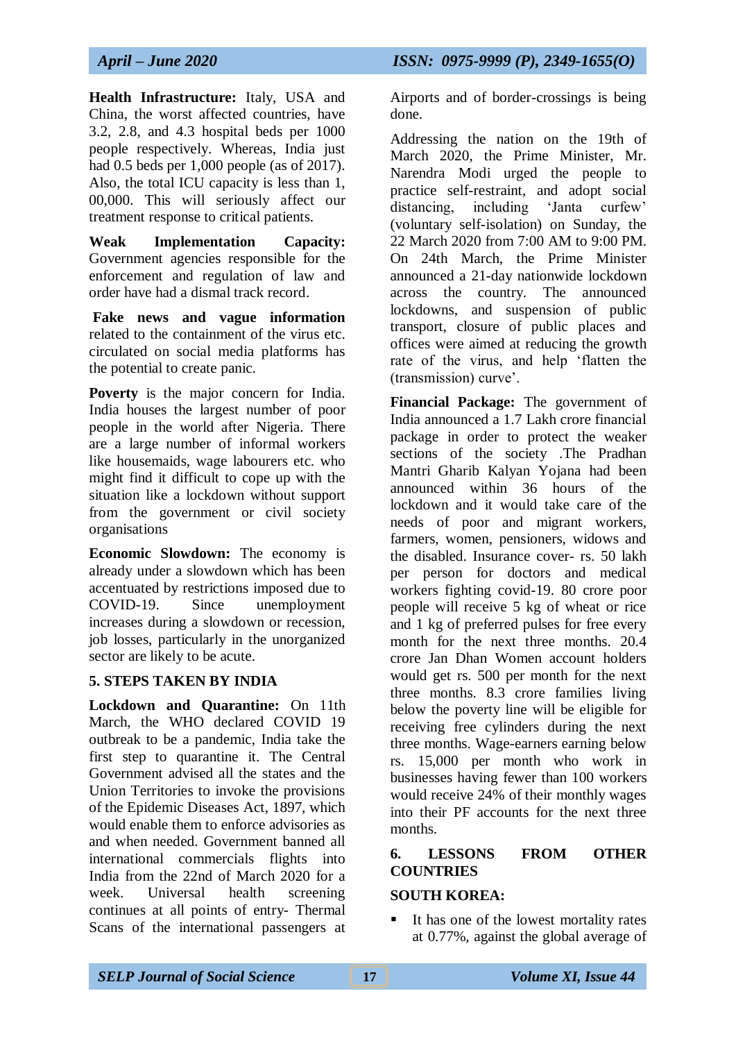**Health Infrastructure:** Italy, USA and China, the worst affected countries, have 3.2, 2.8, and 4.3 hospital beds per 1000 people respectively. Whereas, India just had 0.5 beds per 1,000 people (as of 2017). Also, the total ICU capacity is less than 1, 00,000. This will seriously affect our treatment response to critical patients.

**Weak Implementation Capacity:**  Government agencies responsible for the enforcement and regulation of law and order have had a dismal track record.

**Fake news and vague information**  related to the containment of the virus etc. circulated on social media platforms has the potential to create panic.

**Poverty** is the major concern for India. India houses the largest number of poor people in the world after Nigeria. There are a large number of informal workers like housemaids, wage labourers etc. who might find it difficult to cope up with the situation like a lockdown without support from the government or civil society organisations

**Economic Slowdown:** The economy is already under a slowdown which has been accentuated by restrictions imposed due to COVID-19. Since unemployment increases during a slowdown or recession, job losses, particularly in the unorganized sector are likely to be acute.

## **5. STEPS TAKEN BY INDIA**

**Lockdown and Quarantine:** On 11th March, the WHO declared COVID 19 outbreak to be a pandemic, India take the first step to quarantine it. The Central Government advised all the states and the Union Territories to invoke the provisions of the Epidemic Diseases Act, 1897, which would enable them to enforce advisories as and when needed. Government banned all international commercials flights into India from the 22nd of March 2020 for a week. Universal health screening continues at all points of entry- Thermal Scans of the international passengers at

Airports and of border-crossings is being done.

Addressing the nation on the 19th of March 2020, the Prime Minister, Mr. Narendra Modi urged the people to practice self-restraint, and adopt social distancing, including 'Janta curfew' (voluntary self-isolation) on Sunday, the 22 March 2020 from 7:00 AM to 9:00 PM. On 24th March, the Prime Minister announced a 21-day nationwide lockdown across the country. The announced lockdowns, and suspension of public transport, closure of public places and offices were aimed at reducing the growth rate of the virus, and help 'flatten the (transmission) curve'.

**Financial Package:** The government of India announced a 1.7 Lakh crore financial package in order to protect the weaker sections of the society .The Pradhan Mantri Gharib Kalyan Yojana had been announced within 36 hours of the lockdown and it would take care of the needs of poor and migrant workers, farmers, women, pensioners, widows and the disabled. Insurance cover- rs. 50 lakh per person for doctors and medical workers fighting covid-19. 80 crore poor people will receive 5 kg of wheat or rice and 1 kg of preferred pulses for free every month for the next three months. 20.4 crore Jan Dhan Women account holders would get rs. 500 per month for the next three months. 8.3 crore families living below the poverty line will be eligible for receiving free cylinders during the next three months. Wage-earners earning below rs. 15,000 per month who work in businesses having fewer than 100 workers would receive 24% of their monthly wages into their PF accounts for the next three months.

## **6. LESSONS FROM OTHER COUNTRIES**

## **SOUTH KOREA:**

It has one of the lowest mortality rates at 0.77%, against the global average of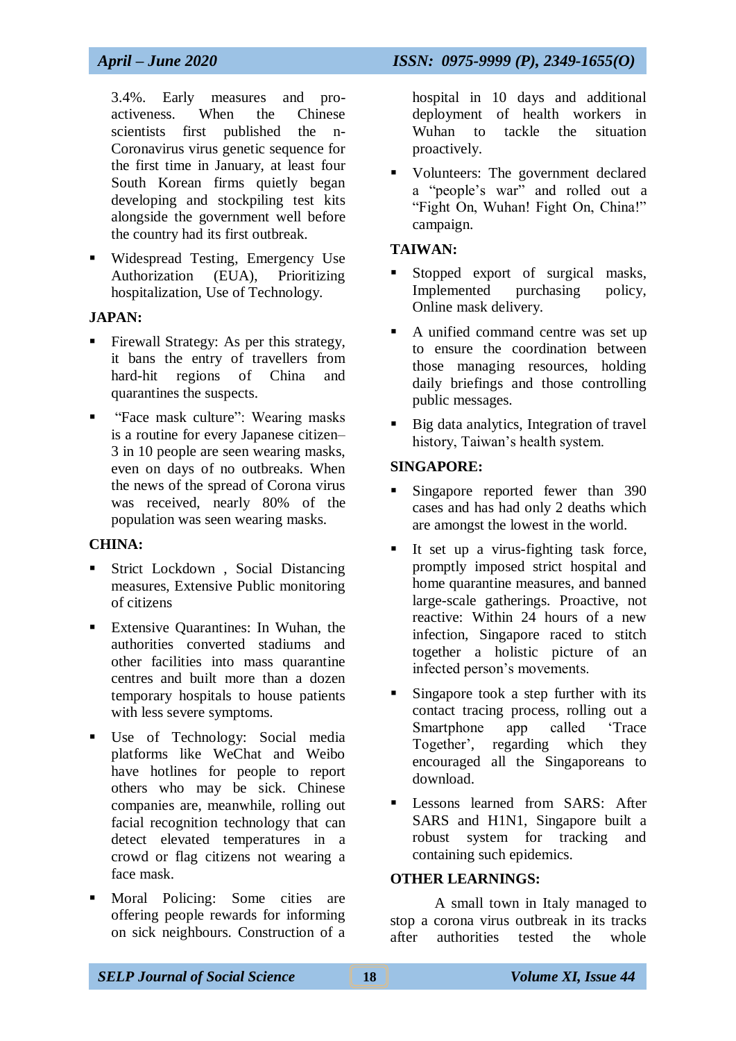3.4%. Early measures and proactiveness. When the Chinese scientists first published the n-Coronavirus virus genetic sequence for the first time in January, at least four South Korean firms quietly began developing and stockpiling test kits alongside the government well before the country had its first outbreak.

 Widespread Testing, Emergency Use Authorization (EUA), Prioritizing hospitalization, Use of Technology.

#### **JAPAN:**

- Firewall Strategy: As per this strategy, it bans the entry of travellers from hard-hit regions of China and quarantines the suspects.
- "Face mask culture": Wearing masks is a routine for every Japanese citizen– 3 in 10 people are seen wearing masks, even on days of no outbreaks. When the news of the spread of Corona virus was received, nearly 80% of the population was seen wearing masks.

#### **CHINA:**

- Strict Lockdown , Social Distancing measures, Extensive Public monitoring of citizens
- Extensive Quarantines: In Wuhan, the authorities converted stadiums and other facilities into mass quarantine centres and built more than a dozen temporary hospitals to house patients with less severe symptoms.
- Use of Technology: Social media platforms like WeChat and Weibo have hotlines for people to report others who may be sick. Chinese companies are, meanwhile, rolling out facial recognition technology that can detect elevated temperatures in a crowd or flag citizens not wearing a face mask.
- Moral Policing: Some cities are offering people rewards for informing on sick neighbours. Construction of a

hospital in 10 days and additional deployment of health workers in Wuhan to tackle the situation proactively.

 Volunteers: The government declared a "people's war" and rolled out a "Fight On, Wuhan! Fight On, China!" campaign.

#### **TAIWAN:**

- Stopped export of surgical masks, Implemented purchasing policy, Online mask delivery.
- A unified command centre was set up to ensure the coordination between those managing resources, holding daily briefings and those controlling public messages.
- Big data analytics, Integration of travel history, Taiwan's health system.

#### **SINGAPORE:**

- Singapore reported fewer than 390 cases and has had only 2 deaths which are amongst the lowest in the world.
- It set up a virus-fighting task force, promptly imposed strict hospital and home quarantine measures, and banned large-scale gatherings. Proactive, not reactive: Within 24 hours of a new infection, Singapore raced to stitch together a holistic picture of an infected person's movements.
- Singapore took a step further with its contact tracing process, rolling out a Smartphone app called 'Trace Together', regarding which they encouraged all the Singaporeans to download.
- Lessons learned from SARS: After SARS and H1N1, Singapore built a robust system for tracking and containing such epidemics.

#### **OTHER LEARNINGS:**

A small town in Italy managed to stop a corona virus outbreak in its tracks after authorities tested the whole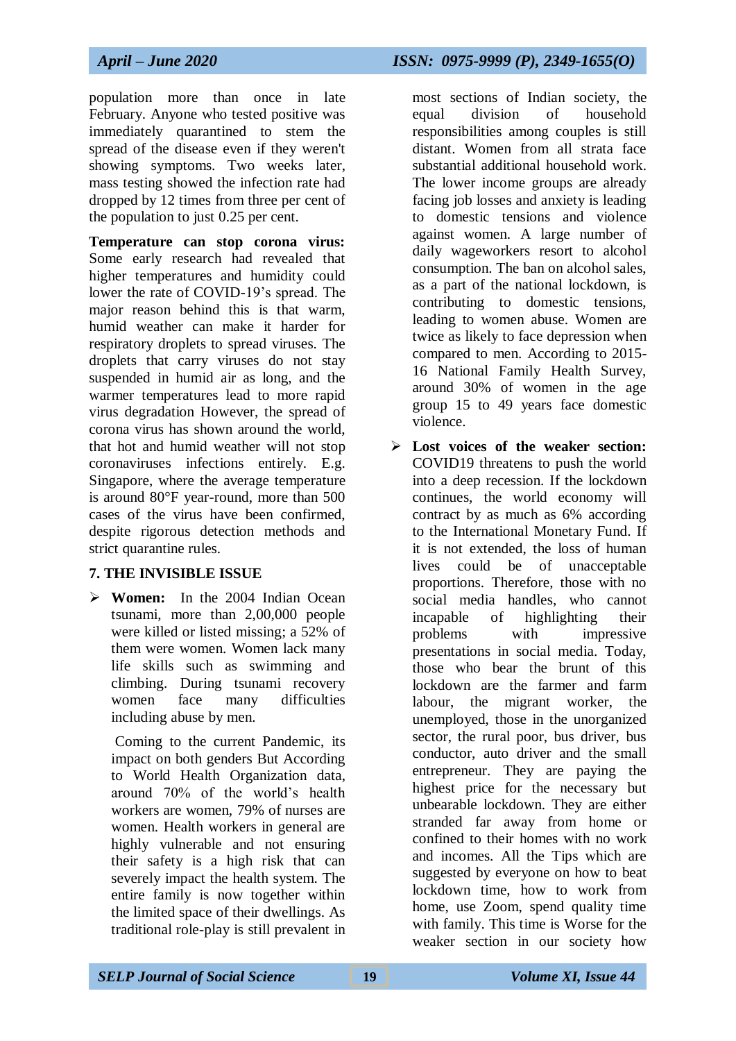population more than once in late February. Anyone who tested positive was immediately quarantined to stem the spread of the disease even if they weren't showing symptoms. Two weeks later, mass testing showed the infection rate had dropped by 12 times from three per cent of the population to just 0.25 per cent.

**Temperature can stop corona virus:**  Some early research had revealed that higher temperatures and humidity could lower the rate of COVID-19's spread. The major reason behind this is that warm, humid weather can make it harder for respiratory droplets to spread viruses. The droplets that carry viruses do not stay suspended in humid air as long, and the warmer temperatures lead to more rapid virus degradation However, the spread of corona virus has shown around the world, that hot and humid weather will not stop coronaviruses infections entirely. E.g. Singapore, where the average temperature is around 80°F year-round, more than 500 cases of the virus have been confirmed, despite rigorous detection methods and strict quarantine rules.

## **7. THE INVISIBLE ISSUE**

 **Women:** In the 2004 Indian Ocean tsunami, more than 2,00,000 people were killed or listed missing; a 52% of them were women. Women lack many life skills such as swimming and climbing. During tsunami recovery women face many difficulties including abuse by men.

Coming to the current Pandemic, its impact on both genders But According to World Health Organization data, around 70% of the world's health workers are women, 79% of nurses are women. Health workers in general are highly vulnerable and not ensuring their safety is a high risk that can severely impact the health system. The entire family is now together within the limited space of their dwellings. As traditional role-play is still prevalent in

most sections of Indian society, the equal division of household responsibilities among couples is still distant. Women from all strata face substantial additional household work. The lower income groups are already facing job losses and anxiety is leading to domestic tensions and violence against women. A large number of daily wageworkers resort to alcohol consumption. The ban on alcohol sales, as a part of the national lockdown, is contributing to domestic tensions, leading to women abuse. Women are twice as likely to face depression when compared to men. According to 2015- 16 National Family Health Survey, around 30% of women in the age group 15 to 49 years face domestic violence.

 **Lost voices of the weaker section:** COVID19 threatens to push the world into a deep recession. If the lockdown continues, the world economy will contract by as much as 6% according to the International Monetary Fund. If it is not extended, the loss of human lives could be of unacceptable proportions. Therefore, those with no social media handles, who cannot incapable of highlighting their problems with impressive presentations in social media. Today, those who bear the brunt of this lockdown are the farmer and farm labour, the migrant worker, the unemployed, those in the unorganized sector, the rural poor, bus driver, bus conductor, auto driver and the small entrepreneur. They are paying the highest price for the necessary but unbearable lockdown. They are either stranded far away from home or confined to their homes with no work and incomes. All the Tips which are suggested by everyone on how to beat lockdown time, how to work from home, use Zoom, spend quality time with family. This time is Worse for the weaker section in our society how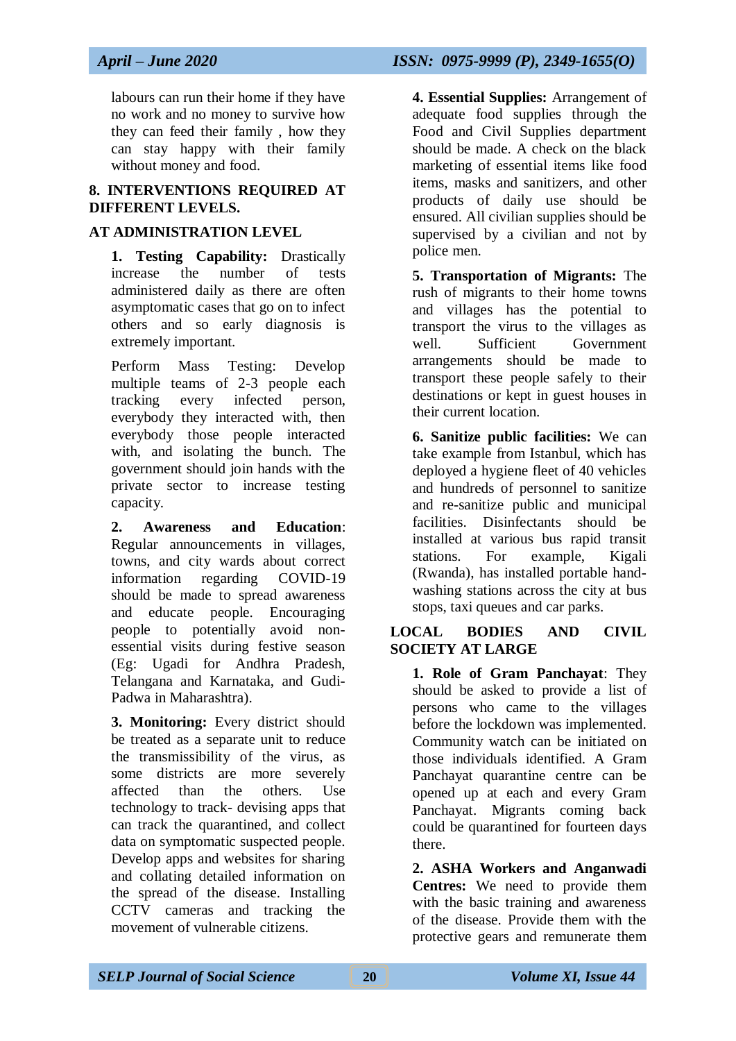labours can run their home if they have no work and no money to survive how they can feed their family , how they can stay happy with their family without money and food.

#### **8. INTERVENTIONS REQUIRED AT DIFFERENT LEVELS.**

#### **AT ADMINISTRATION LEVEL**

**1. Testing Capability:** Drastically increase the number of tests administered daily as there are often asymptomatic cases that go on to infect others and so early diagnosis is extremely important.

Perform Mass Testing: Develop multiple teams of 2-3 people each tracking every infected person, everybody they interacted with, then everybody those people interacted with, and isolating the bunch. The government should join hands with the private sector to increase testing capacity.

**2. Awareness and Education**: Regular announcements in villages, towns, and city wards about correct information regarding COVID-19 should be made to spread awareness and educate people. Encouraging people to potentially avoid nonessential visits during festive season (Eg: Ugadi for Andhra Pradesh, Telangana and Karnataka, and Gudi-Padwa in Maharashtra).

**3. Monitoring:** Every district should be treated as a separate unit to reduce the transmissibility of the virus, as some districts are more severely affected than the others. Use technology to track- devising apps that can track the quarantined, and collect data on symptomatic suspected people. Develop apps and websites for sharing and collating detailed information on the spread of the disease. Installing CCTV cameras and tracking the movement of vulnerable citizens.

*April – June 2020 ISSN: 0975-9999 (P), 2349-1655(O)*

**4. Essential Supplies:** Arrangement of adequate food supplies through the Food and Civil Supplies department should be made. A check on the black marketing of essential items like food items, masks and sanitizers, and other products of daily use should be ensured. All civilian supplies should be supervised by a civilian and not by police men.

**5. Transportation of Migrants:** The rush of migrants to their home towns and villages has the potential to transport the virus to the villages as well. Sufficient Government arrangements should be made to transport these people safely to their destinations or kept in guest houses in their current location.

**6. Sanitize public facilities:** We can take example from Istanbul, which has deployed a hygiene fleet of 40 vehicles and hundreds of personnel to sanitize and re-sanitize public and municipal facilities. Disinfectants should be installed at various bus rapid transit stations. For example, Kigali (Rwanda), has installed portable handwashing stations across the city at bus stops, taxi queues and car parks.

#### **LOCAL BODIES AND CIVIL SOCIETY AT LARGE**

**1. Role of Gram Panchayat**: They should be asked to provide a list of persons who came to the villages before the lockdown was implemented. Community watch can be initiated on those individuals identified. A Gram Panchayat quarantine centre can be opened up at each and every Gram Panchayat. Migrants coming back could be quarantined for fourteen days there.

**2. ASHA Workers and Anganwadi Centres:** We need to provide them with the basic training and awareness of the disease. Provide them with the protective gears and remunerate them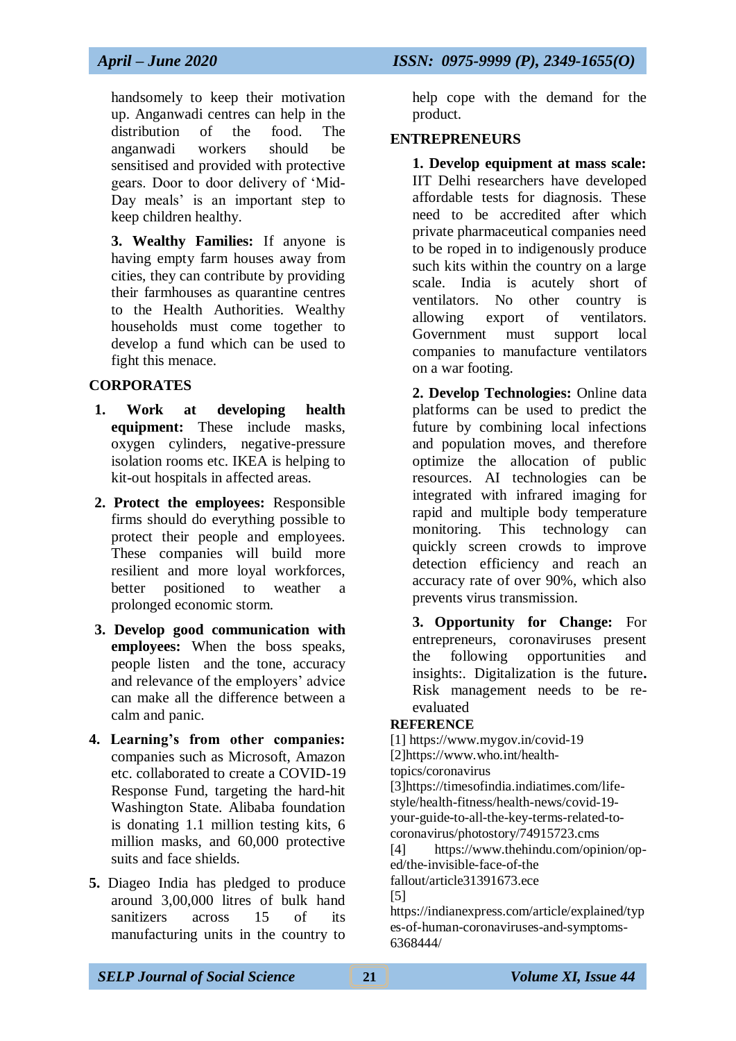help cope with the demand for the

#### **ENTREPRENEURS**

product.

**1. Develop equipment at mass scale:** IIT Delhi researchers have developed affordable tests for diagnosis. These need to be accredited after which private pharmaceutical companies need to be roped in to indigenously produce such kits within the country on a large scale. India is acutely short of ventilators. No other country is allowing export of ventilators. Government must support local companies to manufacture ventilators on a war footing.

**2. Develop Technologies:** Online data platforms can be used to predict the future by combining local infections and population moves, and therefore optimize the allocation of public resources. AI technologies can be integrated with infrared imaging for rapid and multiple body temperature monitoring. This technology can quickly screen crowds to improve detection efficiency and reach an accuracy rate of over 90%, which also prevents virus transmission.

**3. Opportunity for Change:** For entrepreneurs, coronaviruses present the following opportunities and insights:. Digitalization is the future**.**  Risk management needs to be reevaluated

#### **REFERENCE**

[1] https://www.mygov.in/covid-19 [2]https://www.who.int/health-

topics/coronavirus

[3]https://timesofindia.indiatimes.com/lifestyle/health-fitness/health-news/covid-19 your-guide-to-all-the-key-terms-related-tocoronavirus/photostory/74915723.cms

[4] https://www.thehindu.com/opinion/oped/the-invisible-face-of-the fallout/article31391673.ece

[5]

https://indianexpress.com/article/explained/typ es-of-human-coronaviruses-and-symptoms-6368444/

handsomely to keep their motivation up. Anganwadi centres can help in the distribution of the food. The anganwadi workers should be sensitised and provided with protective gears. Door to door delivery of 'Mid-Day meals' is an important step to keep children healthy.

**3. Wealthy Families:** If anyone is having empty farm houses away from cities, they can contribute by providing their farmhouses as quarantine centres to the Health Authorities. Wealthy households must come together to develop a fund which can be used to fight this menace.

#### **CORPORATES**

- **1. Work at developing health equipment:** These include masks, oxygen cylinders, negative-pressure isolation rooms etc. IKEA is helping to kit-out hospitals in affected areas.
- **2. Protect the employees:** Responsible firms should do everything possible to protect their people and employees. These companies will build more resilient and more loyal workforces, better positioned to weather a prolonged economic storm.
- **3. Develop good communication with employees:** When the boss speaks, people listen and the tone, accuracy and relevance of the employers' advice can make all the difference between a calm and panic.
- **4. Learning's from other companies:**  companies such as Microsoft, Amazon etc. collaborated to create a COVID-19 Response Fund, targeting the hard-hit Washington State. Alibaba foundation is donating 1.1 million testing kits, 6 million masks, and 60,000 protective suits and face shields.
- **5.** Diageo India has pledged to produce around 3,00,000 litres of bulk hand sanitizers across 15 of its manufacturing units in the country to

*SELP Journal of Social Science* **21** *Volume XI, Issue 44*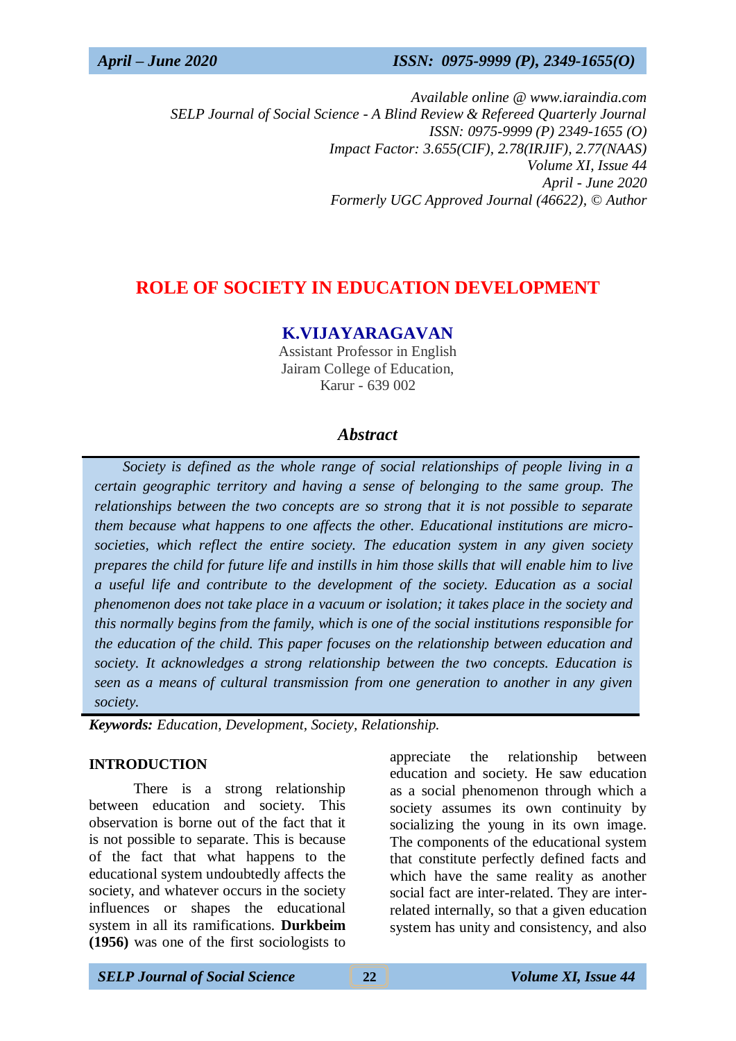*Available online @ www.iaraindia.com SELP Journal of Social Science - A Blind Review & Refereed Quarterly Journal ISSN: 0975-9999 (P) 2349-1655 (O) Impact Factor: 3.655(CIF), 2.78(IRJIF), 2.77(NAAS) Volume XI, Issue 44 April - June 2020 Formerly UGC Approved Journal (46622),* © *Author*

# **ROLE OF SOCIETY IN EDUCATION DEVELOPMENT**

## **K.VIJAYARAGAVAN**

Assistant Professor in English Jairam College of Education, Karur - 639 002

## *Abstract*

 *Society is defined as the whole range of social relationships of people living in a certain geographic territory and having a sense of belonging to the same group. The relationships between the two concepts are so strong that it is not possible to separate them because what happens to one affects the other. Educational institutions are microsocieties, which reflect the entire society. The education system in any given society prepares the child for future life and instills in him those skills that will enable him to live a useful life and contribute to the development of the society. Education as a social phenomenon does not take place in a vacuum or isolation; it takes place in the society and this normally begins from the family, which is one of the social institutions responsible for the education of the child. This paper focuses on the relationship between education and society. It acknowledges a strong relationship between the two concepts. Education is seen as a means of cultural transmission from one generation to another in any given society.*

*Keywords: Education, Development, Society, Relationship.*

#### **INTRODUCTION**

There is a strong relationship between education and society. This observation is borne out of the fact that it is not possible to separate. This is because of the fact that what happens to the educational system undoubtedly affects the society, and whatever occurs in the society influences or shapes the educational system in all its ramifications. **Durkbeim (1956)** was one of the first sociologists to appreciate the relationship between education and society. He saw education as a social phenomenon through which a society assumes its own continuity by socializing the young in its own image. The components of the educational system that constitute perfectly defined facts and which have the same reality as another social fact are inter-related. They are interrelated internally, so that a given education system has unity and consistency, and also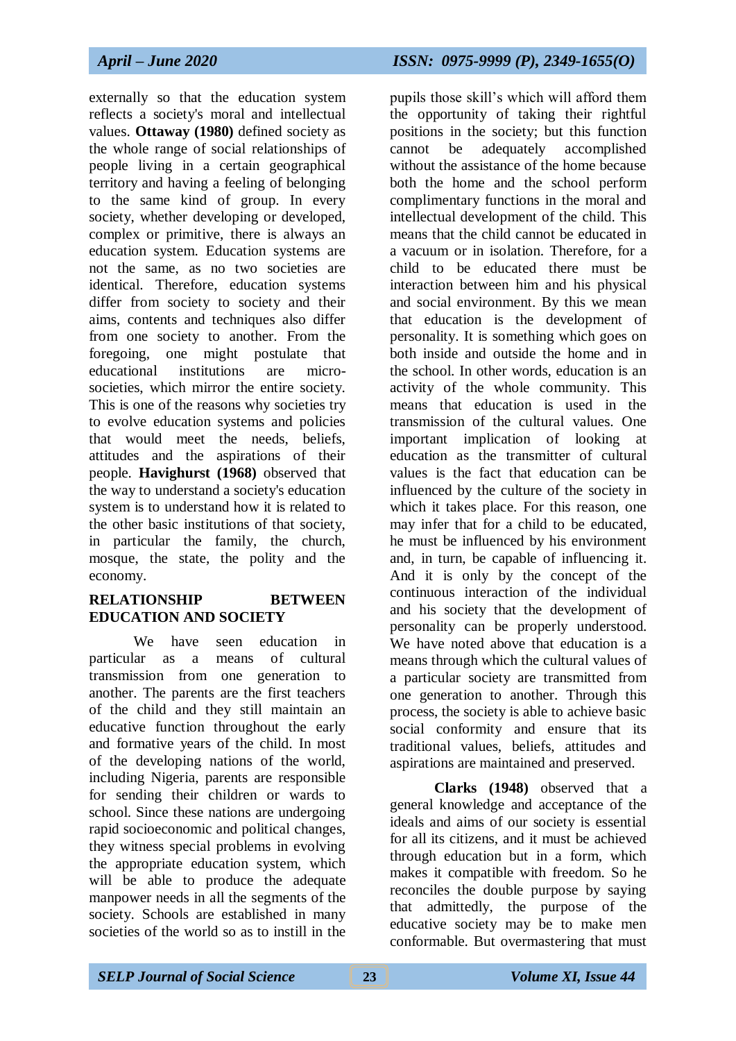externally so that the education system reflects a society's moral and intellectual values. **Ottaway (1980)** defined society as the whole range of social relationships of people living in a certain geographical territory and having a feeling of belonging to the same kind of group. In every society, whether developing or developed, complex or primitive, there is always an education system. Education systems are not the same, as no two societies are identical. Therefore, education systems differ from society to society and their aims, contents and techniques also differ from one society to another. From the foregoing, one might postulate that educational institutions are microsocieties, which mirror the entire society. This is one of the reasons why societies try to evolve education systems and policies that would meet the needs, beliefs, attitudes and the aspirations of their people. **Havighurst (1968)** observed that the way to understand a society's education system is to understand how it is related to the other basic institutions of that society, in particular the family, the church, mosque, the state, the polity and the economy.

#### **RELATIONSHIP BETWEEN EDUCATION AND SOCIETY**

We have seen education in particular as a means of cultural transmission from one generation to another. The parents are the first teachers of the child and they still maintain an educative function throughout the early and formative years of the child. In most of the developing nations of the world, including Nigeria, parents are responsible for sending their children or wards to school. Since these nations are undergoing rapid socioeconomic and political changes, they witness special problems in evolving the appropriate education system, which will be able to produce the adequate manpower needs in all the segments of the society. Schools are established in many societies of the world so as to instill in the

pupils those skill's which will afford them the opportunity of taking their rightful positions in the society; but this function cannot be adequately accomplished without the assistance of the home because both the home and the school perform complimentary functions in the moral and intellectual development of the child. This means that the child cannot be educated in a vacuum or in isolation. Therefore, for a child to be educated there must be interaction between him and his physical and social environment. By this we mean that education is the development of personality. It is something which goes on both inside and outside the home and in the school. In other words, education is an activity of the whole community. This means that education is used in the transmission of the cultural values. One important implication of looking at education as the transmitter of cultural values is the fact that education can be influenced by the culture of the society in which it takes place. For this reason, one may infer that for a child to be educated, he must be influenced by his environment and, in turn, be capable of influencing it. And it is only by the concept of the continuous interaction of the individual and his society that the development of personality can be properly understood. We have noted above that education is a means through which the cultural values of a particular society are transmitted from one generation to another. Through this process, the society is able to achieve basic social conformity and ensure that its traditional values, beliefs, attitudes and aspirations are maintained and preserved.

**Clarks (1948)** observed that a general knowledge and acceptance of the ideals and aims of our society is essential for all its citizens, and it must be achieved through education but in a form, which makes it compatible with freedom. So he reconciles the double purpose by saying that admittedly, the purpose of the educative society may be to make men conformable. But overmastering that must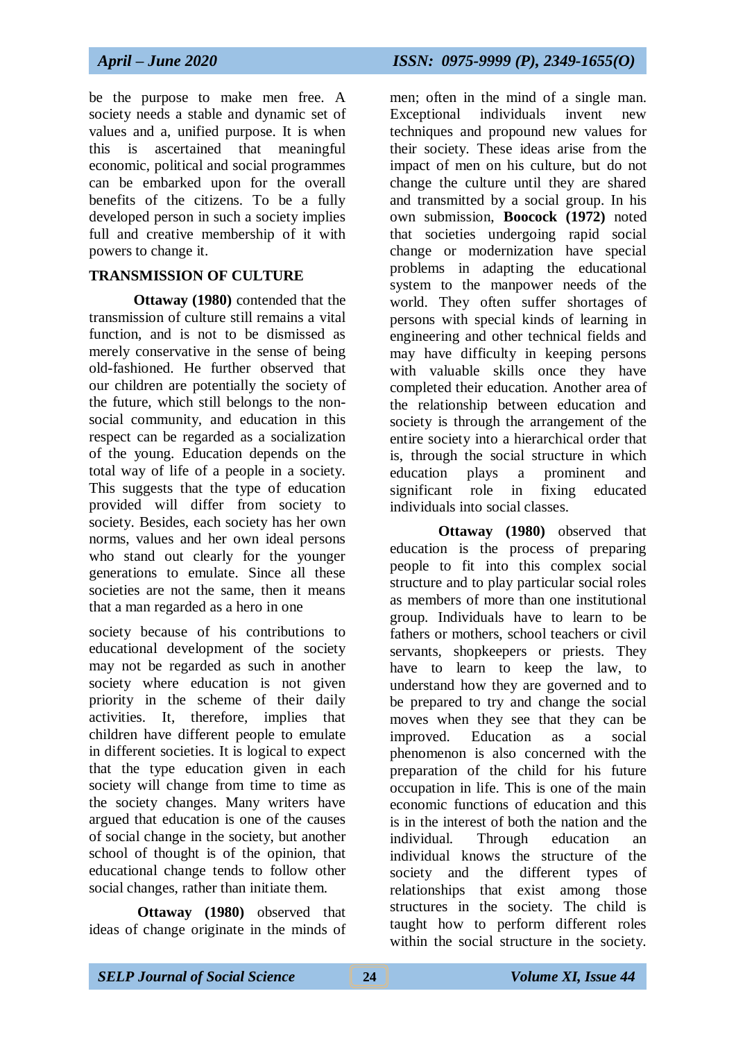be the purpose to make men free. A society needs a stable and dynamic set of values and a, unified purpose. It is when this is ascertained that meaningful economic, political and social programmes can be embarked upon for the overall benefits of the citizens. To be a fully developed person in such a society implies full and creative membership of it with powers to change it.

#### **TRANSMISSION OF CULTURE**

**Ottaway (1980)** contended that the transmission of culture still remains a vital function, and is not to be dismissed as merely conservative in the sense of being old-fashioned. He further observed that our children are potentially the society of the future, which still belongs to the nonsocial community, and education in this respect can be regarded as a socialization of the young. Education depends on the total way of life of a people in a society. This suggests that the type of education provided will differ from society to society. Besides, each society has her own norms, values and her own ideal persons who stand out clearly for the younger generations to emulate. Since all these societies are not the same, then it means that a man regarded as a hero in one

society because of his contributions to educational development of the society may not be regarded as such in another society where education is not given priority in the scheme of their daily activities. It, therefore, implies that children have different people to emulate in different societies. It is logical to expect that the type education given in each society will change from time to time as the society changes. Many writers have argued that education is one of the causes of social change in the society, but another school of thought is of the opinion, that educational change tends to follow other social changes, rather than initiate them.

**Ottaway (1980)** observed that ideas of change originate in the minds of men; often in the mind of a single man. Exceptional individuals invent new techniques and propound new values for their society. These ideas arise from the impact of men on his culture, but do not change the culture until they are shared and transmitted by a social group. In his own submission, **Boocock (1972)** noted that societies undergoing rapid social change or modernization have special problems in adapting the educational system to the manpower needs of the world. They often suffer shortages of persons with special kinds of learning in engineering and other technical fields and may have difficulty in keeping persons with valuable skills once they have completed their education. Another area of the relationship between education and society is through the arrangement of the entire society into a hierarchical order that is, through the social structure in which education plays a prominent and significant role in fixing educated individuals into social classes.

**Ottaway (1980)** observed that education is the process of preparing people to fit into this complex social structure and to play particular social roles as members of more than one institutional group. Individuals have to learn to be fathers or mothers, school teachers or civil servants, shopkeepers or priests. They have to learn to keep the law, to understand how they are governed and to be prepared to try and change the social moves when they see that they can be improved. Education as a social phenomenon is also concerned with the preparation of the child for his future occupation in life. This is one of the main economic functions of education and this is in the interest of both the nation and the individual. Through education an individual knows the structure of the society and the different types of relationships that exist among those structures in the society. The child is taught how to perform different roles within the social structure in the society.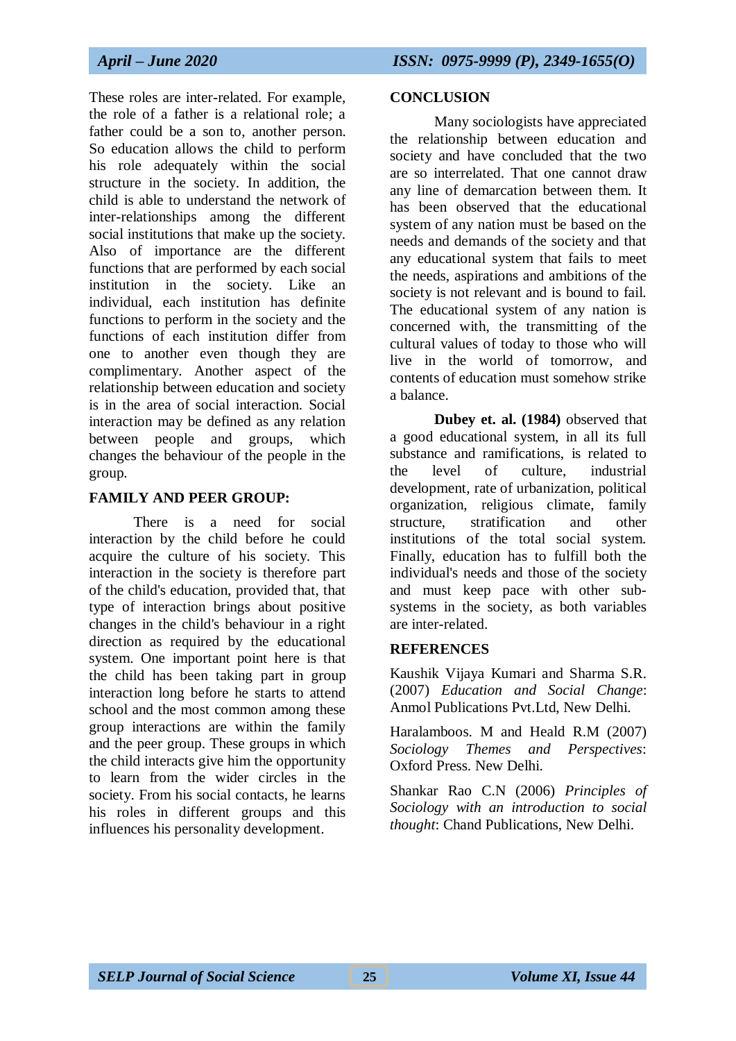These roles are inter-related. For example, the role of a father is a relational role; a father could be a son to, another person. So education allows the child to perform his role adequately within the social structure in the society. In addition, the child is able to understand the network of inter-relationships among the different social institutions that make up the society. Also of importance are the different functions that are performed by each social institution in the society. Like an individual, each institution has definite functions to perform in the society and the functions of each institution differ from one to another even though they are complimentary. Another aspect of the relationship between education and society is in the area of social interaction. Social interaction may be defined as any relation between people and groups, which changes the behaviour of the people in the group.

## **FAMILY AND PEER GROUP:**

There is a need for social interaction by the child before he could acquire the culture of his society. This interaction in the society is therefore part of the child's education, provided that, that type of interaction brings about positive changes in the child's behaviour in a right direction as required by the educational system. One important point here is that the child has been taking part in group interaction long before he starts to attend school and the most common among these group interactions are within the family and the peer group. These groups in which the child interacts give him the opportunity to learn from the wider circles in the society. From his social contacts, he learns his roles in different groups and this influences his personality development.

#### **CONCLUSION**

Many sociologists have appreciated the relationship between education and society and have concluded that the two are so interrelated. That one cannot draw any line of demarcation between them. It has been observed that the educational system of any nation must be based on the needs and demands of the society and that any educational system that fails to meet the needs, aspirations and ambitions of the society is not relevant and is bound to fail. The educational system of any nation is concerned with, the transmitting of the cultural values of today to those who will live in the world of tomorrow, and contents of education must somehow strike a balance.

**Dubey et. al. (1984)** observed that a good educational system, in all its full substance and ramifications, is related to the level of culture, industrial development, rate of urbanization, political organization, religious climate, family structure, stratification and other institutions of the total social system. Finally, education has to fulfill both the individual's needs and those of the society and must keep pace with other subsystems in the society, as both variables are inter-related.

#### **REFERENCES**

Kaushik Vijaya Kumari and Sharma S.R. (2007) *Education and Social Change*: Anmol Publications Pvt.Ltd, New Delhi.

Haralamboos. M and Heald R.M (2007) *Sociology Themes and Perspectives*: Oxford Press. New Delhi.

Shankar Rao C.N (2006) *Principles of Sociology with an introduction to social thought*: Chand Publications, New Delhi.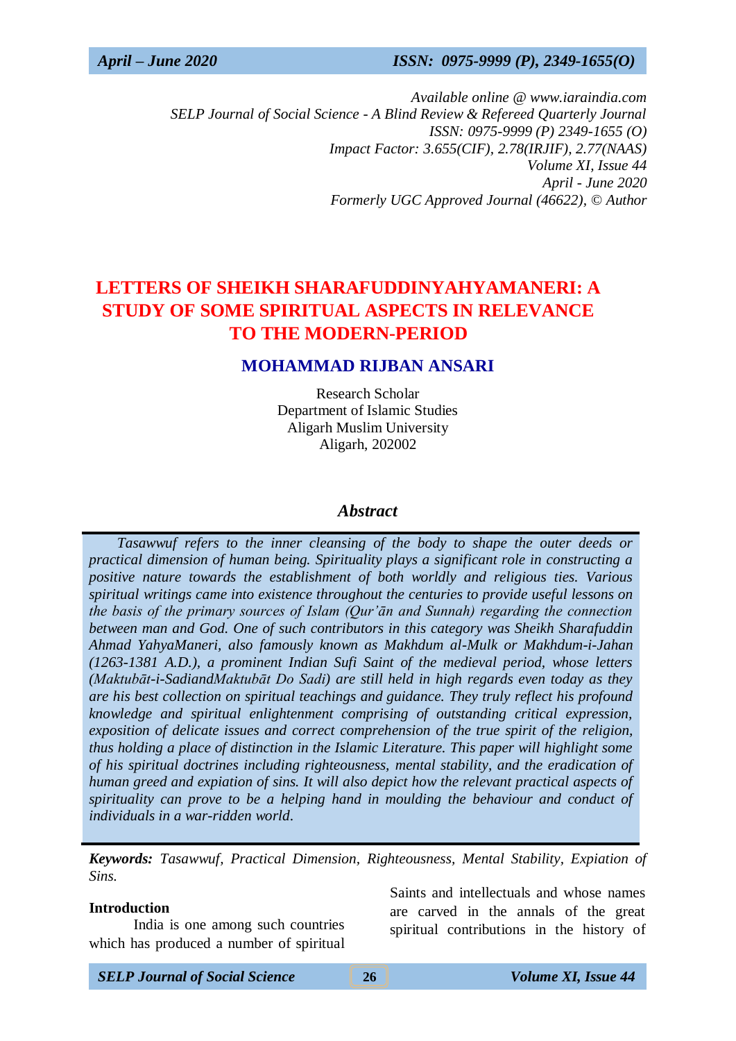*Available online @ www.iaraindia.com SELP Journal of Social Science - A Blind Review & Refereed Quarterly Journal ISSN: 0975-9999 (P) 2349-1655 (O) Impact Factor: 3.655(CIF), 2.78(IRJIF), 2.77(NAAS) Volume XI, Issue 44 April - June 2020 Formerly UGC Approved Journal (46622),* © *Author*

# **LETTERS OF SHEIKH SHARAFUDDINYAHYAMANERI: A STUDY OF SOME SPIRITUAL ASPECTS IN RELEVANCE TO THE MODERN-PERIOD**

## **MOHAMMAD RIJBAN ANSARI**

Research Scholar Department of Islamic Studies Aligarh Muslim University Aligarh, 202002

#### *Abstract*

 *Tasawwuf refers to the inner cleansing of the body to shape the outer deeds or practical dimension of human being. Spirituality plays a significant role in constructing a positive nature towards the establishment of both worldly and religious ties. Various spiritual writings came into existence throughout the centuries to provide useful lessons on the basis of the primary sources of Islam (Qur'ān and Sunnah) regarding the connection between man and God. One of such contributors in this category was Sheikh Sharafuddin Ahmad YahyaManeri, also famously known as Makhdum al-Mulk or Makhdum-i-Jahan (1263-1381 A.D.), a prominent Indian Sufi Saint of the medieval period, whose letters (Maktubāt-i-SadiandMaktubāt Do Sadi) are still held in high regards even today as they are his best collection on spiritual teachings and guidance. They truly reflect his profound knowledge and spiritual enlightenment comprising of outstanding critical expression, exposition of delicate issues and correct comprehension of the true spirit of the religion, thus holding a place of distinction in the Islamic Literature. This paper will highlight some of his spiritual doctrines including righteousness, mental stability, and the eradication of human greed and expiation of sins. It will also depict how the relevant practical aspects of spirituality can prove to be a helping hand in moulding the behaviour and conduct of individuals in a war-ridden world*.

*Keywords: Tasawwuf, Practical Dimension, Righteousness, Mental Stability, Expiation of Sins.*

#### **Introduction**

India is one among such countries which has produced a number of spiritual Saints and intellectuals and whose names are carved in the annals of the great spiritual contributions in the history of

*SELP Journal of Social Science* **26** *Volume XI, Issue 44*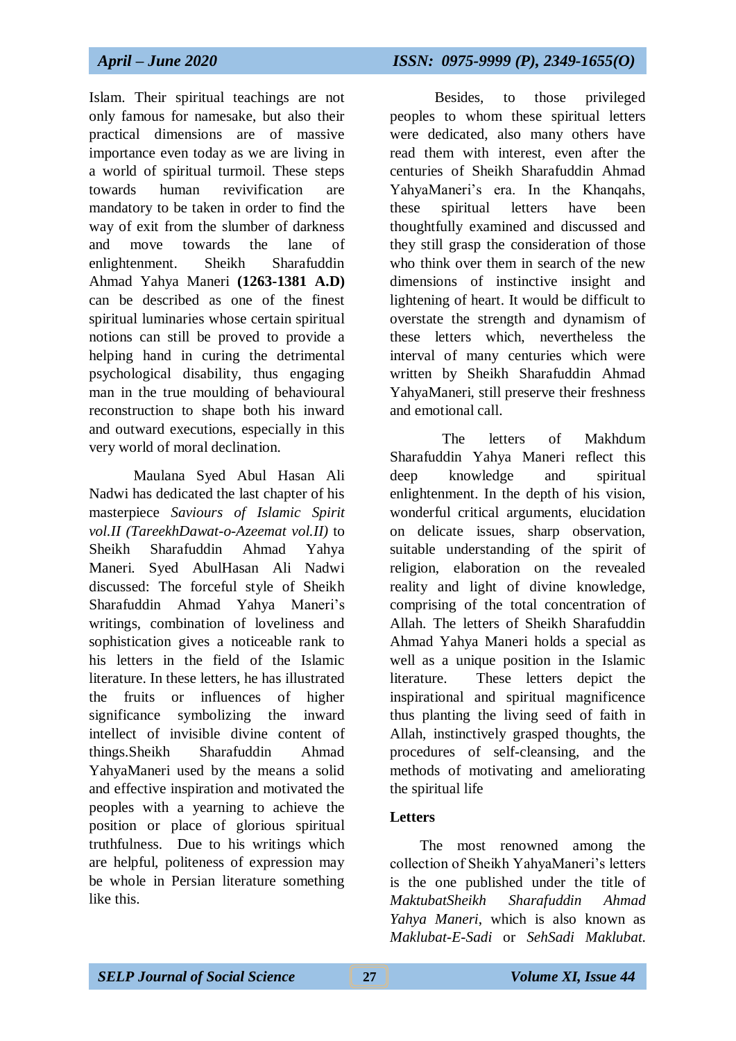Islam. Their spiritual teachings are not only famous for namesake, but also their practical dimensions are of massive importance even today as we are living in a world of spiritual turmoil. These steps towards human revivification are mandatory to be taken in order to find the way of exit from the slumber of darkness and move towards the lane of enlightenment. Sheikh Sharafuddin Ahmad Yahya Maneri **(1263-1381 A.D)** can be described as one of the finest spiritual luminaries whose certain spiritual notions can still be proved to provide a helping hand in curing the detrimental psychological disability, thus engaging man in the true moulding of behavioural reconstruction to shape both his inward and outward executions, especially in this very world of moral declination.

Maulana Syed Abul Hasan Ali Nadwi has dedicated the last chapter of his masterpiece *Saviours of Islamic Spirit vol.II (TareekhDawat-o-Azeemat vol.II)* to Sheikh Sharafuddin Ahmad Yahya Maneri. Syed AbulHasan Ali Nadwi discussed: The forceful style of Sheikh Sharafuddin Ahmad Yahya Maneri's writings, combination of loveliness and sophistication gives a noticeable rank to his letters in the field of the Islamic literature. In these letters, he has illustrated the fruits or influences of higher significance symbolizing the inward intellect of invisible divine content of things.Sheikh Sharafuddin Ahmad YahyaManeri used by the means a solid and effective inspiration and motivated the peoples with a yearning to achieve the position or place of glorious spiritual truthfulness. Due to his writings which are helpful, politeness of expression may be whole in Persian literature something like this.

 Besides, to those privileged peoples to whom these spiritual letters were dedicated, also many others have read them with interest, even after the centuries of Sheikh Sharafuddin Ahmad YahyaManeri's era. In the Khanqahs, these spiritual letters have been thoughtfully examined and discussed and they still grasp the consideration of those who think over them in search of the new dimensions of instinctive insight and lightening of heart. It would be difficult to overstate the strength and dynamism of these letters which, nevertheless the interval of many centuries which were written by Sheikh Sharafuddin Ahmad YahyaManeri, still preserve their freshness and emotional call.

 The letters of Makhdum Sharafuddin Yahya Maneri reflect this deep knowledge and spiritual enlightenment. In the depth of his vision, wonderful critical arguments, elucidation on delicate issues, sharp observation, suitable understanding of the spirit of religion, elaboration on the revealed reality and light of divine knowledge, comprising of the total concentration of Allah. The letters of Sheikh Sharafuddin Ahmad Yahya Maneri holds a special as well as a unique position in the Islamic literature. These letters depict the inspirational and spiritual magnificence thus planting the living seed of faith in Allah, instinctively grasped thoughts, the procedures of self-cleansing, and the methods of motivating and ameliorating the spiritual life

## **Letters**

 The most renowned among the collection of Sheikh YahyaManeri's letters is the one published under the title of *MaktubatSheikh Sharafuddin Ahmad Yahya Maneri*, which is also known as *Maklubat-E-Sadi* or *SehSadi Maklubat*.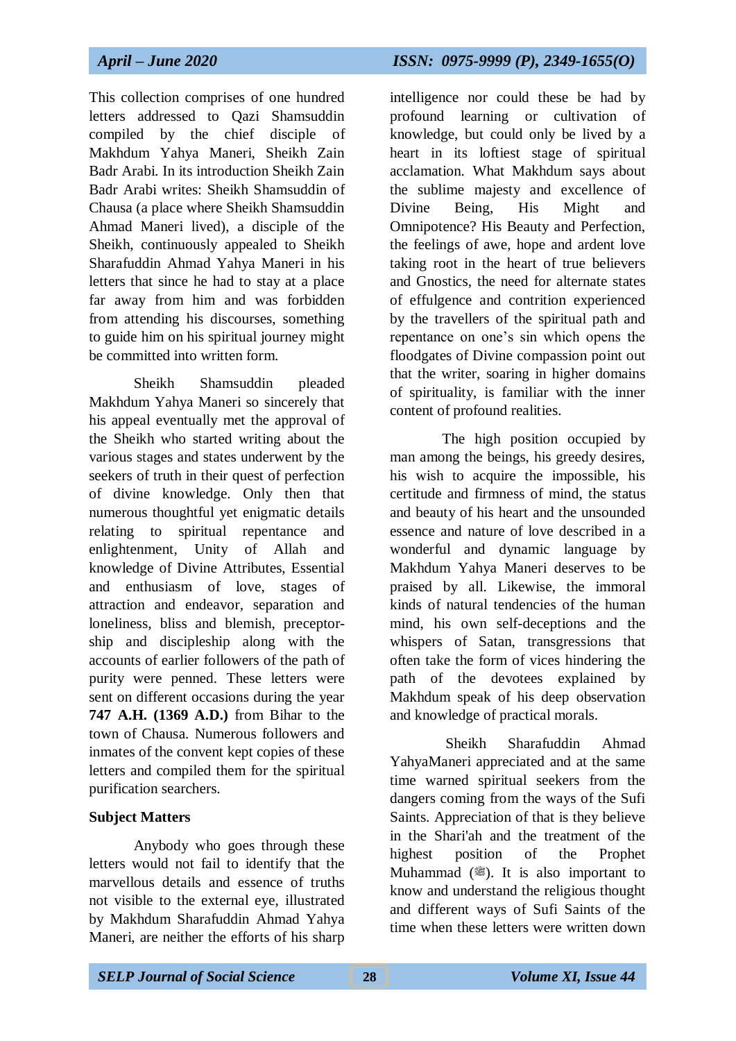This collection comprises of one hundred letters addressed to Qazi Shamsuddin compiled by the chief disciple of Makhdum Yahya Maneri, Sheikh Zain Badr Arabi. In its introduction Sheikh Zain Badr Arabi writes: Sheikh Shamsuddin of Chausa (a place where Sheikh Shamsuddin Ahmad Maneri lived), a disciple of the Sheikh, continuously appealed to Sheikh Sharafuddin Ahmad Yahya Maneri in his letters that since he had to stay at a place far away from him and was forbidden from attending his discourses, something to guide him on his spiritual journey might be committed into written form.

 Sheikh Shamsuddin pleaded Makhdum Yahya Maneri so sincerely that his appeal eventually met the approval of the Sheikh who started writing about the various stages and states underwent by the seekers of truth in their quest of perfection of divine knowledge. Only then that numerous thoughtful yet enigmatic details relating to spiritual repentance and enlightenment, Unity of Allah and knowledge of Divine Attributes, Essential and enthusiasm of love, stages of attraction and endeavor, separation and loneliness, bliss and blemish, preceptorship and discipleship along with the accounts of earlier followers of the path of purity were penned. These letters were sent on different occasions during the year **747 A.H. (1369 A.D.)** from Bihar to the town of Chausa. Numerous followers and inmates of the convent kept copies of these letters and compiled them for the spiritual purification searchers.

## **Subject Matters**

 Anybody who goes through these letters would not fail to identify that the marvellous details and essence of truths not visible to the external eye, illustrated by Makhdum Sharafuddin Ahmad Yahya Maneri, are neither the efforts of his sharp

# *April – June 2020 ISSN: 0975-9999 (P), 2349-1655(O)*

intelligence nor could these be had by profound learning or cultivation of knowledge, but could only be lived by a heart in its loftiest stage of spiritual acclamation. What Makhdum says about the sublime majesty and excellence of Divine Being, His Might and Omnipotence? His Beauty and Perfection, the feelings of awe, hope and ardent love taking root in the heart of true believers and Gnostics, the need for alternate states of effulgence and contrition experienced by the travellers of the spiritual path and repentance on one's sin which opens the floodgates of Divine compassion point out that the writer, soaring in higher domains of spirituality, is familiar with the inner content of profound realities.

 The high position occupied by man among the beings, his greedy desires, his wish to acquire the impossible, his certitude and firmness of mind, the status and beauty of his heart and the unsounded essence and nature of love described in a wonderful and dynamic language by Makhdum Yahya Maneri deserves to be praised by all. Likewise, the immoral kinds of natural tendencies of the human mind, his own self-deceptions and the whispers of Satan, transgressions that often take the form of vices hindering the path of the devotees explained by Makhdum speak of his deep observation and knowledge of practical morals.

 Sheikh Sharafuddin Ahmad YahyaManeri appreciated and at the same time warned spiritual seekers from the dangers coming from the ways of the Sufi Saints. Appreciation of that is they believe in the Shari'ah and the treatment of the highest position of the Prophet Muhammad  $(\mathcal{L})$ . It is also important to know and understand the religious thought and different ways of Sufi Saints of the time when these letters were written down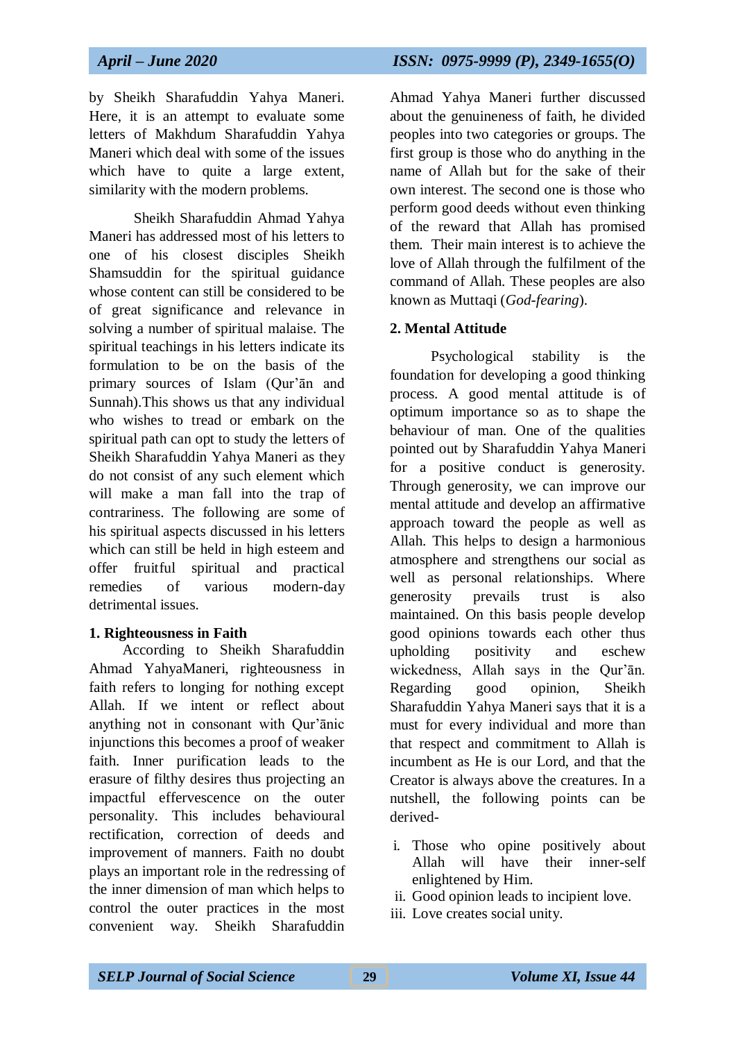by Sheikh Sharafuddin Yahya Maneri. Here, it is an attempt to evaluate some letters of Makhdum Sharafuddin Yahya Maneri which deal with some of the issues which have to quite a large extent, similarity with the modern problems.

 Sheikh Sharafuddin Ahmad Yahya Maneri has addressed most of his letters to one of his closest disciples Sheikh Shamsuddin for the spiritual guidance whose content can still be considered to be of great significance and relevance in solving a number of spiritual malaise. The spiritual teachings in his letters indicate its formulation to be on the basis of the primary sources of Islam (Qur'ān and Sunnah).This shows us that any individual who wishes to tread or embark on the spiritual path can opt to study the letters of Sheikh Sharafuddin Yahya Maneri as they do not consist of any such element which will make a man fall into the trap of contrariness. The following are some of his spiritual aspects discussed in his letters which can still be held in high esteem and offer fruitful spiritual and practical remedies of various modern-day detrimental issues.

#### **1. Righteousness in Faith**

 According to Sheikh Sharafuddin Ahmad YahyaManeri, righteousness in faith refers to longing for nothing except Allah. If we intent or reflect about anything not in consonant with Qur'ānic injunctions this becomes a proof of weaker faith. Inner purification leads to the erasure of filthy desires thus projecting an impactful effervescence on the outer personality. This includes behavioural rectification, correction of deeds and improvement of manners. Faith no doubt plays an important role in the redressing of the inner dimension of man which helps to control the outer practices in the most convenient way. Sheikh Sharafuddin

Ahmad Yahya Maneri further discussed

about the genuineness of faith, he divided peoples into two categories or groups. The first group is those who do anything in the name of Allah but for the sake of their own interest. The second one is those who perform good deeds without even thinking of the reward that Allah has promised them. Their main interest is to achieve the love of Allah through the fulfilment of the command of Allah. These peoples are also known as Muttaqi (*God-fearing*).

#### **2. Mental Attitude**

 Psychological stability is the foundation for developing a good thinking process. A good mental attitude is of optimum importance so as to shape the behaviour of man. One of the qualities pointed out by Sharafuddin Yahya Maneri for a positive conduct is generosity. Through generosity, we can improve our mental attitude and develop an affirmative approach toward the people as well as Allah. This helps to design a harmonious atmosphere and strengthens our social as well as personal relationships. Where generosity prevails trust is also maintained. On this basis people develop good opinions towards each other thus upholding positivity and eschew wickedness, Allah says in the Qur'ān. Regarding good opinion, Sheikh Sharafuddin Yahya Maneri says that it is a must for every individual and more than that respect and commitment to Allah is incumbent as He is our Lord, and that the Creator is always above the creatures. In a nutshell, the following points can be derived-

- i. Those who opine positively about Allah will have their inner-self enlightened by Him.
- ii. Good opinion leads to incipient love.
- iii. Love creates social unity.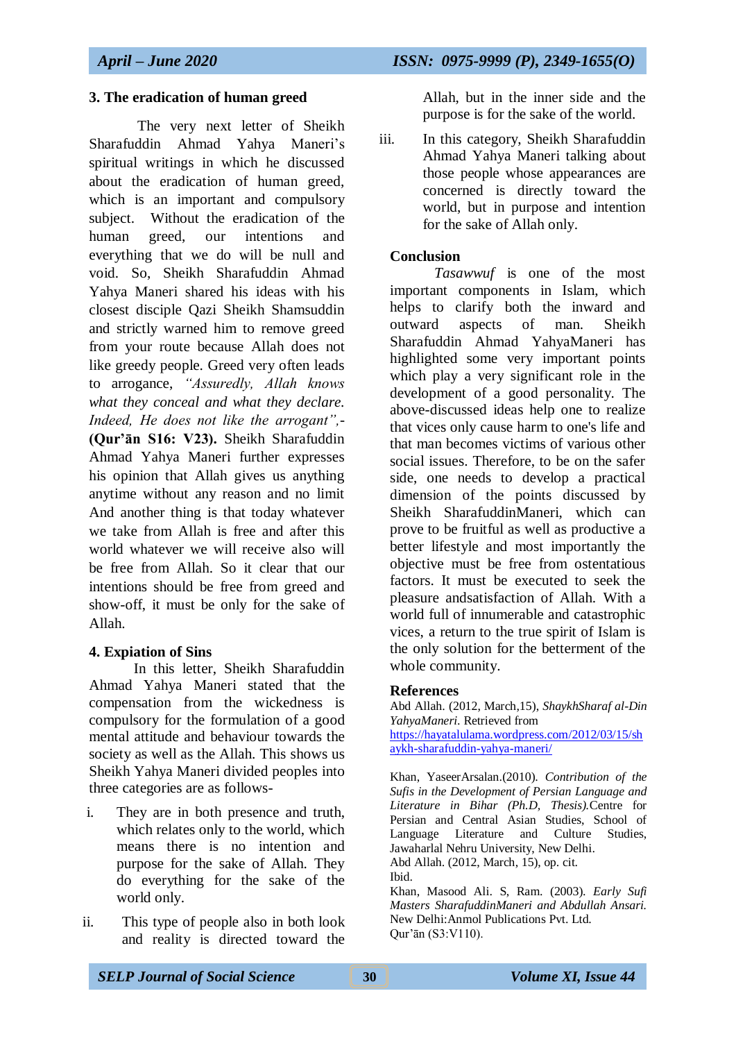#### **3. The eradication of human greed**

 The very next letter of Sheikh Sharafuddin Ahmad Yahya Maneri's spiritual writings in which he discussed about the eradication of human greed, which is an important and compulsory subject. Without the eradication of the human greed, our intentions and everything that we do will be null and void. So, Sheikh Sharafuddin Ahmad Yahya Maneri shared his ideas with his closest disciple Qazi Sheikh Shamsuddin and strictly warned him to remove greed from your route because Allah does not like greedy people. Greed very often leads to arrogance, *"Assuredly, Allah knows what they conceal and what they declare. Indeed, He does not like the arrogant",*- **(Qur'ān S16: V23).** Sheikh Sharafuddin Ahmad Yahya Maneri further expresses his opinion that Allah gives us anything anytime without any reason and no limit And another thing is that today whatever we take from Allah is free and after this world whatever we will receive also will be free from Allah. So it clear that our intentions should be free from greed and show-off, it must be only for the sake of Allah.

#### **4. Expiation of Sins**

 In this letter, Sheikh Sharafuddin Ahmad Yahya Maneri stated that the compensation from the wickedness is compulsory for the formulation of a good mental attitude and behaviour towards the society as well as the Allah. This shows us Sheikh Yahya Maneri divided peoples into three categories are as follows-

- i. They are in both presence and truth, which relates only to the world, which means there is no intention and purpose for the sake of Allah. They do everything for the sake of the world only.
- ii. This type of people also in both look and reality is directed toward the

Allah, but in the inner side and the purpose is for the sake of the world.

iii. In this category, Sheikh Sharafuddin Ahmad Yahya Maneri talking about those people whose appearances are concerned is directly toward the world, but in purpose and intention for the sake of Allah only.

#### **Conclusion**

*Tasawwuf* is one of the most important components in Islam, which helps to clarify both the inward and outward aspects of man. Sheikh Sharafuddin Ahmad YahyaManeri has highlighted some very important points which play a very significant role in the development of a good personality. The above-discussed ideas help one to realize that vices only cause harm to one's life and that man becomes victims of various other social issues. Therefore, to be on the safer side, one needs to develop a practical dimension of the points discussed by Sheikh SharafuddinManeri, which can prove to be fruitful as well as productive a better lifestyle and most importantly the objective must be free from ostentatious factors. It must be executed to seek the pleasure andsatisfaction of Allah. With a world full of innumerable and catastrophic vices, a return to the true spirit of Islam is the only solution for the betterment of the whole community.

#### **References**

Abd Allah. (2012, March,15), *ShaykhSharaf al-Din YahyaManeri*. Retrieved from [https://hayatalulama.wordpress.com/](https://hayatalulama.wordpress.com/2012/03/15/shaykh-sharafuddin-yahya-maneri/)2012/03/15/sh aykh-sharafuddin-yahya-maneri/

Khan, YaseerArsalan.(2010). *Contribution of the Sufis in the Development of Persian Language and Literature in Bihar (Ph.D, Thesis).*Centre for Persian and Central Asian Studies, School of Language Literature and Culture Studies, Jawaharlal Nehru University, New Delhi. Abd Allah. (2012, March, 15), op. cit. Ibid.

Khan, Masood Ali. S, Ram. (2003). *Early Sufi Masters SharafuddinManeri and Abdullah Ansari.* New Delhi:Anmol Publications Pvt. Ltd. Qur'ān (S3:V110).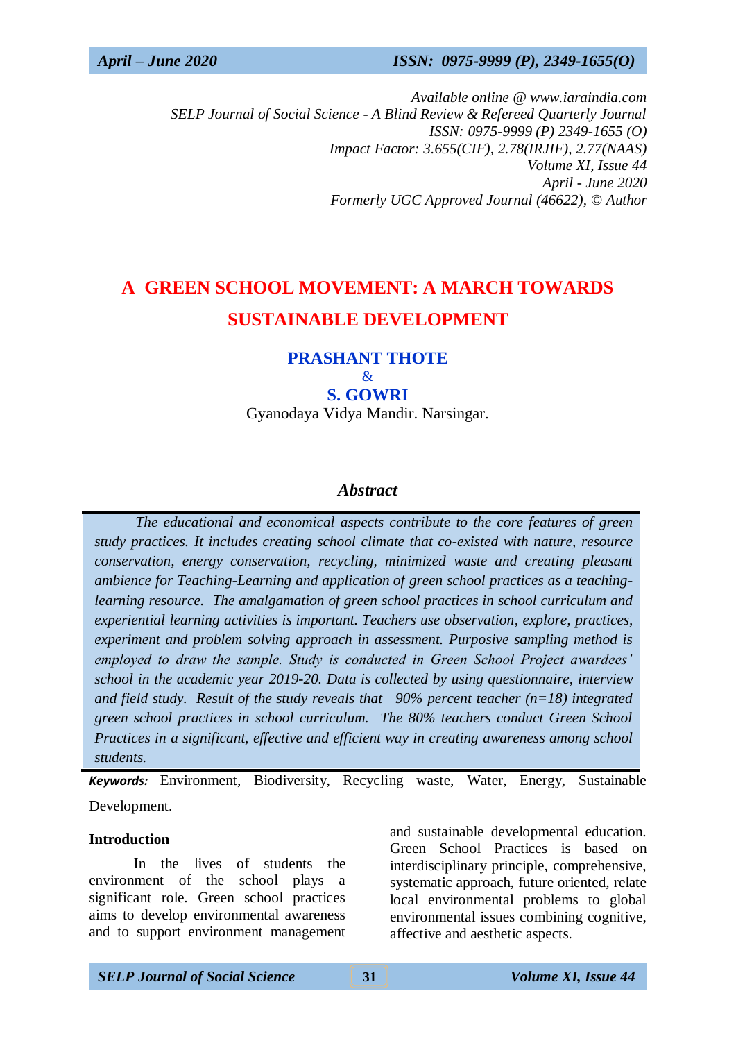*Available online @ www.iaraindia.com SELP Journal of Social Science - A Blind Review & Refereed Quarterly Journal ISSN: 0975-9999 (P) 2349-1655 (O) Impact Factor: 3.655(CIF), 2.78(IRJIF), 2.77(NAAS) Volume XI, Issue 44 April - June 2020 Formerly UGC Approved Journal (46622),* © *Author*

# **A GREEN SCHOOL MOVEMENT: A MARCH TOWARDS SUSTAINABLE DEVELOPMENT**

#### **PRASHANT THOTE**  $\mathcal{R}_{\mathcal{T}}$

**S. GOWRI** 

Gyanodaya Vidya Mandir. Narsingar.

#### *Abstract*

 *The educational and economical aspects contribute to the core features of green study practices. It includes creating school climate that co-existed with nature, resource conservation, energy conservation, recycling, minimized waste and creating pleasant ambience for Teaching-Learning and application of green school practices as a teachinglearning resource. The amalgamation of green school practices in school curriculum and experiential learning activities is important. Teachers use observation, explore, practices, experiment and problem solving approach in assessment. Purposive sampling method is employed to draw the sample. Study is conducted in Green School Project awardees' school in the academic year 2019-20. Data is collected by using questionnaire, interview and field study. Result of the study reveals that 90% percent teacher (n=18) integrated green school practices in school curriculum. The 80% teachers conduct Green School Practices in a significant, effective and efficient way in creating awareness among school students.*

*Keywords:* Environment, Biodiversity, Recycling waste, Water, Energy, Sustainable Development.

#### **Introduction**

In the lives of students the environment of the school plays a significant role. Green school practices aims to develop environmental awareness and to support environment management and sustainable developmental education. Green School Practices is based on interdisciplinary principle, comprehensive, systematic approach, future oriented, relate local environmental problems to global environmental issues combining cognitive, affective and aesthetic aspects.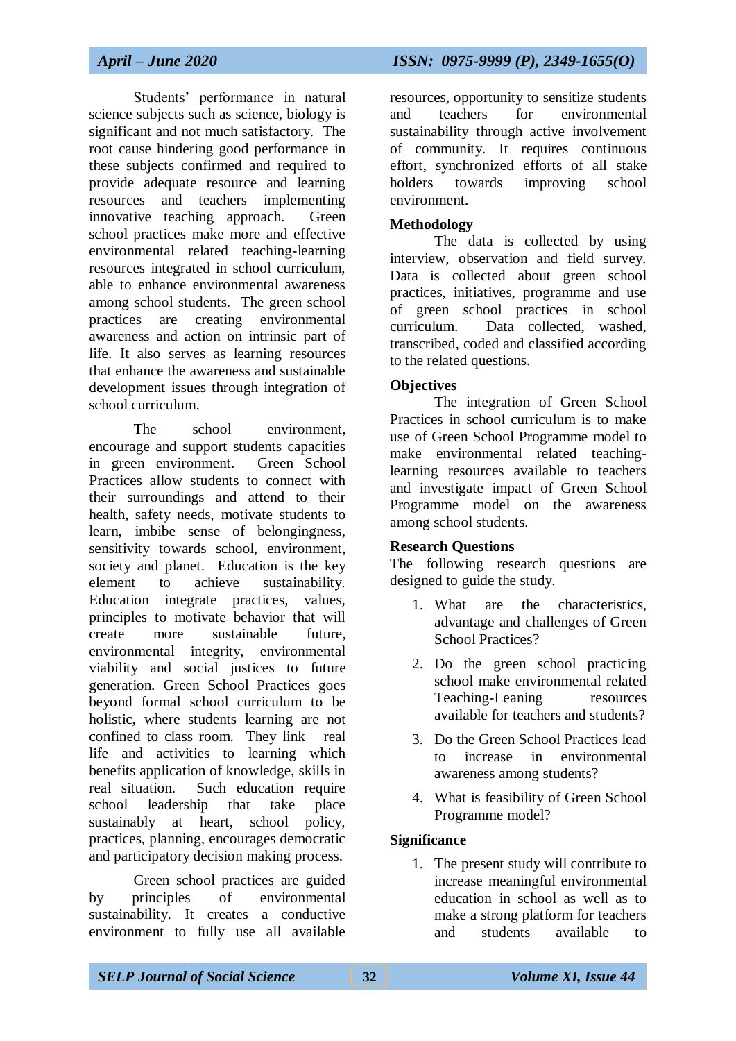Students' performance in natural science subjects such as science, biology is significant and not much satisfactory. The root cause hindering good performance in these subjects confirmed and required to provide adequate resource and learning resources and teachers implementing innovative teaching approach. Green school practices make more and effective environmental related teaching-learning resources integrated in school curriculum, able to enhance environmental awareness among school students. The green school practices are creating environmental awareness and action on intrinsic part of life. It also serves as learning resources that enhance the awareness and sustainable development issues through integration of school curriculum.

The school environment. encourage and support students capacities in green environment. Green School Practices allow students to connect with their surroundings and attend to their health, safety needs, motivate students to learn, imbibe sense of belongingness, sensitivity towards school, environment, society and planet. Education is the key element to achieve sustainability. Education integrate practices, values, principles to motivate behavior that will create more sustainable future, environmental integrity, environmental viability and social justices to future generation. Green School Practices goes beyond formal school curriculum to be holistic, where students learning are not confined to class room. They link real life and activities to learning which benefits application of knowledge, skills in real situation. Such education require school leadership that take place sustainably at heart, school policy, practices, planning, encourages democratic and participatory decision making process.

Green school practices are guided by principles of environmental sustainability. It creates a conductive environment to fully use all available

resources, opportunity to sensitize students and teachers for environmental sustainability through active involvement of community. It requires continuous effort, synchronized efforts of all stake holders towards improving school environment.

## **Methodology**

The data is collected by using interview, observation and field survey. Data is collected about green school practices, initiatives, programme and use of green school practices in school curriculum. Data collected, washed, transcribed, coded and classified according to the related questions.

## **Objectives**

The integration of Green School Practices in school curriculum is to make use of Green School Programme model to make environmental related teachinglearning resources available to teachers and investigate impact of Green School Programme model on the awareness among school students.

## **Research Questions**

The following research questions are designed to guide the study.

- 1. What are the characteristics, advantage and challenges of Green School Practices?
- 2. Do the green school practicing school make environmental related Teaching-Leaning resources available for teachers and students?
- 3. Do the Green School Practices lead to increase in environmental awareness among students?
- 4. What is feasibility of Green School Programme model?

## **Significance**

1. The present study will contribute to increase meaningful environmental education in school as well as to make a strong platform for teachers and students available to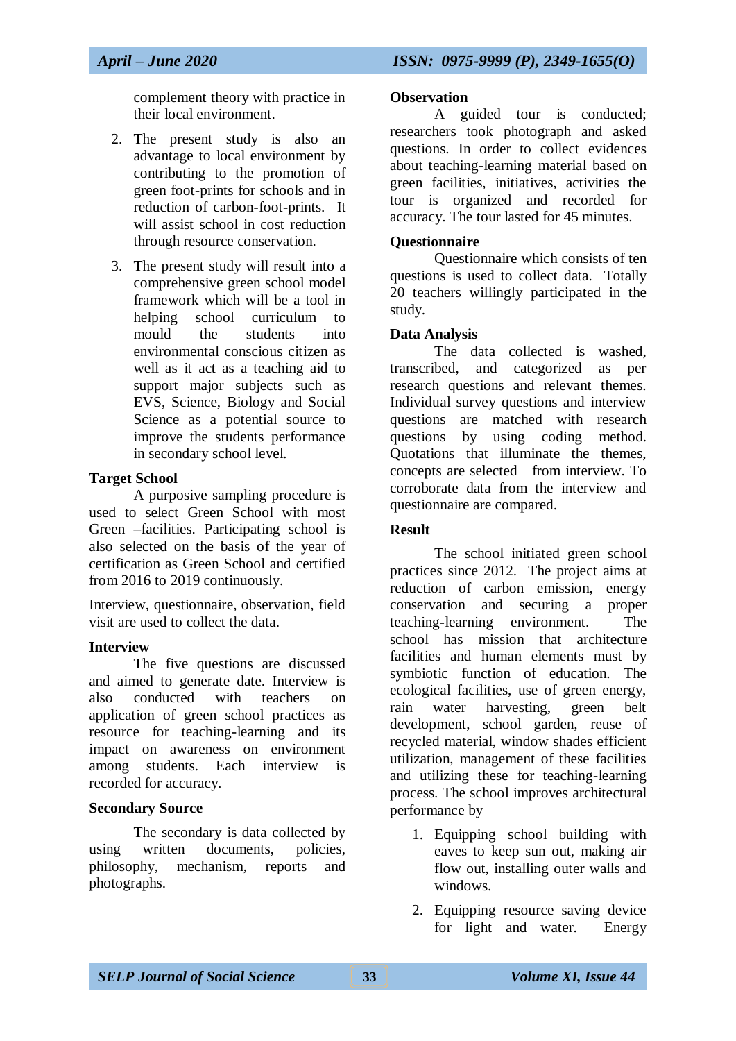complement theory with practice in their local environment.

- 2. The present study is also an advantage to local environment by contributing to the promotion of green foot-prints for schools and in reduction of carbon-foot-prints. It will assist school in cost reduction through resource conservation.
- 3. The present study will result into a comprehensive green school model framework which will be a tool in helping school curriculum to mould the students into environmental conscious citizen as well as it act as a teaching aid to support major subjects such as EVS, Science, Biology and Social Science as a potential source to improve the students performance in secondary school level.

#### **Target School**

A purposive sampling procedure is used to select Green School with most Green –facilities. Participating school is also selected on the basis of the year of certification as Green School and certified from 2016 to 2019 continuously.

Interview, questionnaire, observation, field visit are used to collect the data.

## **Interview**

The five questions are discussed and aimed to generate date. Interview is also conducted with teachers on application of green school practices as resource for teaching-learning and its impact on awareness on environment among students. Each interview is recorded for accuracy.

#### **Secondary Source**

The secondary is data collected by using written documents, policies, philosophy, mechanism, reports and photographs.

#### **Observation**

A guided tour is conducted; researchers took photograph and asked questions. In order to collect evidences about teaching-learning material based on green facilities, initiatives, activities the tour is organized and recorded for accuracy. The tour lasted for 45 minutes.

#### **Questionnaire**

Questionnaire which consists of ten questions is used to collect data. Totally 20 teachers willingly participated in the study.

#### **Data Analysis**

The data collected is washed, transcribed, and categorized as per research questions and relevant themes. Individual survey questions and interview questions are matched with research questions by using coding method. Quotations that illuminate the themes, concepts are selected from interview. To corroborate data from the interview and questionnaire are compared.

## **Result**

The school initiated green school practices since 2012. The project aims at reduction of carbon emission, energy conservation and securing a proper teaching-learning environment. The school has mission that architecture facilities and human elements must by symbiotic function of education. The ecological facilities, use of green energy, rain water harvesting, green belt development, school garden, reuse of recycled material, window shades efficient utilization, management of these facilities and utilizing these for teaching-learning process. The school improves architectural performance by

- 1. Equipping school building with eaves to keep sun out, making air flow out, installing outer walls and windows.
- 2. Equipping resource saving device for light and water. Energy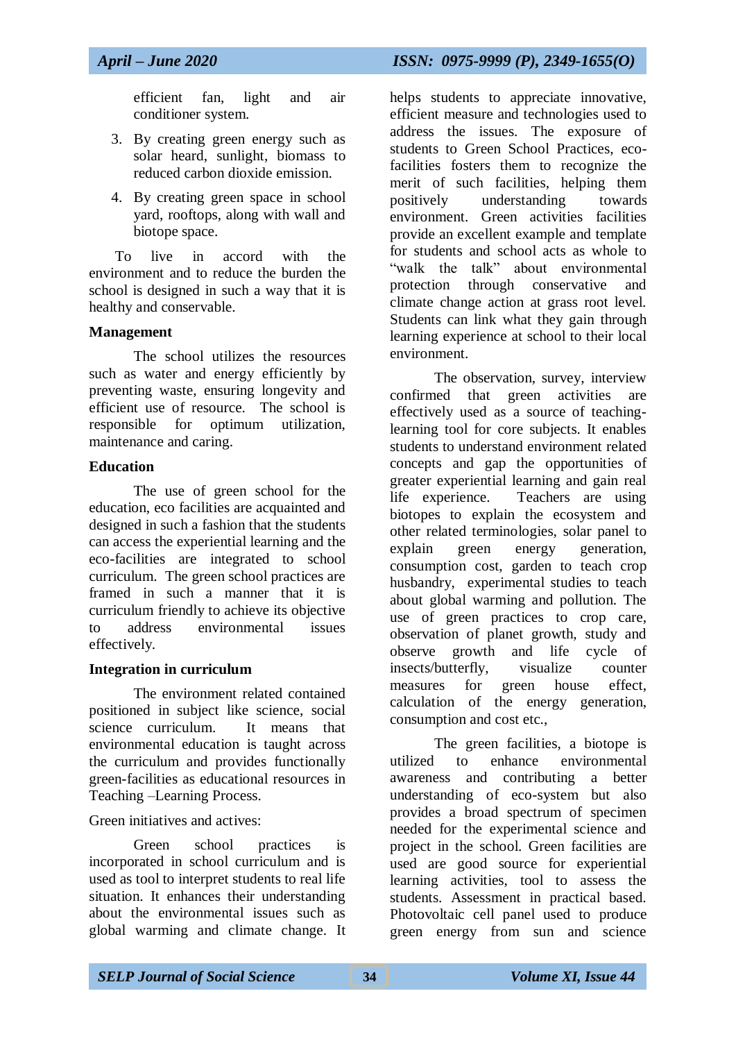efficient fan, light and air conditioner system.

- 3. By creating green energy such as solar heard, sunlight, biomass to reduced carbon dioxide emission.
- 4. By creating green space in school yard, rooftops, along with wall and biotope space.

To live in accord with the environment and to reduce the burden the school is designed in such a way that it is healthy and conservable.

#### **Management**

The school utilizes the resources such as water and energy efficiently by preventing waste, ensuring longevity and efficient use of resource. The school is responsible for optimum utilization, maintenance and caring.

## **Education**

The use of green school for the education, eco facilities are acquainted and designed in such a fashion that the students can access the experiential learning and the eco-facilities are integrated to school curriculum. The green school practices are framed in such a manner that it is curriculum friendly to achieve its objective to address environmental issues effectively.

## **Integration in curriculum**

The environment related contained positioned in subject like science, social science curriculum. It means that environmental education is taught across the curriculum and provides functionally green-facilities as educational resources in Teaching –Learning Process.

## Green initiatives and actives:

Green school practices is incorporated in school curriculum and is used as tool to interpret students to real life situation. It enhances their understanding about the environmental issues such as global warming and climate change. It

helps students to appreciate innovative, efficient measure and technologies used to address the issues. The exposure of students to Green School Practices, ecofacilities fosters them to recognize the merit of such facilities, helping them positively understanding towards environment. Green activities facilities provide an excellent example and template for students and school acts as whole to "walk the talk" about environmental protection through conservative and climate change action at grass root level. Students can link what they gain through learning experience at school to their local environment.

The observation, survey, interview confirmed that green activities are effectively used as a source of teachinglearning tool for core subjects. It enables students to understand environment related concepts and gap the opportunities of greater experiential learning and gain real life experience. Teachers are using biotopes to explain the ecosystem and other related terminologies, solar panel to explain green energy generation, consumption cost, garden to teach crop husbandry, experimental studies to teach about global warming and pollution. The use of green practices to crop care, observation of planet growth, study and observe growth and life cycle of insects/butterfly, visualize counter measures for green house effect, calculation of the energy generation, consumption and cost etc.,

The green facilities, a biotope is utilized to enhance environmental awareness and contributing a better understanding of eco-system but also provides a broad spectrum of specimen needed for the experimental science and project in the school. Green facilities are used are good source for experiential learning activities, tool to assess the students. Assessment in practical based. Photovoltaic cell panel used to produce green energy from sun and science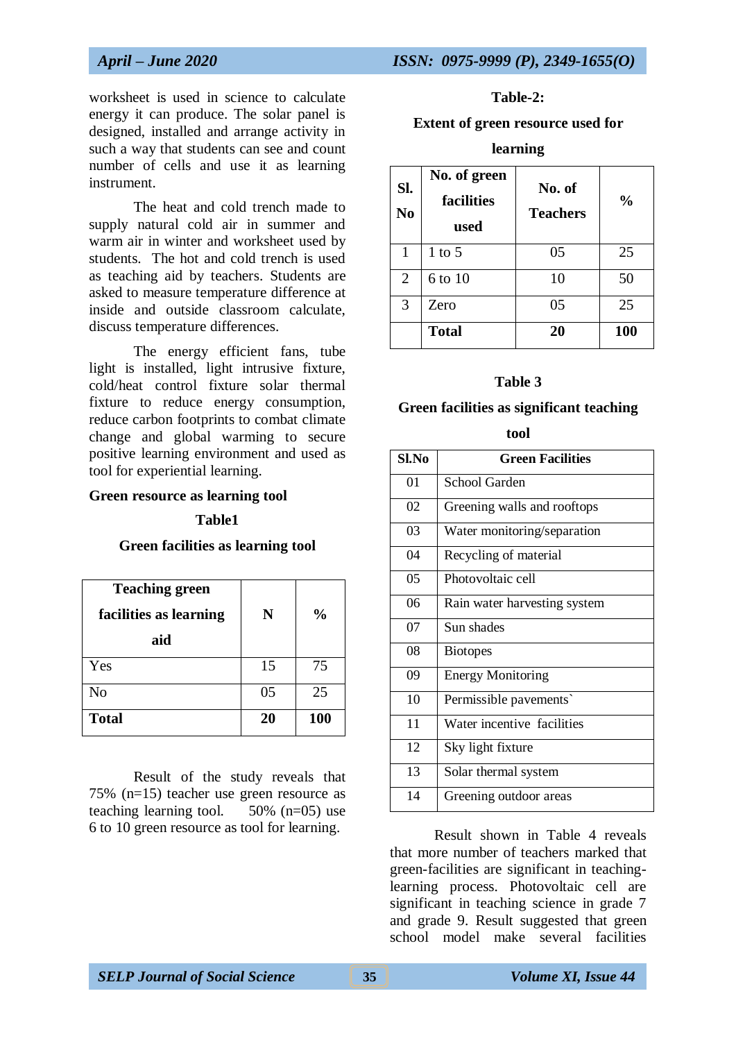worksheet is used in science to calculate energy it can produce. The solar panel is designed, installed and arrange activity in such a way that students can see and count number of cells and use it as learning instrument.

The heat and cold trench made to supply natural cold air in summer and warm air in winter and worksheet used by students. The hot and cold trench is used as teaching aid by teachers. Students are asked to measure temperature difference at inside and outside classroom calculate, discuss temperature differences.

The energy efficient fans, tube light is installed, light intrusive fixture, cold/heat control fixture solar thermal fixture to reduce energy consumption, reduce carbon footprints to combat climate change and global warming to secure positive learning environment and used as tool for experiential learning.

#### **Green resource as learning tool**

#### **Table1**

#### **Green facilities as learning tool**

| <b>Teaching green</b><br>facilities as learning<br>aid | N  | $\frac{0}{0}$ |
|--------------------------------------------------------|----|---------------|
| Yes                                                    | 15 | 75            |
| N <sub>0</sub>                                         | 05 | 25            |
| <b>Total</b>                                           | 20 | 100           |

Result of the study reveals that 75% (n=15) teacher use green resource as teaching learning tool.  $50\%$  (n=05) use 6 to 10 green resource as tool for learning.

#### **Table-2:**

#### **Extent of green resource used for**

#### **learning**

| Sl.<br>N <sub>o</sub> | No. of green<br>facilities<br>used | No. of<br><b>Teachers</b> | $\frac{0}{0}$ |
|-----------------------|------------------------------------|---------------------------|---------------|
| 1                     | 1 to $5$                           | 05                        | 25            |
| 2                     | 6 to 10                            | 10                        | 50            |
| 3                     | Zero                               | 05                        | 25            |
|                       | <b>Total</b>                       | 20                        | 100           |

#### **Table 3**

#### **Green facilities as significant teaching**

**tool**

| Sl.No | <b>Green Facilities</b>      |
|-------|------------------------------|
| 01    | School Garden                |
| 02    | Greening walls and rooftops  |
| 03    | Water monitoring/separation  |
| 04    | Recycling of material        |
| 05    | Photovoltaic cell            |
| 06    | Rain water harvesting system |
| 07    | Sun shades                   |
| 08    | <b>Biotopes</b>              |
| 09    | <b>Energy Monitoring</b>     |
| 10    | Permissible pavements`       |
| 11    | Water incentive facilities   |
| 12    | Sky light fixture            |
| 13    | Solar thermal system         |
| 14    | Greening outdoor areas       |

Result shown in Table 4 reveals that more number of teachers marked that green-facilities are significant in teachinglearning process. Photovoltaic cell are significant in teaching science in grade 7 and grade 9. Result suggested that green school model make several facilities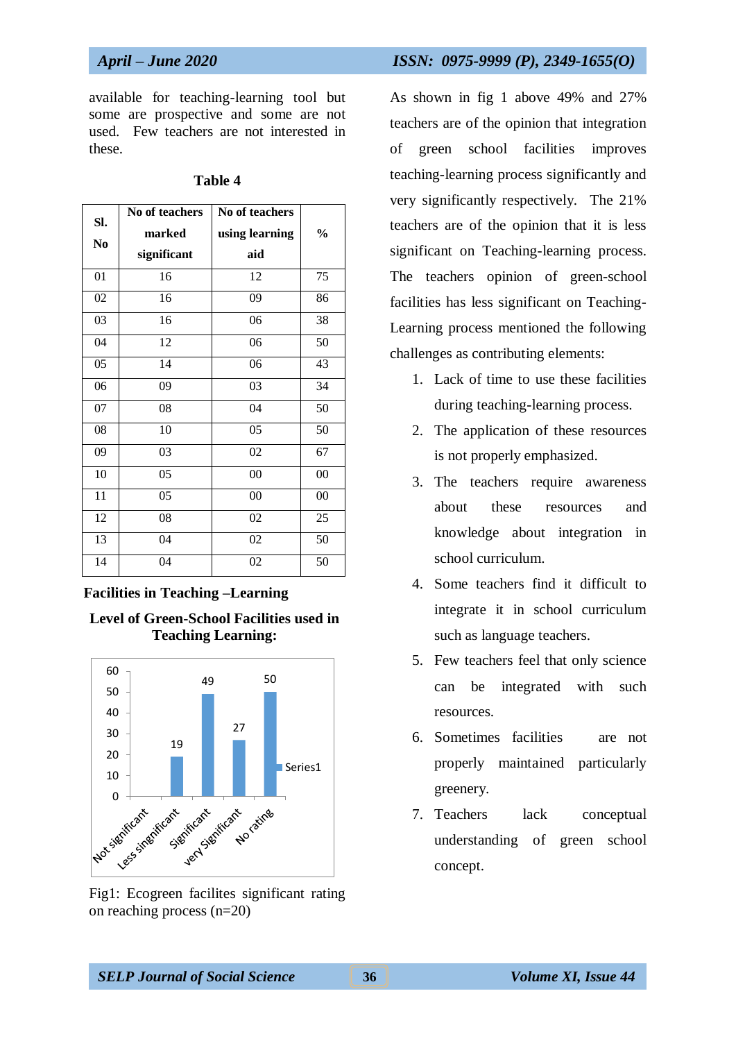available for teaching-learning tool but some are prospective and some are not used. Few teachers are not interested in these.

| SI. | No of teachers | No of teachers |        |
|-----|----------------|----------------|--------|
| No  | marked         | using learning | $\%$   |
|     | significant    | aid            |        |
| 01  | 16             | 12             | 75     |
| 02  | 16             | 09             | 86     |
| 03  | 16             | 06             | 38     |
| 04  | 12             | 06             | 50     |
| 05  | 14             | 06             | 43     |
| 06  | 09             | 03             | 34     |
| 07  | 08             | 04             | 50     |
| 08  | 10             | 05             | 50     |
| 09  | 03             | 02             | 67     |
| 10  | 05             | $00\,$         | $00\,$ |
| 11  | 05             | $00\,$         | $00\,$ |
| 12  | 08             | 02             | 25     |
| 13  | 04             | 02             | 50     |
| 14  | 04             | 02             | 50     |

#### **Table 4**

#### **Facilities in Teaching –Learning**





Fig1: Ecogreen facilites significant rating on reaching process (n=20)

#### *April – June 2020 ISSN: 0975-9999 (P), 2349-1655(O)*

As shown in fig 1 above 49% and 27% teachers are of the opinion that integration of green school facilities improves teaching-learning process significantly and very significantly respectively. The 21% teachers are of the opinion that it is less significant on Teaching-learning process. The teachers opinion of green-school facilities has less significant on Teaching-Learning process mentioned the following challenges as contributing elements:

- 1. Lack of time to use these facilities during teaching-learning process.
- 2. The application of these resources is not properly emphasized.
- 3. The teachers require awareness about these resources and knowledge about integration in school curriculum.
- 4. Some teachers find it difficult to integrate it in school curriculum such as language teachers.
- 5. Few teachers feel that only science can be integrated with such resources.
- 6. Sometimes facilities are not properly maintained particularly greenery.
- 7. Teachers lack conceptual understanding of green school concept.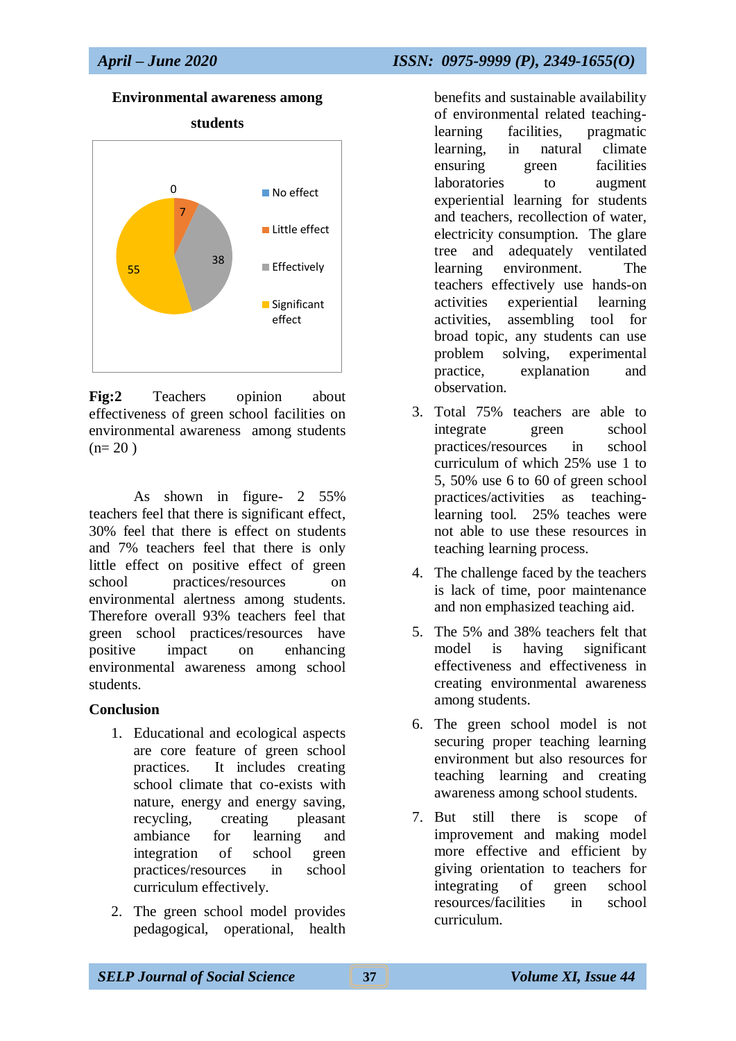#### **Environmental awareness among**



**Fig:2** Teachers opinion about effectiveness of green school facilities on environmental awareness among students  $(n= 20)$ 

As shown in figure- 2 55% teachers feel that there is significant effect, 30% feel that there is effect on students and 7% teachers feel that there is only little effect on positive effect of green school practices/resources on environmental alertness among students. Therefore overall 93% teachers feel that green school practices/resources have positive impact on enhancing environmental awareness among school students.

#### **Conclusion**

- 1. Educational and ecological aspects are core feature of green school practices. It includes creating school climate that co-exists with nature, energy and energy saving, recycling, creating pleasant ambiance for learning and integration of school green practices/resources in school curriculum effectively.
- 2. The green school model provides pedagogical, operational, health

benefits and sustainable availability of environmental related teachinglearning facilities, pragmatic learning, in natural climate ensuring green facilities laboratories to augment experiential learning for students and teachers, recollection of water, electricity consumption. The glare tree and adequately ventilated learning environment. The teachers effectively use hands-on activities experiential learning activities, assembling tool for broad topic, any students can use problem solving, experimental practice, explanation and observation.

- 3. Total 75% teachers are able to integrate green school practices/resources in school curriculum of which 25% use 1 to 5, 50% use 6 to 60 of green school practices/activities as teachinglearning tool. 25% teaches were not able to use these resources in teaching learning process.
- 4. The challenge faced by the teachers is lack of time, poor maintenance and non emphasized teaching aid.
- 5. The 5% and 38% teachers felt that model is having significant effectiveness and effectiveness in creating environmental awareness among students.
- 6. The green school model is not securing proper teaching learning environment but also resources for teaching learning and creating awareness among school students.
- 7. But still there is scope of improvement and making model more effective and efficient by giving orientation to teachers for integrating of green school resources/facilities in school curriculum.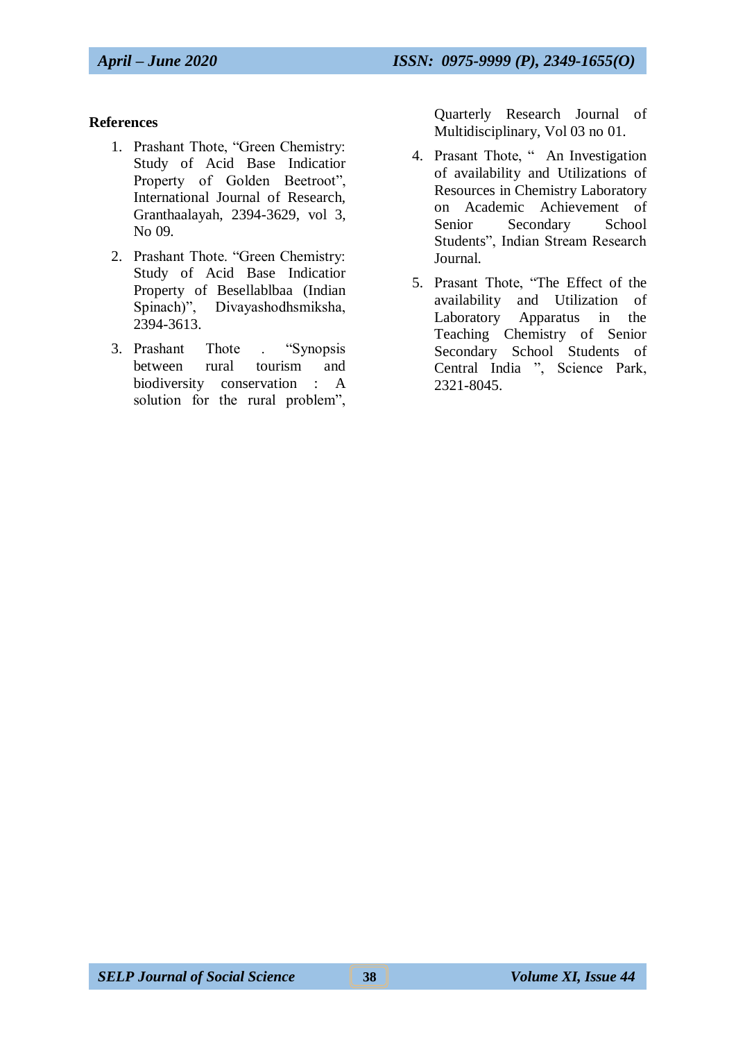## **References**

- 1. Prashant Thote, "Green Chemistry: Study of Acid Base Indicatior Property of Golden Beetroot", International Journal of Research, Granthaalayah, 2394-3629, vol 3, No 09.
- 2. Prashant Thote. "Green Chemistry: Study of Acid Base Indicatior Property of Besellablbaa (Indian Spinach)", Divayashodhsmiksha, 2394-3613.
- 3. Prashant Thote . "Synopsis between rural tourism and biodiversity conservation : A solution for the rural problem",

Quarterly Research Journal of Multidisciplinary, Vol 03 no 01.

- 4. Prasant Thote, " An Investigation of availability and Utilizations of Resources in Chemistry Laboratory on Academic Achievement of Senior Secondary School Students", Indian Stream Research Journal.
- 5. Prasant Thote, "The Effect of the availability and Utilization of Laboratory Apparatus in the Teaching Chemistry of Senior Secondary School Students of Central India ", Science Park, 2321-8045.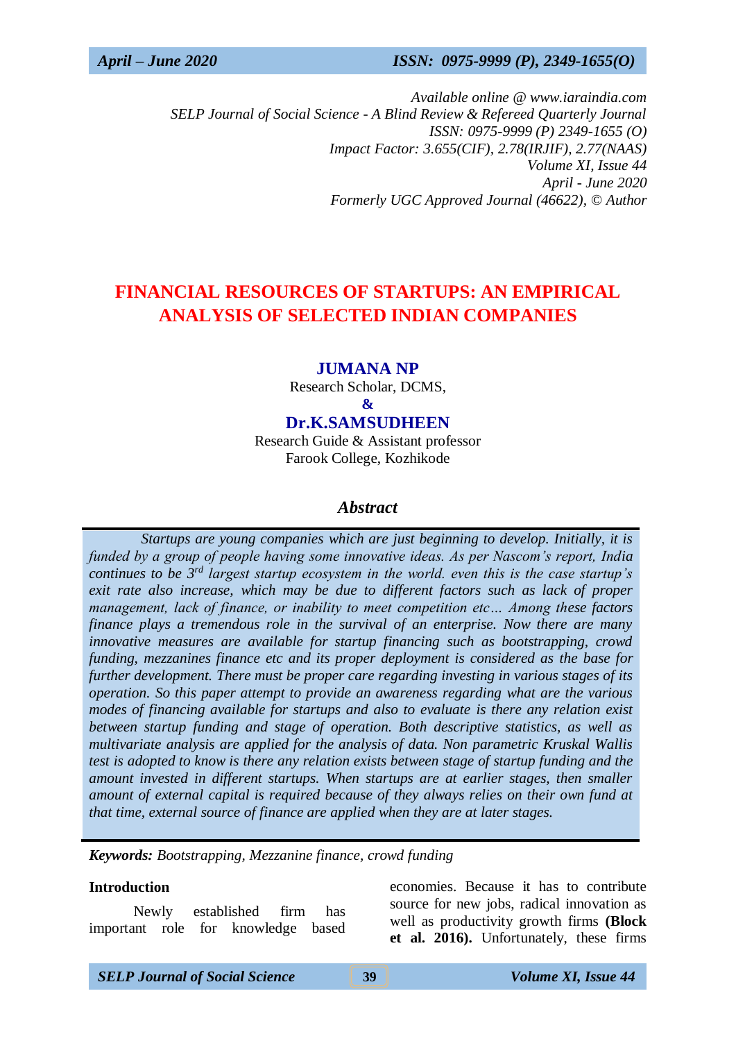*Available online @ www.iaraindia.com SELP Journal of Social Science - A Blind Review & Refereed Quarterly Journal ISSN: 0975-9999 (P) 2349-1655 (O) Impact Factor: 3.655(CIF), 2.78(IRJIF), 2.77(NAAS) Volume XI, Issue 44 April - June 2020 Formerly UGC Approved Journal (46622),* © *Author*

# **FINANCIAL RESOURCES OF STARTUPS: AN EMPIRICAL ANALYSIS OF SELECTED INDIAN COMPANIES**

#### **JUMANA NP**

Research Scholar, DCMS,

**&**

**Dr.K.SAMSUDHEEN**

Research Guide & Assistant professor Farook College, Kozhikode

#### *Abstract*

 *Startups are young companies which are just beginning to develop. Initially, it is funded by a group of people having some innovative ideas. As per Nascom's report, India continues to be 3rd largest startup ecosystem in the world. even this is the case startup's exit rate also increase, which may be due to different factors such as lack of proper management, lack of finance, or inability to meet competition etc… Among these factors finance plays a tremendous role in the survival of an enterprise. Now there are many innovative measures are available for startup financing such as bootstrapping, crowd funding, mezzanines finance etc and its proper deployment is considered as the base for further development. There must be proper care regarding investing in various stages of its operation. So this paper attempt to provide an awareness regarding what are the various modes of financing available for startups and also to evaluate is there any relation exist between startup funding and stage of operation. Both descriptive statistics, as well as multivariate analysis are applied for the analysis of data. Non parametric Kruskal Wallis test is adopted to know is there any relation exists between stage of startup funding and the amount invested in different startups. When startups are at earlier stages, then smaller amount of external capital is required because of they always relies on their own fund at that time, external source of finance are applied when they are at later stages.*

*Keywords: Bootstrapping, Mezzanine finance, crowd funding*

#### **Introduction**

Newly established firm has important role for knowledge based economies. Because it has to contribute source for new jobs, radical innovation as well as productivity growth firms **(Block et al. 2016).** Unfortunately, these firms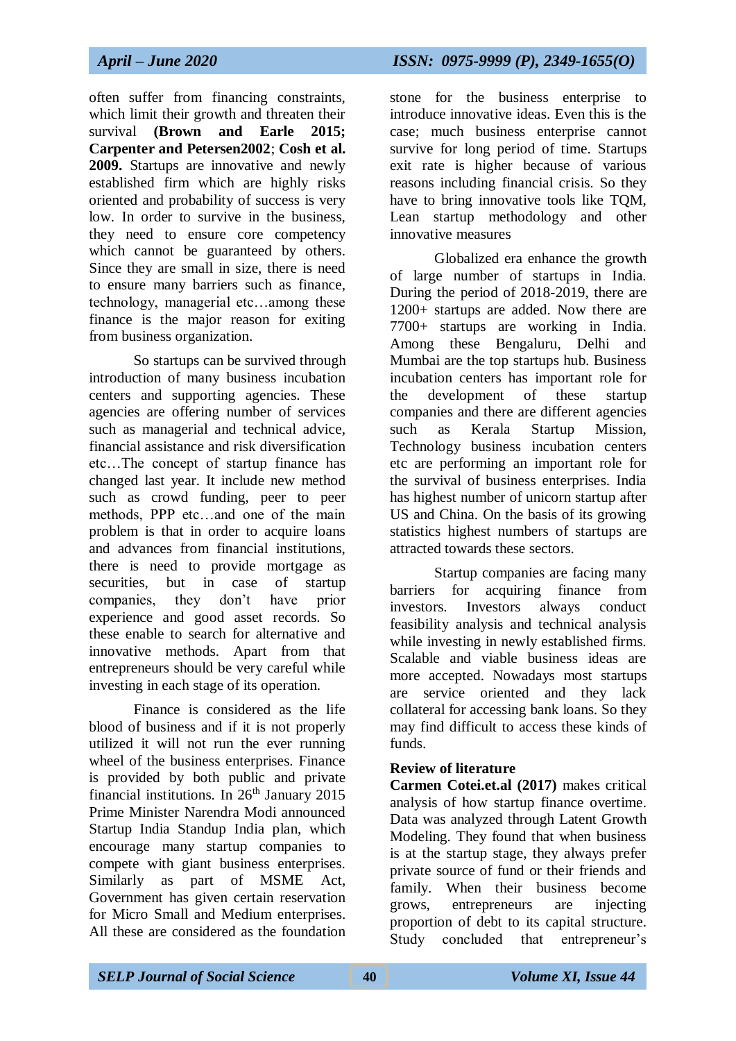often suffer from financing constraints, which limit their growth and threaten their survival **(Brown and Earle 2015; Carpenter and Petersen2002**; **Cosh et al. 2009.** Startups are innovative and newly established firm which are highly risks oriented and probability of success is very low. In order to survive in the business, they need to ensure core competency which cannot be guaranteed by others. Since they are small in size, there is need to ensure many barriers such as finance, technology, managerial etc…among these finance is the major reason for exiting from business organization.

So startups can be survived through introduction of many business incubation centers and supporting agencies. These agencies are offering number of services such as managerial and technical advice, financial assistance and risk diversification etc…The concept of startup finance has changed last year. It include new method such as crowd funding, peer to peer methods, PPP etc…and one of the main problem is that in order to acquire loans and advances from financial institutions, there is need to provide mortgage as securities, but in case of startup companies, they don't have prior experience and good asset records. So these enable to search for alternative and innovative methods. Apart from that entrepreneurs should be very careful while investing in each stage of its operation.

Finance is considered as the life blood of business and if it is not properly utilized it will not run the ever running wheel of the business enterprises. Finance is provided by both public and private financial institutions. In  $26<sup>th</sup>$  January 2015 Prime Minister Narendra Modi announced Startup India Standup India plan, which encourage many startup companies to compete with giant business enterprises. Similarly as part of MSME Act, Government has given certain reservation for Micro Small and Medium enterprises. All these are considered as the foundation

stone for the business enterprise to introduce innovative ideas. Even this is the case; much business enterprise cannot survive for long period of time. Startups exit rate is higher because of various reasons including financial crisis. So they have to bring innovative tools like TQM, Lean startup methodology and other innovative measures

Globalized era enhance the growth of large number of startups in India. During the period of 2018-2019, there are 1200+ startups are added. Now there are 7700+ startups are working in India. Among these Bengaluru, Delhi and Mumbai are the top startups hub. Business incubation centers has important role for the development of these startup companies and there are different agencies such as Kerala Startup Mission, Technology business incubation centers etc are performing an important role for the survival of business enterprises. India has highest number of unicorn startup after US and China. On the basis of its growing statistics highest numbers of startups are attracted towards these sectors.

Startup companies are facing many barriers for acquiring finance from investors. Investors always conduct feasibility analysis and technical analysis while investing in newly established firms. Scalable and viable business ideas are more accepted. Nowadays most startups are service oriented and they lack collateral for accessing bank loans. So they may find difficult to access these kinds of funds.

#### **Review of literature**

**Carmen Cotei.et.al (2017)** makes critical analysis of how startup finance overtime. Data was analyzed through Latent Growth Modeling. They found that when business is at the startup stage, they always prefer private source of fund or their friends and family. When their business become grows, entrepreneurs are injecting proportion of debt to its capital structure. Study concluded that entrepreneur's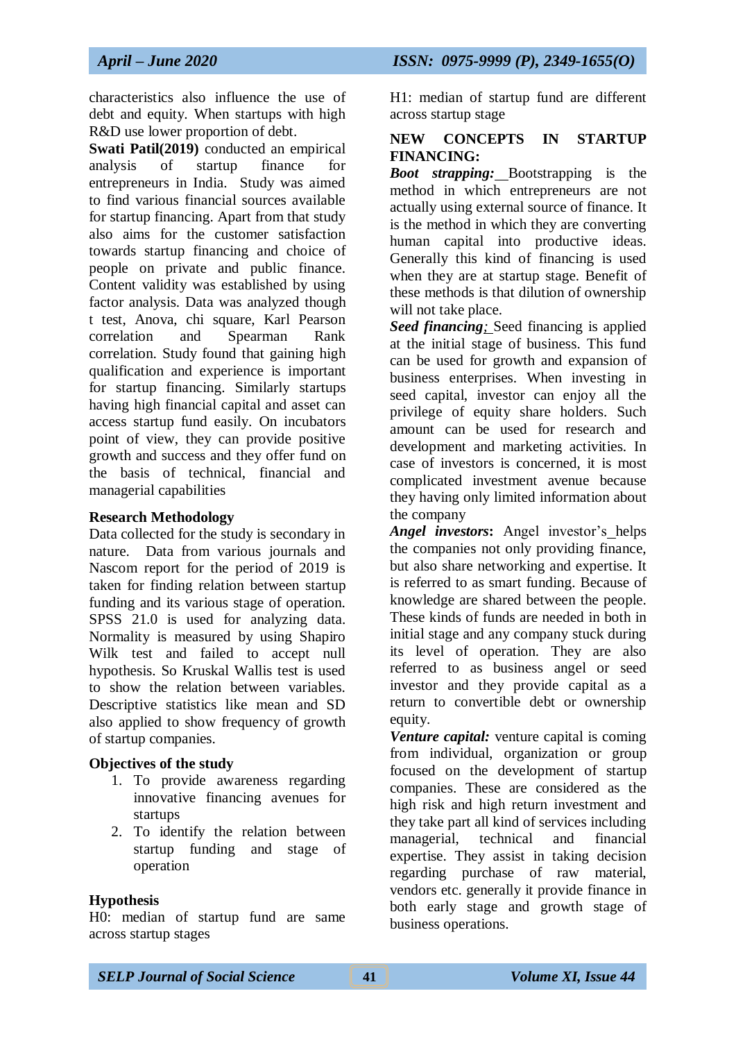characteristics also influence the use of debt and equity. When startups with high R&D use lower proportion of debt.

**Swati Patil(2019)** conducted an empirical analysis of startup finance for entrepreneurs in India. Study was aimed to find various financial sources available for startup financing. Apart from that study also aims for the customer satisfaction towards startup financing and choice of people on private and public finance. Content validity was established by using factor analysis. Data was analyzed though t test, Anova, chi square, Karl Pearson correlation and Spearman Rank correlation. Study found that gaining high qualification and experience is important for startup financing. Similarly startups having high financial capital and asset can access startup fund easily. On incubators point of view, they can provide positive growth and success and they offer fund on the basis of technical, financial and managerial capabilities

#### **Research Methodology**

Data collected for the study is secondary in nature. Data from various journals and Nascom report for the period of 2019 is taken for finding relation between startup funding and its various stage of operation. SPSS 21.0 is used for analyzing data. Normality is measured by using Shapiro Wilk test and failed to accept null hypothesis. So Kruskal Wallis test is used to show the relation between variables. Descriptive statistics like mean and SD also applied to show frequency of growth of startup companies.

#### **Objectives of the study**

- 1. To provide awareness regarding innovative financing avenues for startups
- 2. To identify the relation between startup funding and stage of operation

## **Hypothesis**

H0: median of startup fund are same across startup stages

H1: median of startup fund are different across startup stage

#### **NEW CONCEPTS IN STARTUP FINANCING:**

*Boot strapping:* Bootstrapping is the method in which entrepreneurs are not actually using external source of finance. It is the method in which they are converting human capital into productive ideas. Generally this kind of financing is used when they are at startup stage. Benefit of these methods is that dilution of ownership will not take place.

*Seed financing;* Seed financing is applied at the initial stage of business. This fund can be used for growth and expansion of business enterprises. When investing in seed capital, investor can enjoy all the privilege of equity share holders. Such amount can be used for research and development and marketing activities. In case of investors is concerned, it is most complicated investment avenue because they having only limited information about the company

*Angel investors***:** Angel investor's helps the companies not only providing finance, but also share networking and expertise. It is referred to as smart funding. Because of knowledge are shared between the people. These kinds of funds are needed in both in initial stage and any company stuck during its level of operation. They are also referred to as business angel or seed investor and they provide capital as a return to convertible debt or ownership equity.

*Venture capital:* venture capital is coming from individual, organization or group focused on the development of startup companies. These are considered as the high risk and high return investment and they take part all kind of services including managerial, technical and financial expertise. They assist in taking decision regarding purchase of raw material, vendors etc. generally it provide finance in both early stage and growth stage of business operations.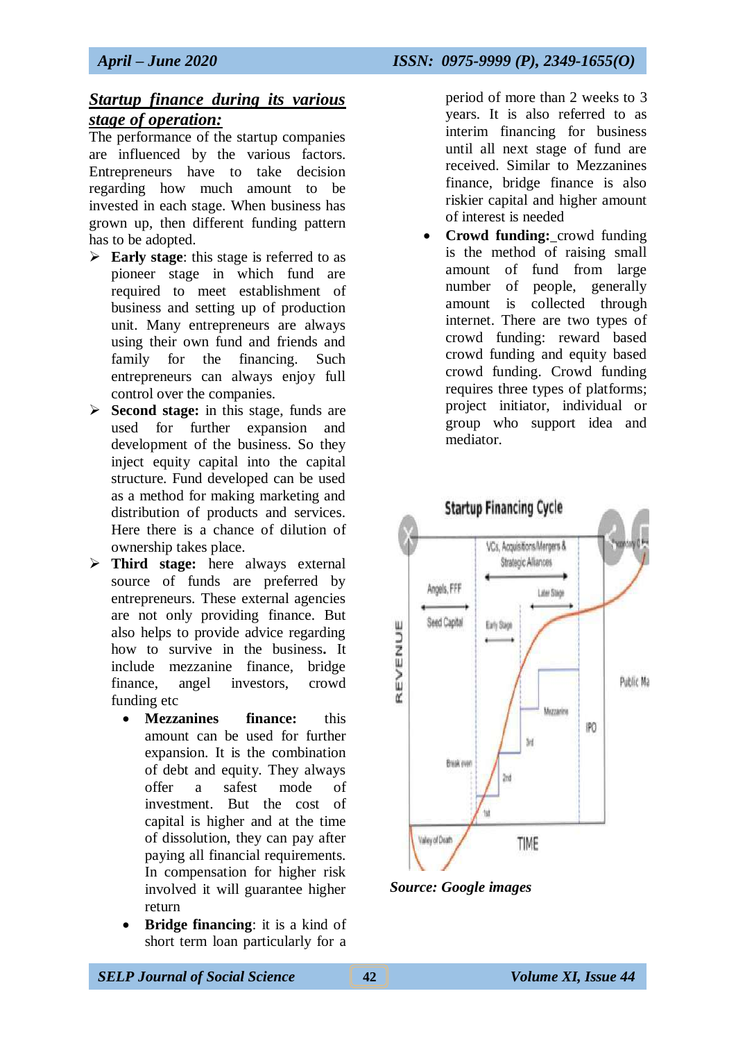## *Startup finance during its various stage of operation:*

The performance of the startup companies are influenced by the various factors. Entrepreneurs have to take decision regarding how much amount to be invested in each stage. When business has grown up, then different funding pattern has to be adopted.

- **Early stage:** this stage is referred to as pioneer stage in which fund are required to meet establishment of business and setting up of production unit. Many entrepreneurs are always using their own fund and friends and family for the financing. Such entrepreneurs can always enjoy full control over the companies.
- **Second stage:** in this stage, funds are used for further expansion and development of the business. So they inject equity capital into the capital structure. Fund developed can be used as a method for making marketing and distribution of products and services. Here there is a chance of dilution of ownership takes place.
- **Third stage:** here always external source of funds are preferred by entrepreneurs. These external agencies are not only providing finance. But also helps to provide advice regarding how to survive in the business**.** It include mezzanine finance, bridge finance, angel investors, crowd funding etc
	- **Mezzanines finance:** this amount can be used for further expansion. It is the combination of debt and equity. They always offer a safest mode of investment. But the cost of capital is higher and at the time of dissolution, they can pay after paying all financial requirements. In compensation for higher risk involved it will guarantee higher return
	- **Bridge financing**: it is a kind of short term loan particularly for a

period of more than 2 weeks to 3 years. It is also referred to as interim financing for business until all next stage of fund are received. Similar to Mezzanines finance, bridge finance is also riskier capital and higher amount of interest is needed

 **Crowd funding:** crowd funding is the method of raising small amount of fund from large number of people, generally amount is collected through internet. There are two types of crowd funding: reward based crowd funding and equity based crowd funding. Crowd funding requires three types of platforms; project initiator, individual or group who support idea and mediator.



*Source: Google images*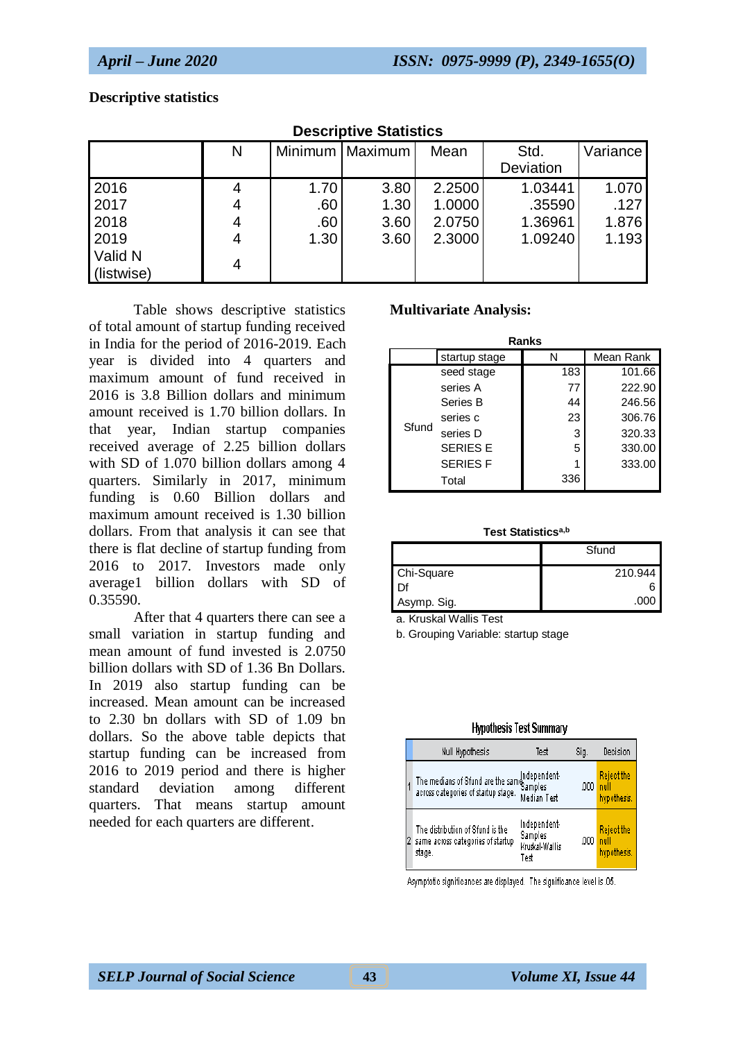#### **Descriptive statistics**

| PUUUI IPU VU ULUUUUUU                                 |   |                            |                              |                                      |                                         |                                 |  |  |  |  |  |
|-------------------------------------------------------|---|----------------------------|------------------------------|--------------------------------------|-----------------------------------------|---------------------------------|--|--|--|--|--|
|                                                       | N |                            | Minimum   Maximum            | Mean                                 | Std.<br>Deviation                       | Variance                        |  |  |  |  |  |
| 2016<br>2017<br>2018<br>2019<br>Valid N<br>(listwise) | 4 | 1.70<br>.60<br>.60<br>1.30 | 3.80<br>1.30<br>3.60<br>3.60 | 2.2500<br>1.0000<br>2.0750<br>2.3000 | 1.03441<br>.35590<br>1.36961<br>1.09240 | 1.070<br>.127<br>1.876<br>1.193 |  |  |  |  |  |

## **Descriptive Statistics**

Table shows descriptive statistics of total amount of startup funding received in India for the period of 2016-2019. Each year is divided into 4 quarters and maximum amount of fund received in 2016 is 3.8 Billion dollars and minimum amount received is 1.70 billion dollars. In that year, Indian startup companies received average of 2.25 billion dollars with SD of 1.070 billion dollars among 4 quarters. Similarly in 2017, minimum funding is 0.60 Billion dollars and maximum amount received is 1.30 billion dollars. From that analysis it can see that there is flat decline of startup funding from 2016 to 2017. Investors made only average1 billion dollars with SD of 0.35590.

After that 4 quarters there can see a small variation in startup funding and mean amount of fund invested is 2.0750 billion dollars with SD of 1.36 Bn Dollars. In 2019 also startup funding can be increased. Mean amount can be increased to 2.30 bn dollars with SD of 1.09 bn dollars. So the above table depicts that startup funding can be increased from 2016 to 2019 period and there is higher standard deviation among different quarters. That means startup amount needed for each quarters are different.

#### **Multivariate Analysis:**

| Ranks |                 |     |           |  |  |  |  |  |
|-------|-----------------|-----|-----------|--|--|--|--|--|
|       | startup stage   |     | Mean Rank |  |  |  |  |  |
|       | seed stage      | 183 | 101.66    |  |  |  |  |  |
|       | series A        | 77  | 222.90    |  |  |  |  |  |
|       | Series B        | 44  | 246.56    |  |  |  |  |  |
|       | series c        | 23  | 306.76    |  |  |  |  |  |
| Sfund | series D        | 3   | 320.33    |  |  |  |  |  |
|       | <b>SERIES E</b> | 5   | 330.00    |  |  |  |  |  |
|       | <b>SERIES F</b> |     | 333.00    |  |  |  |  |  |
|       | Total           | 336 |           |  |  |  |  |  |

#### **Test Statisticsa,b**

|             | Sfund   |
|-------------|---------|
| Chi-Square  | 210.944 |
| Df          |         |
| Asymp. Sig. | .000    |

a. Kruskal Wallis Test

b. Grouping Variable: startup stage

#### **Hypothesis Test Summary**

|  | Null Hypothesis                                                                       | Test                                              | Sig. | Decision                                 |
|--|---------------------------------------------------------------------------------------|---------------------------------------------------|------|------------------------------------------|
|  | The medians of Sfund are the same Independent-<br>across categories of startup stage. | Median Test                                       | .000 | <b>Reject the</b><br>null<br>hypothesis. |
|  | The distribution of Sfund is the<br>same across categories of startup<br>stage.       | Independent-<br>Samples<br>Kruskal-Wallis<br>Test | .000 | <b>Reject the</b><br>null<br>hypothesis. |

Asymptotic significances are displayed. The significance level is .05.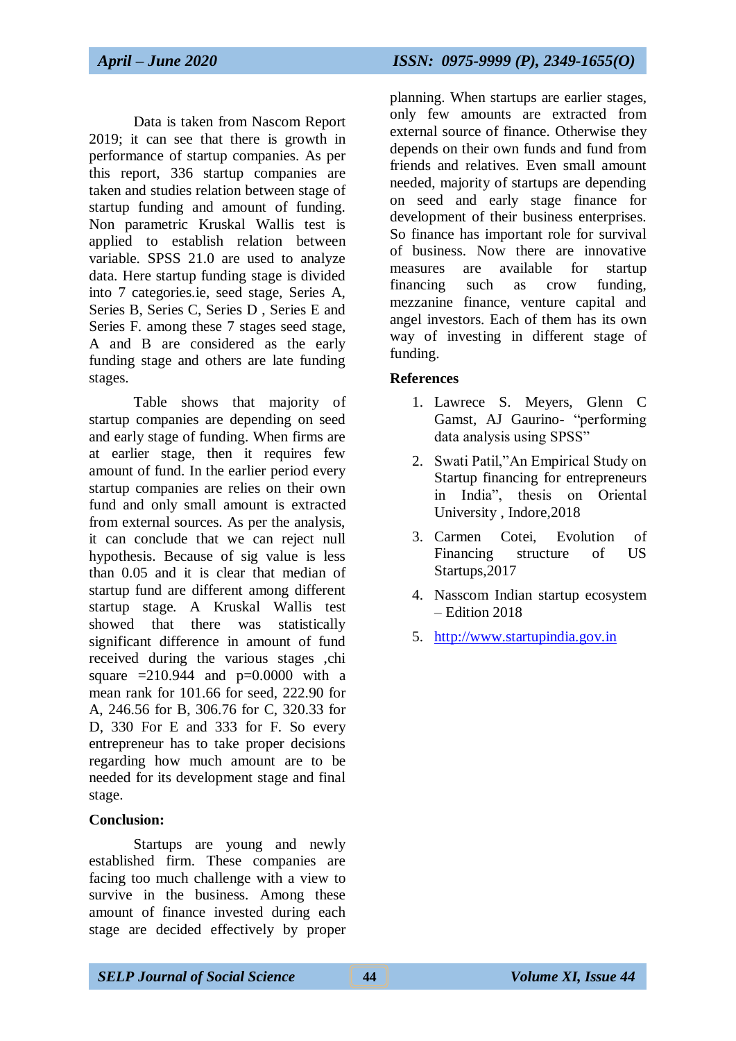Data is taken from Nascom Report 2019; it can see that there is growth in performance of startup companies. As per this report, 336 startup companies are taken and studies relation between stage of startup funding and amount of funding. Non parametric Kruskal Wallis test is applied to establish relation between variable. SPSS 21.0 are used to analyze data. Here startup funding stage is divided into 7 categories.ie, seed stage, Series A, Series B, Series C, Series D , Series E and Series F. among these 7 stages seed stage, A and B are considered as the early funding stage and others are late funding stages.

Table shows that majority of startup companies are depending on seed and early stage of funding. When firms are at earlier stage, then it requires few amount of fund. In the earlier period every startup companies are relies on their own fund and only small amount is extracted from external sources. As per the analysis, it can conclude that we can reject null hypothesis. Because of sig value is less than 0.05 and it is clear that median of startup fund are different among different startup stage. A Kruskal Wallis test showed that there was statistically significant difference in amount of fund received during the various stages ,chi square  $=210.944$  and  $p=0.0000$  with a mean rank for 101.66 for seed, 222.90 for A, 246.56 for B, 306.76 for C, 320.33 for D, 330 For E and 333 for F. So every entrepreneur has to take proper decisions regarding how much amount are to be needed for its development stage and final stage.

## **Conclusion:**

Startups are young and newly established firm. These companies are facing too much challenge with a view to survive in the business. Among these amount of finance invested during each stage are decided effectively by proper planning. When startups are earlier stages, only few amounts are extracted from external source of finance. Otherwise they depends on their own funds and fund from friends and relatives. Even small amount needed, majority of startups are depending on seed and early stage finance for development of their business enterprises. So finance has important role for survival of business. Now there are innovative measures are available for startup financing such as crow funding, mezzanine finance, venture capital and angel investors. Each of them has its own way of investing in different stage of funding.

#### **References**

- 1. Lawrece S. Meyers, Glenn C Gamst, AJ Gaurino- "performing data analysis using SPSS"
- 2. Swati Patil,"An Empirical Study on Startup financing for entrepreneurs in India", thesis on Oriental University , Indore,2018
- 3. Carmen Cotei, Evolution of Financing structure of US Startups,2017
- 4. Nasscom Indian startup ecosystem – Edition 2018
- 5. [http://www.startupindia.gov.in](http://www.startupindia.gov.in/)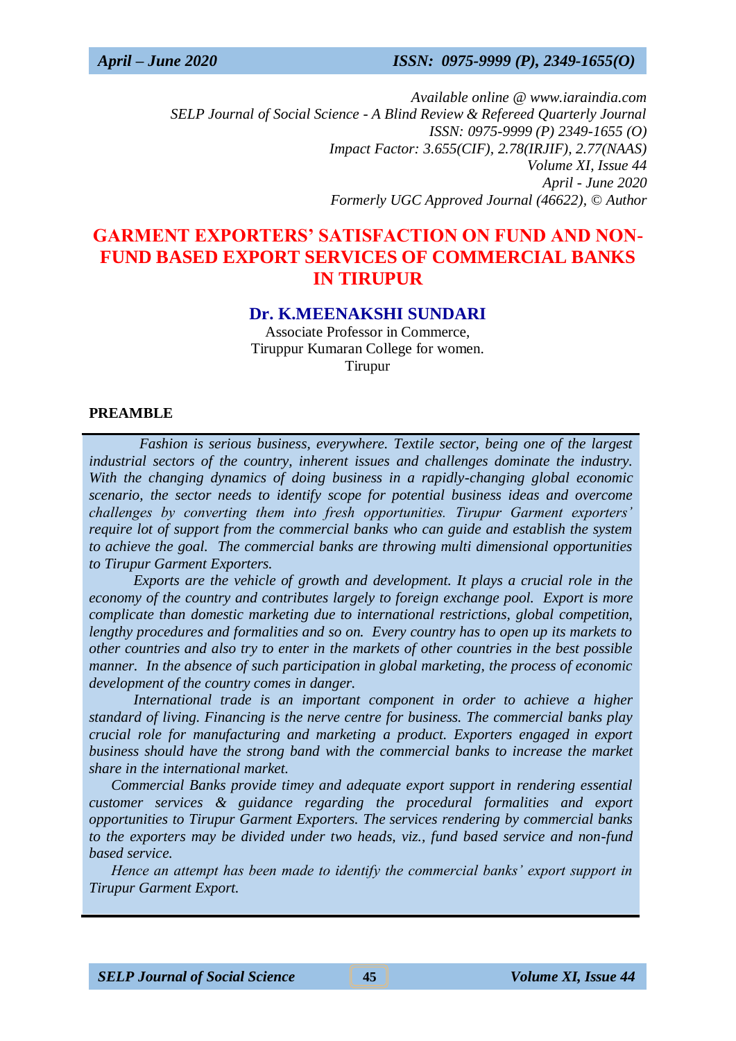*Available online @ www.iaraindia.com SELP Journal of Social Science - A Blind Review & Refereed Quarterly Journal ISSN: 0975-9999 (P) 2349-1655 (O) Impact Factor: 3.655(CIF), 2.78(IRJIF), 2.77(NAAS) Volume XI, Issue 44 April - June 2020 Formerly UGC Approved Journal (46622),* © *Author*

# **GARMENT EXPORTERS' SATISFACTION ON FUND AND NON-FUND BASED EXPORT SERVICES OF COMMERCIAL BANKS IN TIRUPUR**

## **Dr. K.MEENAKSHI SUNDARI**

Associate Professor in Commerce, Tiruppur Kumaran College for women. Tirupur

#### **PREAMBLE**

 *Fashion is serious business, everywhere. Textile sector, being one of the largest industrial sectors of the country, inherent issues and challenges dominate the industry. With the changing dynamics of doing business in a rapidly-changing global economic scenario, the sector needs to identify scope for potential business ideas and overcome challenges by converting them into fresh opportunities. Tirupur Garment exporters' require lot of support from the commercial banks who can guide and establish the system to achieve the goal. The commercial banks are throwing multi dimensional opportunities to Tirupur Garment Exporters.* 

*Exports are the vehicle of growth and development. It plays a crucial role in the economy of the country and contributes largely to foreign exchange pool. Export is more complicate than domestic marketing due to international restrictions, global competition, lengthy procedures and formalities and so on. Every country has to open up its markets to other countries and also try to enter in the markets of other countries in the best possible manner. In the absence of such participation in global marketing, the process of economic development of the country comes in danger.*

*International trade is an important component in order to achieve a higher standard of living. Financing is the nerve centre for business. The commercial banks play crucial role for manufacturing and marketing a product. Exporters engaged in export business should have the strong band with the commercial banks to increase the market share in the international market.* 

*Commercial Banks provide timey and adequate export support in rendering essential customer services & guidance regarding the procedural formalities and export opportunities to Tirupur Garment Exporters. The services rendering by commercial banks to the exporters may be divided under two heads, viz., fund based service and non-fund based service.* 

*Hence an attempt has been made to identify the commercial banks' export support in Tirupur Garment Export.*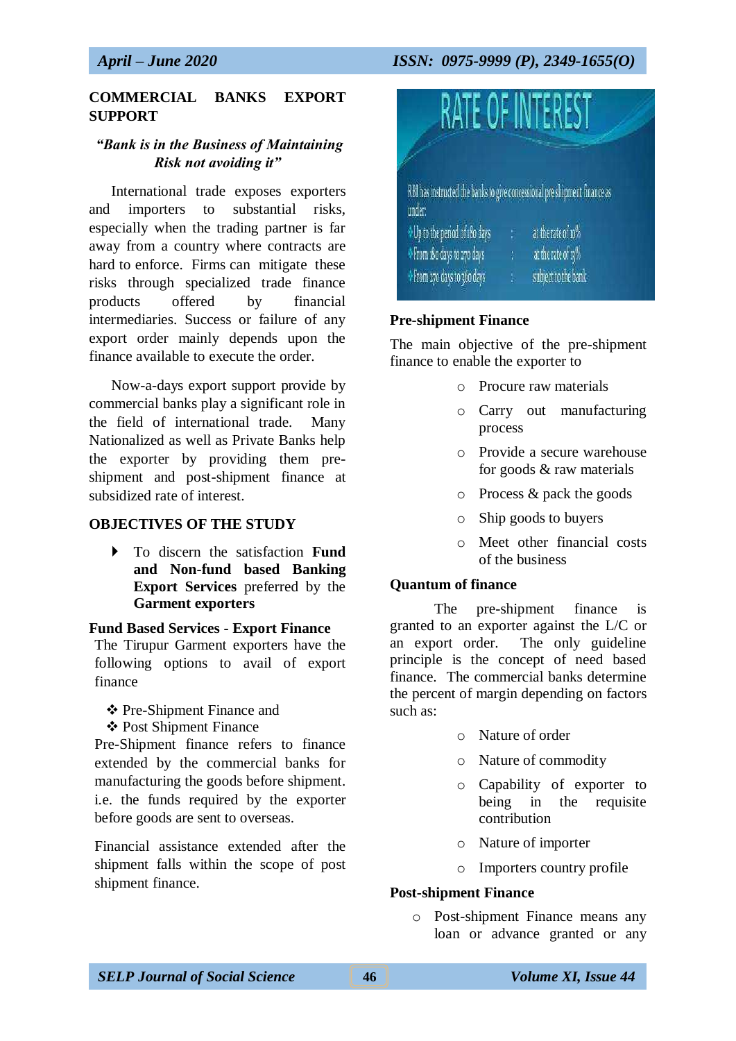## **COMMERCIAL BANKS EXPORT SUPPORT**

## *"Bank is in the Business of Maintaining Risk not avoiding it"*

International trade exposes exporters and importers to substantial risks, especially when the trading partner is far away from a country where contracts are hard to enforce. Firms can mitigate these risks through specialized trade finance products offered by financial intermediaries. Success or failure of any export order mainly depends upon the finance available to execute the order.

Now-a-days export support provide by commercial banks play a significant role in the field of international trade. Many Nationalized as well as Private Banks help the exporter by providing them preshipment and post-shipment finance at subsidized rate of interest.

#### **OBJECTIVES OF THE STUDY**

 To discern the satisfaction **Fund and Non-fund based Banking Export Services** preferred by the **Garment exporters**

#### **Fund Based Services - Export Finance**

The Tirupur Garment exporters have the following options to avail of export finance

- Pre-Shipment Finance and
- ❖ Post Shipment Finance

Pre-Shipment finance refers to finance extended by the commercial banks for manufacturing the goods before shipment. i.e. the funds required by the exporter before goods are sent to overseas.

Financial assistance extended after the shipment falls within the scope of post shipment finance.



#### **Pre-shipment Finance**

The main objective of the pre-shipment finance to enable the exporter to

- o Procure raw materials
- o Carry out manufacturing process
- o Provide a secure warehouse for goods & raw materials
- o Process & pack the goods
- o Ship goods to buyers
- o Meet other financial costs of the business

#### **Quantum of finance**

The pre-shipment finance is granted to an exporter against the L/C or an export order. The only guideline principle is the concept of need based finance. The commercial banks determine the percent of margin depending on factors such as:

- o Nature of order
- o Nature of commodity
- o Capability of exporter to being in the requisite contribution
- o Nature of importer
- o Importers country profile

#### **Post-shipment Finance**

o Post-shipment Finance means any loan or advance granted or any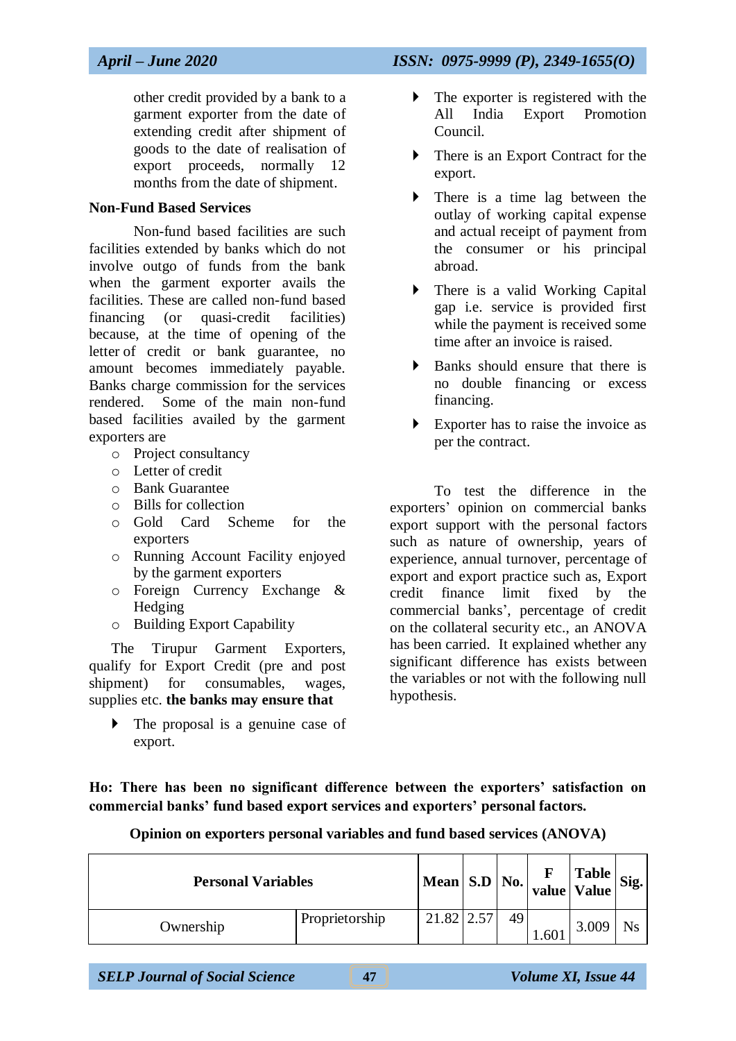other credit provided by a bank to a garment exporter from the date of extending credit after shipment of goods to the date of realisation of export proceeds, normally 12 months from the date of shipment.

## **Non-Fund Based Services**

Non-fund based facilities are such facilities extended by banks which do not involve outgo of funds from the bank when the garment exporter avails the facilities. These are called non-fund based financing (or quasi-credit facilities) because, at the time of opening of the letter of credit or bank guarantee, no amount becomes immediately payable. Banks charge commission for the services rendered. Some of the main non-fund based facilities availed by the garment exporters are

- o Project consultancy
- o Letter of credit
- o Bank Guarantee
- o Bills for collection
- o Gold Card Scheme for the exporters
- o Running Account Facility enjoyed by the garment exporters
- o Foreign Currency Exchange & Hedging
- o Building Export Capability

The Tirupur Garment Exporters, qualify for Export Credit (pre and post shipment) for consumables, wages, supplies etc. **the banks may ensure that** 

• The proposal is a genuine case of export.

- The exporter is registered with the All India Export Promotion Council.
- There is an Export Contract for the export.
- There is a time lag between the outlay of working capital expense and actual receipt of payment from the consumer or his principal abroad.
- There is a valid Working Capital gap i.e. service is provided first while the payment is received some time after an invoice is raised.
- $\triangleright$  Banks should ensure that there is no double financing or excess financing.
- Exporter has to raise the invoice as per the contract.

To test the difference in the exporters' opinion on commercial banks export support with the personal factors such as nature of ownership, years of experience, annual turnover, percentage of export and export practice such as, Export credit finance limit fixed by the commercial banks', percentage of credit on the collateral security etc., an ANOVA has been carried. It explained whether any significant difference has exists between the variables or not with the following null hypothesis.

**Ho: There has been no significant difference between the exporters' satisfaction on commercial banks' fund based export services and exporters' personal factors.**

| <b>Personal Variables</b> |                |              |    |      | <b>Table</b><br>  Mean   S.D   No.   value   Value   $^{\circ}$ | Sig. |
|---------------------------|----------------|--------------|----|------|-----------------------------------------------------------------|------|
| Ownership                 | Proprietorship | $21.82$ 2.57 | 49 | 1.60 | 3.009                                                           | Ns   |

**Opinion on exporters personal variables and fund based services (ANOVA)**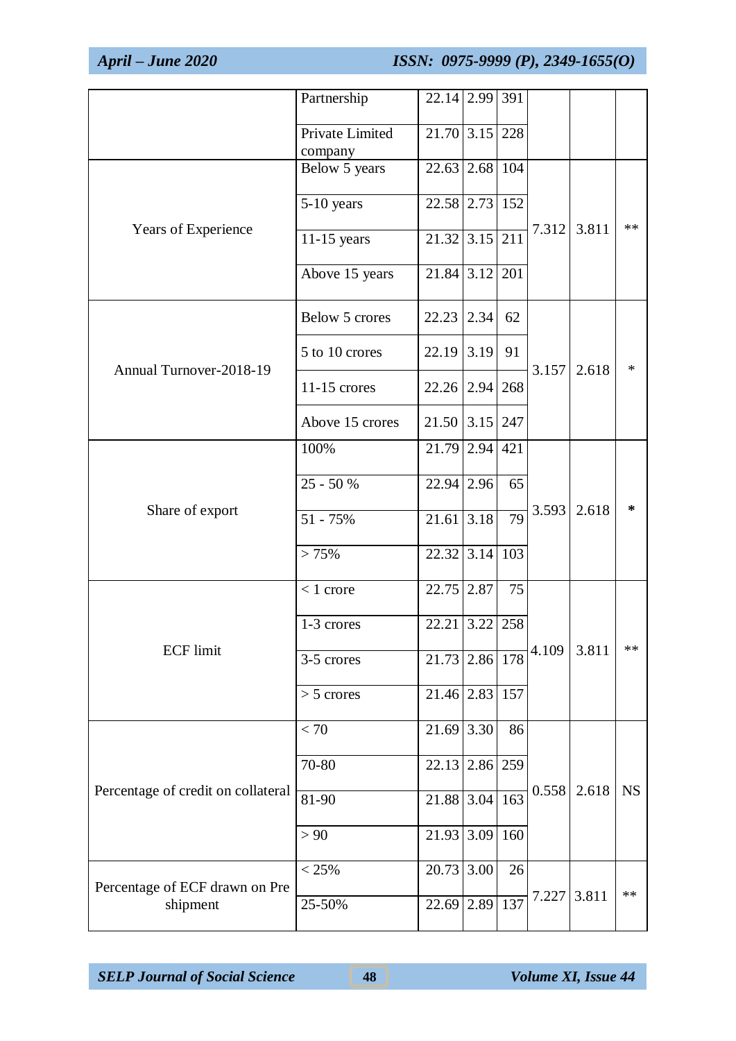|                                            | Partnership                | 22.14 2.99 391           |            |     |       |       |           |
|--------------------------------------------|----------------------------|--------------------------|------------|-----|-------|-------|-----------|
|                                            | Private Limited<br>company | $21.70$ 3.15 228         |            |     |       |       |           |
|                                            | Below 5 years              | 22.63 2.68 104           |            |     |       |       |           |
|                                            | 5-10 years                 | 22.58 2.73 152           |            |     |       | 3.811 |           |
| Years of Experience                        | 11-15 years                | $21.32 \overline{)3.15}$ |            | 211 | 7.312 |       | $**$      |
|                                            | Above 15 years             | $21.84 \mid 3.12 \mid$   |            | 201 |       |       |           |
|                                            | Below 5 crores             | $22.23$ 2.34             |            | 62  |       |       |           |
| Annual Turnover-2018-19<br>Share of export | 5 to 10 crores             | $22.19$ 3.19             |            | 91  | 3.157 | 2.618 | $\ast$    |
|                                            | $11-15$ crores             | $22.26$   2.94   268     |            |     |       |       |           |
|                                            | Above 15 crores            | $21.50$ 3.15 247         |            |     |       |       |           |
|                                            | 100%                       | $21.79$ 2.94 421         |            |     |       |       |           |
|                                            | $25 - 50%$                 | 22.94 2.96               |            | 65  |       | 2.618 | ∗         |
|                                            | 51 - 75%                   | $\overline{21.61}$ 3.18  |            | 79  | 3.593 |       |           |
|                                            | > 75%                      | $22.32$ 3.14             |            | 103 |       |       |           |
|                                            | $< 1$ crore                | $22.75$ 2.87             |            | 75  |       |       |           |
|                                            | 1-3 crores                 | 22.21                    | $3.22$ 258 |     |       |       |           |
| <b>ECF</b> limit                           | 3-5 crores                 | 21.73 2.86 178           |            |     | 4.109 | 3.811 | **        |
|                                            | $> 5$ crores               | $21.46$ 2.83             |            | 157 |       |       |           |
|                                            | < 70                       | $21.69$ 3.30             |            | 86  |       |       |           |
|                                            | 70-80                      | 22.13 2.86 259           |            |     |       |       |           |
| Percentage of credit on collateral         | 81-90                      | $21.88$ 3.04             |            | 163 | 0.558 | 2.618 | <b>NS</b> |
|                                            | > 90                       | 21.93 3.09 160           |            |     |       |       |           |
| Percentage of ECF drawn on Pre             | < 25%                      | $20.73$ 3.00             |            | 26  |       |       |           |
| shipment                                   | 25-50%                     | 22.69 2.89               |            | 137 | 7.227 | 3.811 | $**$      |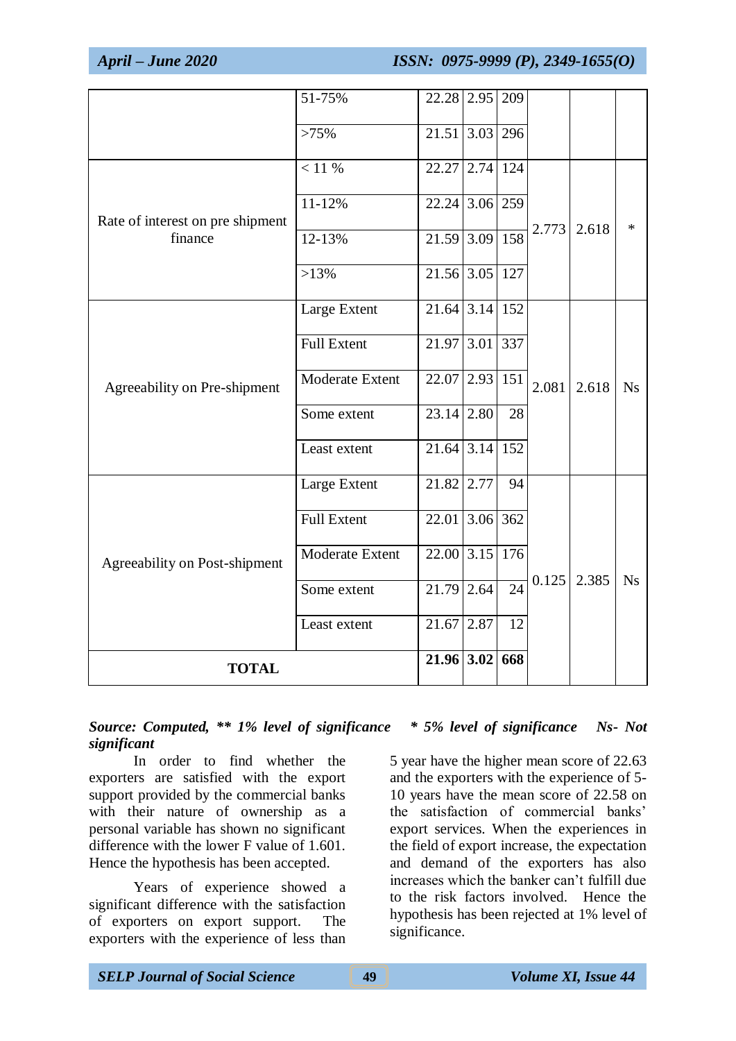|                                             | 51-75%             | 22.28 2.95                  |          | 209             |       |       |           |
|---------------------------------------------|--------------------|-----------------------------|----------|-----------------|-------|-------|-----------|
|                                             |                    |                             |          |                 |       |       |           |
|                                             | >75%               | 21.51 3.03 296              |          |                 |       |       |           |
|                                             | < 11 %             | 22.27 2.74 124              |          |                 |       |       |           |
|                                             | 11-12%             | 22.24                       | 3.06 259 |                 |       | 2.618 |           |
| Rate of interest on pre shipment<br>finance | 12-13%             | 21.59 3.09 158              |          |                 | 2.773 |       | $\ast$    |
| Agreeability on Pre-shipment                | $>13\%$            | 21.56 3.05 127              |          |                 |       |       |           |
|                                             | Large Extent       | $\overline{21.64}$ 3.14 152 |          |                 |       |       |           |
|                                             |                    |                             |          |                 |       | 2.618 | Ns        |
|                                             | <b>Full Extent</b> | 21.97 3.01                  |          | 337             | 2.081 |       |           |
|                                             | Moderate Extent    | $22.07$ 2.93 151            |          |                 |       |       |           |
|                                             | Some extent        | $23.14$ 2.80                |          | 28              |       |       |           |
|                                             | Least extent       | 21.64 3.14 152              |          |                 |       |       |           |
|                                             | Large Extent       | $21.82$ 2.77                |          | 94              |       |       |           |
|                                             | <b>Full Extent</b> | 22.01 3.06 362              |          |                 |       |       |           |
| Agreeability on Post-shipment               | Moderate Extent    | $\overline{22.00}$ 3.15     |          | 176             |       |       | <b>Ns</b> |
|                                             | Some extent        | 21.79                       | 2.64     | $\overline{24}$ | 0.125 | 2.385 |           |
|                                             | Least extent       | $21.67$ 2.87                |          | 12              |       |       |           |
| <b>TOTAL</b>                                |                    | 21.96 3.02                  |          | 668             |       |       |           |

## *Source: Computed, \*\* 1% level of significance \* 5% level of significance Ns- Not significant*

In order to find whether the exporters are satisfied with the export support provided by the commercial banks with their nature of ownership as a personal variable has shown no significant difference with the lower F value of 1.601. Hence the hypothesis has been accepted.

Years of experience showed a significant difference with the satisfaction of exporters on export support. The exporters with the experience of less than

5 year have the higher mean score of 22.63 and the exporters with the experience of 5- 10 years have the mean score of 22.58 on the satisfaction of commercial banks' export services. When the experiences in the field of export increase, the expectation and demand of the exporters has also increases which the banker can't fulfill due to the risk factors involved. Hence the hypothesis has been rejected at 1% level of significance.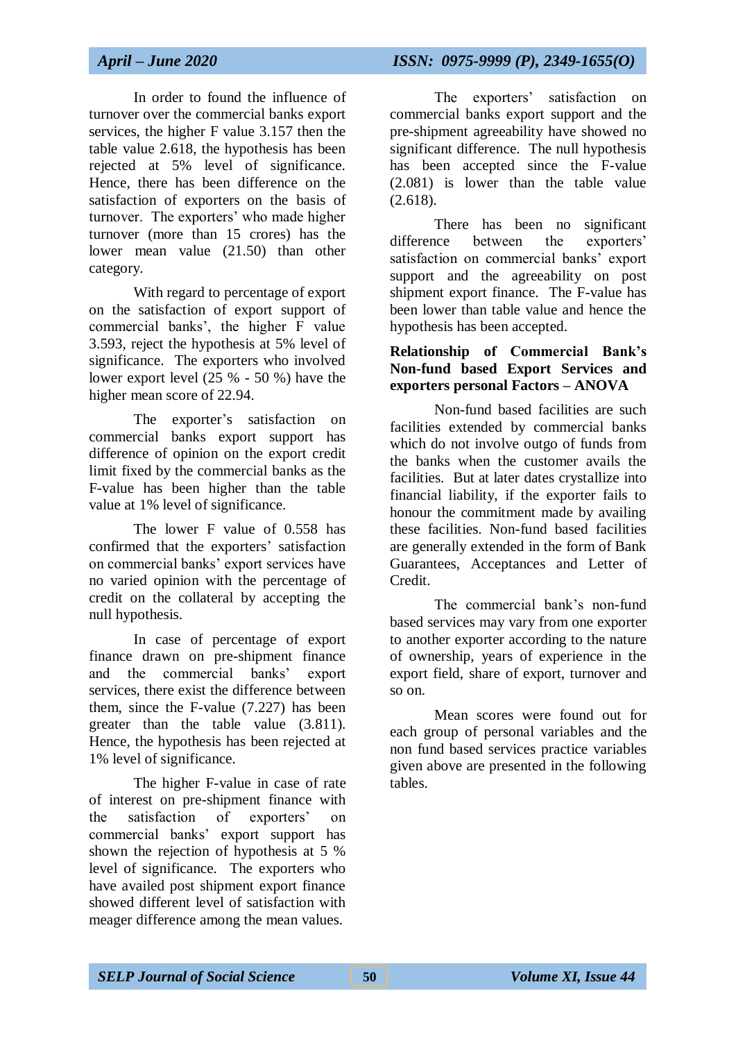In order to found the influence of turnover over the commercial banks export services, the higher F value 3.157 then the table value 2.618, the hypothesis has been rejected at 5% level of significance. Hence, there has been difference on the satisfaction of exporters on the basis of turnover. The exporters' who made higher turnover (more than 15 crores) has the lower mean value (21.50) than other category.

With regard to percentage of export on the satisfaction of export support of commercial banks', the higher F value 3.593, reject the hypothesis at 5% level of significance. The exporters who involved lower export level  $(25 % - 50 % )$  have the higher mean score of 22.94.

The exporter's satisfaction on commercial banks export support has difference of opinion on the export credit limit fixed by the commercial banks as the F-value has been higher than the table value at 1% level of significance.

The lower F value of 0.558 has confirmed that the exporters' satisfaction on commercial banks' export services have no varied opinion with the percentage of credit on the collateral by accepting the null hypothesis.

In case of percentage of export finance drawn on pre-shipment finance and the commercial banks' export services, there exist the difference between them, since the F-value (7.227) has been greater than the table value (3.811). Hence, the hypothesis has been rejected at 1% level of significance.

The higher F-value in case of rate of interest on pre-shipment finance with the satisfaction of exporters' on commercial banks' export support has shown the rejection of hypothesis at 5 % level of significance. The exporters who have availed post shipment export finance showed different level of satisfaction with meager difference among the mean values.

The exporters' satisfaction on commercial banks export support and the pre-shipment agreeability have showed no significant difference. The null hypothesis has been accepted since the F-value (2.081) is lower than the table value (2.618).

There has been no significant difference between the exporters' satisfaction on commercial banks' export support and the agreeability on post shipment export finance. The F-value has been lower than table value and hence the hypothesis has been accepted.

#### **Relationship of Commercial Bank's Non-fund based Export Services and exporters personal Factors – ANOVA**

Non-fund based facilities are such facilities extended by commercial banks which do not involve outgo of funds from the banks when the customer avails the facilities. But at later dates crystallize into financial liability, if the exporter fails to honour the commitment made by availing these facilities. Non-fund based facilities are generally extended in the form of Bank Guarantees, Acceptances and Letter of Credit.

The commercial bank's non-fund based services may vary from one exporter to another exporter according to the nature of ownership, years of experience in the export field, share of export, turnover and so on.

Mean scores were found out for each group of personal variables and the non fund based services practice variables given above are presented in the following tables.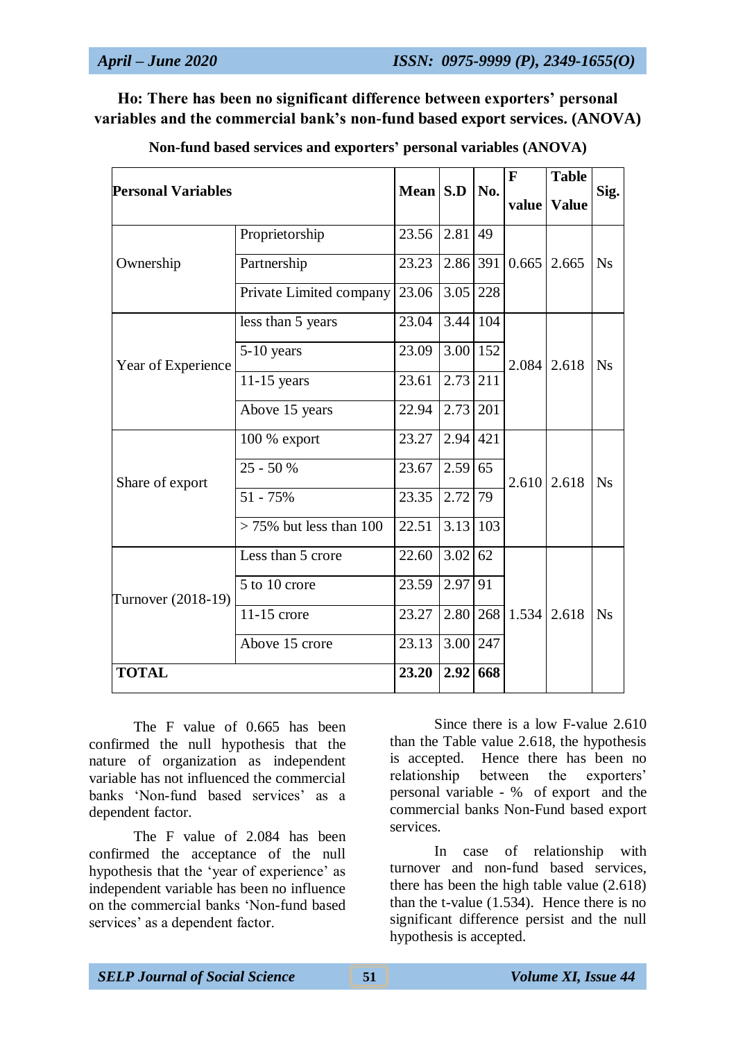**Ho: There has been no significant difference between exporters' personal variables and the commercial bank's non-fund based export services. (ANOVA)**

| <b>Personal Variables</b> |                            | Mean S.D          |                 |     | $\mathbf{F}$       | <b>Table</b> |           |
|---------------------------|----------------------------|-------------------|-----------------|-----|--------------------|--------------|-----------|
|                           |                            |                   |                 | No. | value              | <b>Value</b> | Sig.      |
|                           | Proprietorship             | 23.56 2.81 49     |                 |     |                    |              |           |
| Ownership                 | Partnership                | 23.23             | $2.86$ 391      |     | 0.665              | 2.665        | <b>Ns</b> |
|                           | Private Limited company    | 23.06             | 3.05 228        |     |                    |              |           |
|                           | less than 5 years          | 23.04             | 3.44 104        |     |                    | 2.618        | <b>Ns</b> |
| Year of Experience        | 5-10 years                 | 23.09             | $3.00$ 152      |     | 2.084              |              |           |
|                           | $11-15$ years              | 23.61             | 2.73 211        |     |                    |              |           |
|                           | Above 15 years             | 22.94             | $2.73$ 201      |     |                    |              |           |
|                           | 100 % export               | 23.27             | $2.94 \mid 421$ |     |                    | 2.618        | <b>Ns</b> |
| Share of export           | $25 - 50%$                 | 23.67             | 2.59 65         |     | 2.610              |              |           |
|                           | $51 - 75%$                 | 23.35             | 2.72            | 79  |                    |              |           |
|                           | $> 75\%$ but less than 100 | 22.51             | $3.13 \mid 103$ |     |                    |              |           |
|                           | Less than 5 crore          | 22.60             | $3.02$ 62       |     |                    |              |           |
| Turnover (2018-19)        | 5 to 10 crore              | 23.59             | 2.97            | 91  |                    |              |           |
|                           | $11-15$ crore              | 23.27             |                 |     | 2.80   268   1.534 | 2.618        | Ns        |
|                           | Above 15 crore             | 3.00 247<br>23.13 |                 |     |                    |              |           |
| <b>TOTAL</b>              |                            | 23.20             | 2.92 668        |     |                    |              |           |

**Non-fund based services and exporters' personal variables (ANOVA)**

The F value of 0.665 has been confirmed the null hypothesis that the nature of organization as independent variable has not influenced the commercial banks 'Non-fund based services' as a dependent factor.

The F value of 2.084 has been confirmed the acceptance of the null hypothesis that the 'year of experience' as independent variable has been no influence on the commercial banks 'Non-fund based services' as a dependent factor.

Since there is a low F-value 2.610 than the Table value 2.618, the hypothesis is accepted. Hence there has been no relationship between the exporters' personal variable - % of export and the commercial banks Non-Fund based export services.

In case of relationship with turnover and non-fund based services, there has been the high table value (2.618) than the t-value (1.534). Hence there is no significant difference persist and the null hypothesis is accepted.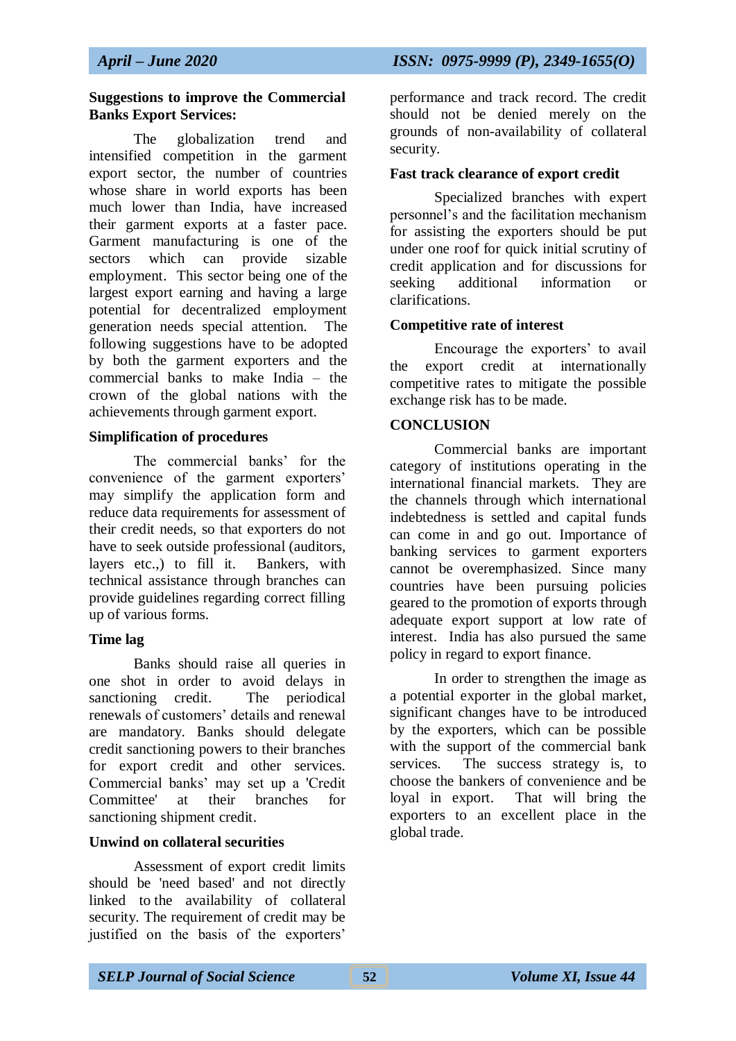#### **Suggestions to improve the Commercial Banks Export Services:**

The globalization trend and intensified competition in the garment export sector, the number of countries whose share in world exports has been much lower than India, have increased their garment exports at a faster pace. Garment manufacturing is one of the sectors which can provide sizable employment. This sector being one of the largest export earning and having a large potential for decentralized employment generation needs special attention. The following suggestions have to be adopted by both the garment exporters and the commercial banks to make India – the crown of the global nations with the achievements through garment export.

## **Simplification of procedures**

The commercial banks' for the convenience of the garment exporters' may simplify the application form and reduce data requirements for assessment of their credit needs, so that exporters do not have to seek outside professional (auditors, layers etc.,) to fill it. Bankers, with technical assistance through branches can provide guidelines regarding correct filling up of various forms.

## **Time lag**

Banks should raise all queries in one shot in order to avoid delays in sanctioning credit. The periodical renewals of customers' details and renewal are mandatory. Banks should delegate credit sanctioning powers to their branches for export credit and other services. Commercial banks' may set up a 'Credit Committee' at their branches for sanctioning shipment credit.

## **Unwind on collateral securities**

Assessment of export credit limits should be 'need based' and not directly linked to the availability of collateral security. The requirement of credit may be justified on the basis of the exporters'

performance and track record. The credit should not be denied merely on the grounds of non-availability of collateral security.

#### **Fast track clearance of export credit**

Specialized branches with expert personnel's and the facilitation mechanism for assisting the exporters should be put under one roof for quick initial scrutiny of credit application and for discussions for seeking additional information or clarifications.

#### **Competitive rate of interest**

Encourage the exporters' to avail the export credit at internationally competitive rates to mitigate the possible exchange risk has to be made.

#### **CONCLUSION**

Commercial banks are important category of institutions operating in the international financial markets. They are the channels through which international indebtedness is settled and capital funds can come in and go out. Importance of banking services to garment exporters cannot be overemphasized. Since many countries have been pursuing policies geared to the promotion of exports through adequate export support at low rate of interest. India has also pursued the same policy in regard to export finance.

In order to strengthen the image as a potential exporter in the global market, significant changes have to be introduced by the exporters, which can be possible with the support of the commercial bank services. The success strategy is, to choose the bankers of convenience and be loyal in export. That will bring the exporters to an excellent place in the global trade.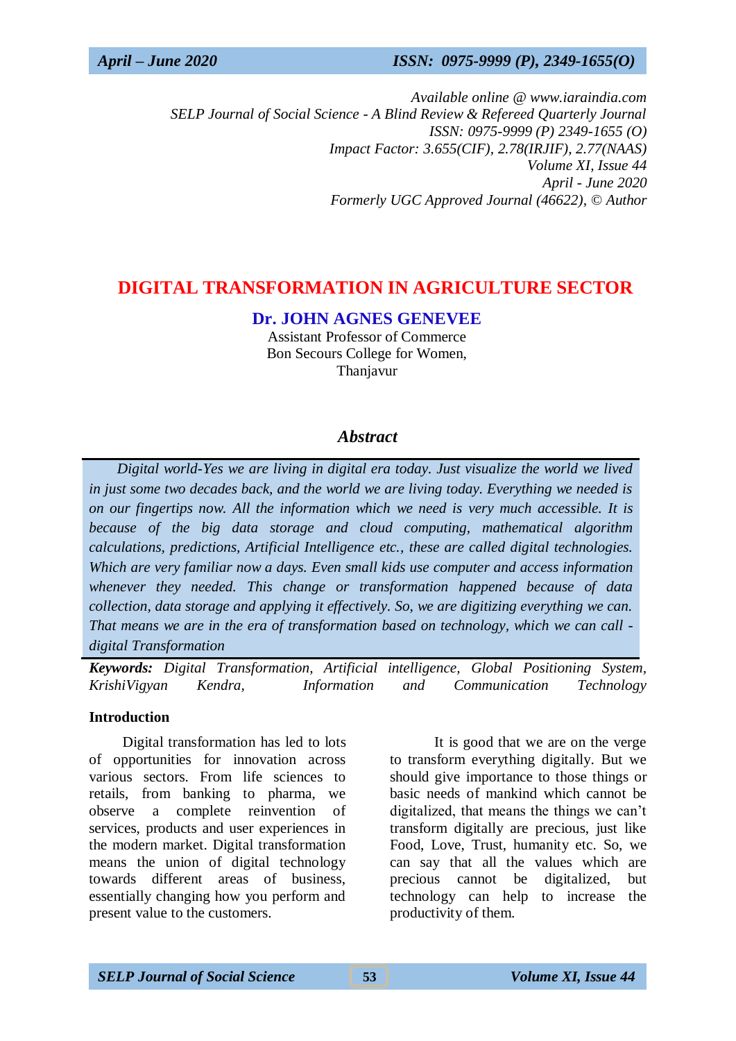*Available online @ www.iaraindia.com SELP Journal of Social Science - A Blind Review & Refereed Quarterly Journal ISSN: 0975-9999 (P) 2349-1655 (O) Impact Factor: 3.655(CIF), 2.78(IRJIF), 2.77(NAAS) Volume XI, Issue 44 April - June 2020 Formerly UGC Approved Journal (46622),* © *Author*

# **DIGITAL TRANSFORMATION IN AGRICULTURE SECTOR**

**Dr. JOHN AGNES GENEVEE**

Assistant Professor of Commerce Bon Secours College for Women, Thanjavur

## *Abstract*

 *Digital world-Yes we are living in digital era today. Just visualize the world we lived in just some two decades back, and the world we are living today. Everything we needed is on our fingertips now. All the information which we need is very much accessible. It is because of the big data storage and cloud computing, mathematical algorithm calculations, predictions, Artificial Intelligence etc., these are called digital technologies. Which are very familiar now a days. Even small kids use computer and access information whenever they needed. This change or transformation happened because of data collection, data storage and applying it effectively. So, we are digitizing everything we can. That means we are in the era of transformation based on technology, which we can call digital Transformation*

*Keywords: Digital Transformation, Artificial intelligence, Global Positioning System, KrishiVigyan Kendra, Information and Communication Technology*

#### **Introduction**

Digital transformation has led to lots of opportunities for innovation across various sectors. From life sciences to retails, from banking to pharma, we observe a complete reinvention of services, products and user experiences in the modern market. Digital transformation means the union of digital technology towards different areas of business, essentially changing how you perform and present value to the customers.

It is good that we are on the verge to transform everything digitally. But we should give importance to those things or basic needs of mankind which cannot be digitalized, that means the things we can't transform digitally are precious, just like Food, Love, Trust, humanity etc. So, we can say that all the values which are precious cannot be digitalized, but technology can help to increase the productivity of them.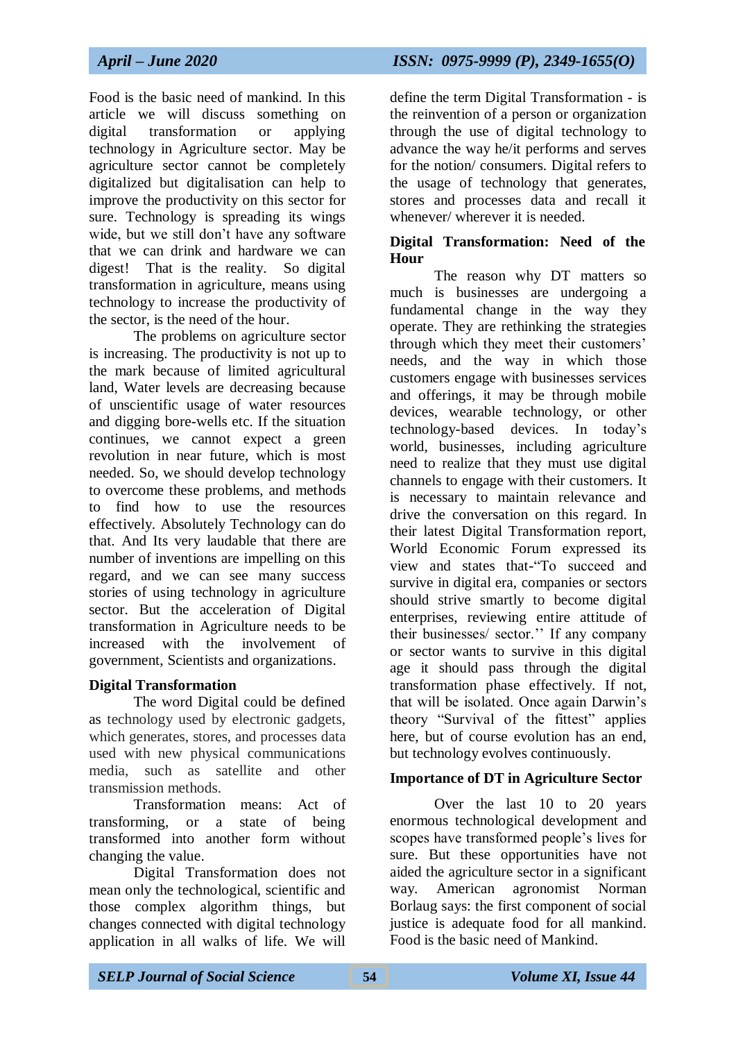Food is the basic need of mankind. In this article we will discuss something on digital transformation or applying technology in Agriculture sector. May be agriculture sector cannot be completely digitalized but digitalisation can help to improve the productivity on this sector for sure. Technology is spreading its wings wide, but we still don't have any software that we can drink and hardware we can digest! That is the reality. So digital transformation in agriculture, means using technology to increase the productivity of the sector, is the need of the hour.

The problems on agriculture sector is increasing. The productivity is not up to the mark because of limited agricultural land, Water levels are decreasing because of unscientific usage of water resources and digging bore-wells etc. If the situation continues, we cannot expect a green revolution in near future, which is most needed. So, we should develop technology to overcome these problems, and methods to find how to use the resources effectively. Absolutely Technology can do that. And Its very laudable that there are number of inventions are impelling on this regard, and we can see many success stories of using technology in agriculture sector. But the acceleration of Digital transformation in Agriculture needs to be increased with the involvement of government, Scientists and organizations.

#### **Digital Transformation**

The word Digital could be defined as technology used by electronic gadgets, which generates, stores, and processes data used with new physical communications media, such as satellite and other transmission methods.

Transformation means: Act of transforming, or a state of being transformed into another form without changing the value.

Digital Transformation does not mean only the technological, scientific and those complex algorithm things, but changes connected with digital technology application in all walks of life. We will

*April – June 2020 ISSN: 0975-9999 (P), 2349-1655(O)*

define the term Digital Transformation - is the reinvention of a person or organization through the use of digital technology to advance the way he/it performs and serves for the notion/ consumers. Digital refers to the usage of technology that generates, stores and processes data and recall it whenever/ wherever it is needed.

#### **Digital Transformation: Need of the Hour**

The reason why DT matters so much is businesses are undergoing a fundamental change in the way they operate. They are rethinking the strategies through which they meet their customers' needs, and the way in which those customers engage with businesses services and offerings, it may be through mobile devices, wearable technology, or other technology-based devices. In today's world, businesses, including agriculture need to realize that they must use digital channels to engage with their customers. It is necessary to maintain relevance and drive the conversation on this regard. In their latest Digital Transformation report, World Economic Forum expressed its view and states that-"To succeed and survive in digital era, companies or sectors should strive smartly to become digital enterprises, reviewing entire attitude of their businesses/ sector.'' If any company or sector wants to survive in this digital age it should pass through the digital transformation phase effectively. If not, that will be isolated. Once again Darwin's theory "Survival of the fittest" applies here, but of course evolution has an end, but technology evolves continuously.

## **Importance of DT in Agriculture Sector**

Over the last 10 to 20 years enormous technological development and scopes have transformed people's lives for sure. But these opportunities have not aided the agriculture sector in a significant way. American agronomist Norman Borlaug says: the first component of social justice is adequate food for all mankind. Food is the basic need of Mankind.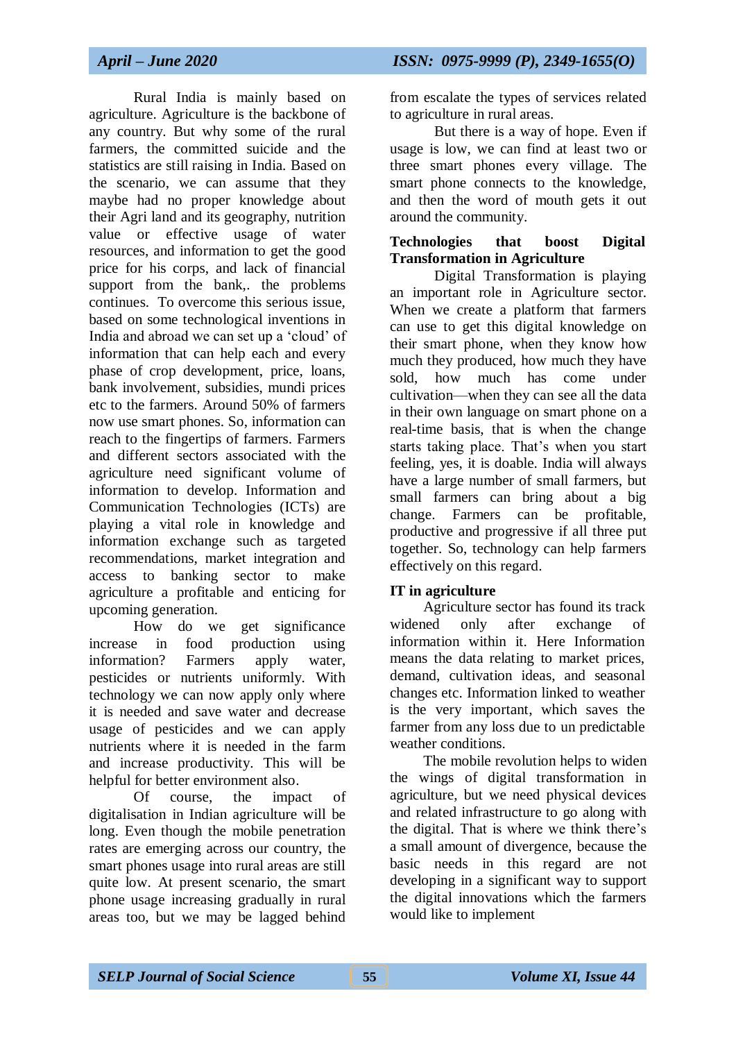Rural India is mainly based on agriculture. Agriculture is the backbone of any country. But why some of the rural farmers, the committed suicide and the statistics are still raising in India. Based on the scenario, we can assume that they maybe had no proper knowledge about their Agri land and its geography, nutrition value or effective usage of water resources, and information to get the good price for his corps, and lack of financial support from the bank, the problems continues. To overcome this serious issue, based on some technological inventions in India and abroad we can set up a 'cloud' of information that can help each and every phase of crop development, price, loans, bank involvement, subsidies, mundi prices etc to the farmers. Around 50% of farmers now use smart phones. So, information can reach to the fingertips of farmers. Farmers and different sectors associated with the agriculture need significant volume of information to develop. Information and Communication Technologies (ICTs) are playing a vital role in knowledge and information exchange such as targeted recommendations, market integration and access to banking sector to make agriculture a profitable and enticing for upcoming generation.

How do we get significance increase in food production using information? Farmers apply water, pesticides or nutrients uniformly. With technology we can now apply only where it is needed and save water and decrease usage of pesticides and we can apply nutrients where it is needed in the farm and increase productivity. This will be helpful for better environment also.

Of course, the impact of digitalisation in Indian agriculture will be long. Even though the mobile penetration rates are emerging across our country, the smart phones usage into rural areas are still quite low. At present scenario, the smart phone usage increasing gradually in rural areas too, but we may be lagged behind from escalate the types of services related to agriculture in rural areas.

But there is a way of hope. Even if usage is low, we can find at least two or three smart phones every village. The smart phone connects to the knowledge, and then the word of mouth gets it out around the community.

## **Technologies that boost Digital Transformation in Agriculture**

Digital Transformation is playing an important role in Agriculture sector. When we create a platform that farmers can use to get this digital knowledge on their smart phone, when they know how much they produced, how much they have sold, how much has come under cultivation—when they can see all the data in their own language on smart phone on a real-time basis, that is when the change starts taking place. That's when you start feeling, yes, it is doable. India will always have a large number of small farmers, but small farmers can bring about a big change. Farmers can be profitable, productive and progressive if all three put together. So, technology can help farmers effectively on this regard.

## **IT in agriculture**

Agriculture sector has found its track widened only after exchange of information within it. Here Information means the data relating to market prices, demand, cultivation ideas, and seasonal changes etc. Information linked to weather is the very important, which saves the farmer from any loss due to un predictable weather conditions.

The mobile revolution helps to widen the wings of digital transformation in agriculture, but we need physical devices and related infrastructure to go along with the digital. That is where we think there's a small amount of divergence, because the basic needs in this regard are not developing in a significant way to support the digital innovations which the farmers would like to implement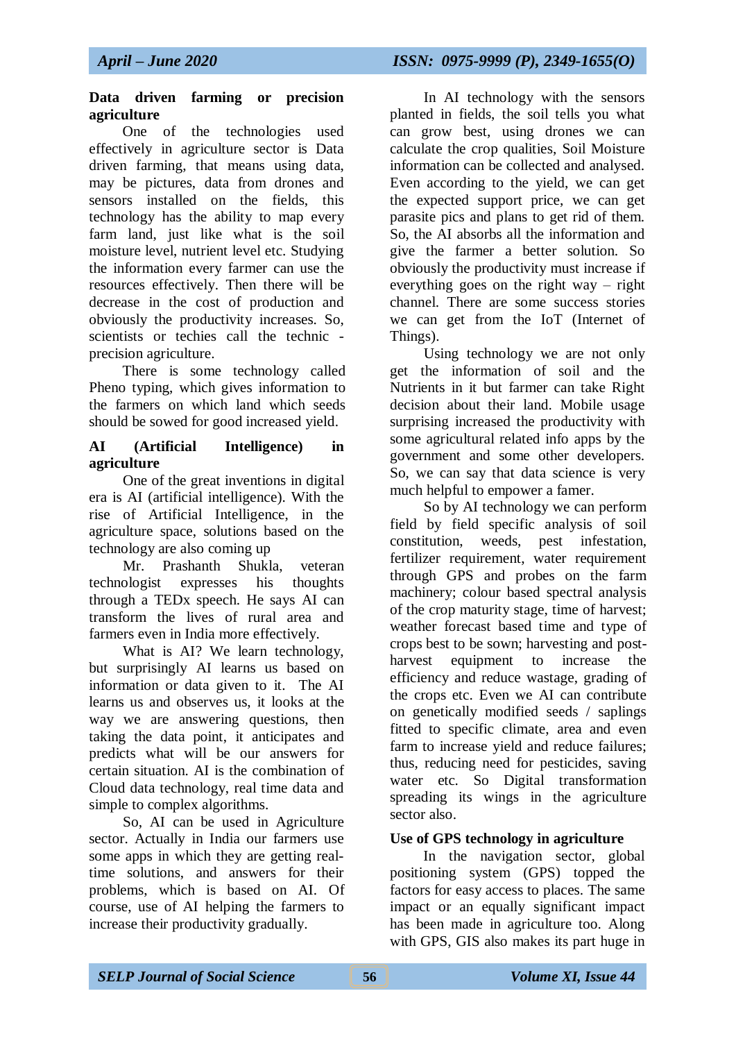#### **Data driven farming or precision agriculture**

One of the technologies used effectively in agriculture sector is Data driven farming, that means using data, may be pictures, data from drones and sensors installed on the fields, this technology has the ability to map every farm land, just like what is the soil moisture level, nutrient level etc. Studying the information every farmer can use the resources effectively. Then there will be decrease in the cost of production and obviously the productivity increases. So, scientists or techies call the technic precision agriculture.

There is some technology called Pheno typing, which gives information to the farmers on which land which seeds should be sowed for good increased yield.

#### **AI (Artificial Intelligence) in agriculture**

One of the great inventions in digital era is AI (artificial intelligence). With the rise of Artificial Intelligence, in the agriculture space, solutions based on the technology are also coming up

Mr. Prashanth Shukla, veteran technologist expresses his thoughts through a TEDx speech. He says AI can transform the lives of rural area and farmers even in India more effectively.

What is AI? We learn technology, but surprisingly AI learns us based on information or data given to it. The AI learns us and observes us, it looks at the way we are answering questions, then taking the data point, it anticipates and predicts what will be our answers for certain situation. AI is the combination of Cloud data technology, real time data and simple to complex algorithms.

So, AI can be used in Agriculture sector. Actually in India our farmers use some apps in which they are getting realtime solutions, and answers for their problems, which is based on AI. Of course, use of AI helping the farmers to increase their productivity gradually.

In AI technology with the sensors planted in fields, the soil tells you what can grow best, using drones we can calculate the crop qualities, Soil Moisture information can be collected and analysed. Even according to the yield, we can get the expected support price, we can get parasite pics and plans to get rid of them. So, the AI absorbs all the information and give the farmer a better solution. So obviously the productivity must increase if everything goes on the right way – right channel. There are some success stories we can get from the IoT (Internet of Things).

Using technology we are not only get the information of soil and the Nutrients in it but farmer can take Right decision about their land. Mobile usage surprising increased the productivity with some agricultural related info apps by the government and some other developers. So, we can say that data science is very much helpful to empower a famer.

So by AI technology we can perform field by field specific analysis of soil constitution, weeds, pest infestation, fertilizer requirement, water requirement through GPS and probes on the farm machinery; colour based spectral analysis of the crop maturity stage, time of harvest; weather forecast based time and type of crops best to be sown; harvesting and postharvest equipment to increase the efficiency and reduce wastage, grading of the crops etc. Even we AI can contribute on genetically modified seeds / saplings fitted to specific climate, area and even farm to increase yield and reduce failures; thus, reducing need for pesticides, saving water etc. So Digital transformation spreading its wings in the agriculture sector also.

## **Use of GPS technology in agriculture**

In the navigation sector, global positioning system (GPS) topped the factors for easy access to places. The same impact or an equally significant impact has been made in agriculture too. Along with GPS, GIS also makes its part huge in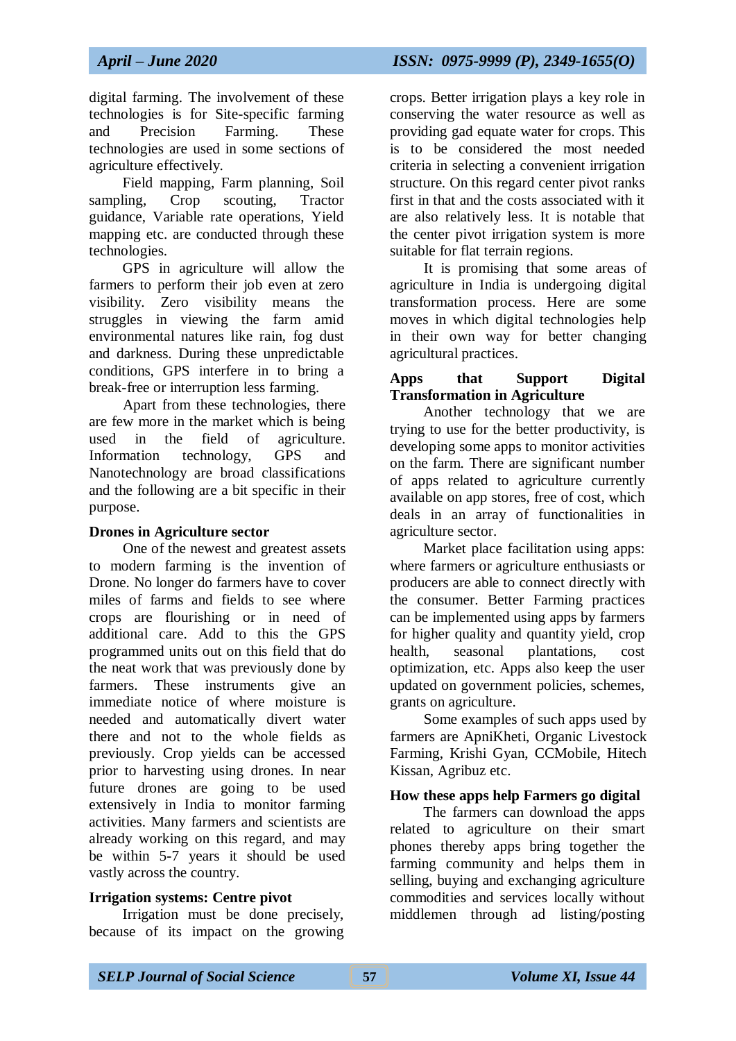digital farming. The involvement of these technologies is for Site-specific farming and Precision Farming. These technologies are used in some sections of agriculture effectively.

Field mapping, Farm planning, Soil sampling, Crop scouting, Tractor guidance, Variable rate operations, Yield mapping etc. are conducted through these technologies.

GPS in agriculture will allow the farmers to perform their job even at zero visibility. Zero visibility means the struggles in viewing the farm amid environmental natures like rain, fog dust and darkness. During these unpredictable conditions, GPS interfere in to bring a break-free or interruption less farming.

Apart from these technologies, there are few more in the market which is being used in the field of agriculture. Information technology, GPS and Nanotechnology are broad classifications and the following are a bit specific in their purpose.

## **Drones in Agriculture sector**

One of the newest and greatest assets to modern farming is the invention of Drone. No longer do farmers have to cover miles of farms and fields to see where crops are flourishing or in need of additional care. Add to this the GPS programmed units out on this field that do the neat work that was previously done by farmers. These instruments give an immediate notice of where moisture is needed and automatically divert water there and not to the whole fields as previously. Crop yields can be accessed prior to harvesting using drones. In near future drones are going to be used extensively in India to monitor farming activities. Many farmers and scientists are already working on this regard, and may be within 5-7 years it should be used vastly across the country.

## **Irrigation systems: Centre pivot**

Irrigation must be done precisely, because of its impact on the growing crops. Better irrigation plays a key role in conserving the water resource as well as providing gad equate water for crops. This is to be considered the most needed criteria in selecting a convenient irrigation structure. On this regard center pivot ranks first in that and the costs associated with it are also relatively less. It is notable that the center pivot irrigation system is more suitable for flat terrain regions.

It is promising that some areas of agriculture in India is undergoing digital transformation process. Here are some moves in which digital technologies help in their own way for better changing agricultural practices.

#### **Apps that Support Digital Transformation in Agriculture**

Another technology that we are trying to use for the better productivity, is developing some apps to monitor activities on the farm. There are significant number of apps related to agriculture currently available on app stores, free of cost, which deals in an array of functionalities in agriculture sector.

Market place facilitation using apps: where farmers or agriculture enthusiasts or producers are able to connect directly with the consumer. Better Farming practices can be implemented using apps by farmers for higher quality and quantity yield, crop health, seasonal plantations, cost optimization, etc. Apps also keep the user updated on government policies, schemes, grants on agriculture.

Some examples of such apps used by farmers are ApniKheti, Organic Livestock Farming, Krishi Gyan, CCMobile, Hitech Kissan, Agribuz etc.

## **How these apps help Farmers go digital**

The farmers can download the apps related to agriculture on their smart phones thereby apps bring together the farming community and helps them in selling, buying and exchanging agriculture commodities and services locally without middlemen through ad listing/posting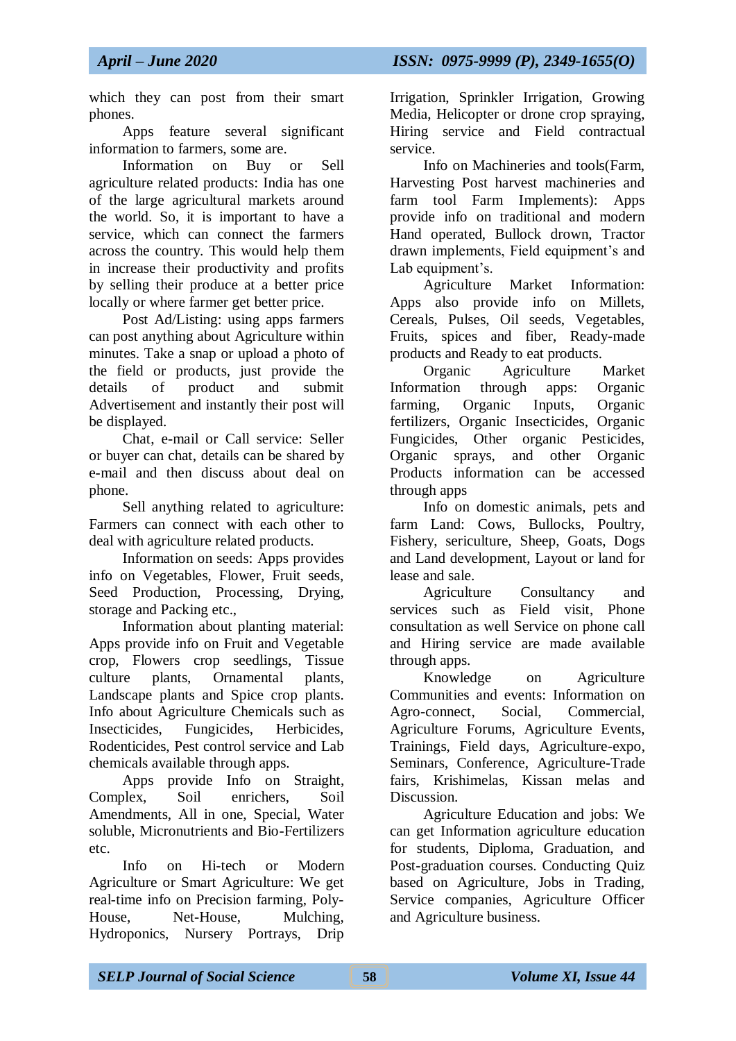which they can post from their smart phones.

Apps feature several significant information to farmers, some are.

Information on Buy or Sell agriculture related products: India has one of the large agricultural markets around the world. So, it is important to have a service, which can connect the farmers across the country. This would help them in increase their productivity and profits by selling their produce at a better price locally or where farmer get better price.

Post Ad/Listing: using apps farmers can post anything about Agriculture within minutes. Take a snap or upload a photo of the field or products, just provide the details of product and submit Advertisement and instantly their post will be displayed.

Chat, e-mail or Call service: Seller or buyer can chat, details can be shared by e-mail and then discuss about deal on phone.

Sell anything related to agriculture: Farmers can connect with each other to deal with agriculture related products.

Information on seeds: Apps provides info on Vegetables, Flower, Fruit seeds, Seed Production, Processing, Drying, storage and Packing etc.,

Information about planting material: Apps provide info on Fruit and Vegetable crop, Flowers crop seedlings, Tissue culture plants, Ornamental plants, Landscape plants and Spice crop plants. Info about Agriculture Chemicals such as Insecticides, Fungicides, Herbicides, Rodenticides, Pest control service and Lab chemicals available through apps.

Apps provide Info on Straight, Complex, Soil enrichers, Soil Amendments, All in one, Special, Water soluble, Micronutrients and Bio-Fertilizers etc.

Info on Hi-tech or Modern Agriculture or Smart Agriculture: We get real-time info on Precision farming, Poly-House, Net-House, Mulching, Hydroponics, Nursery Portrays, Drip

Irrigation, Sprinkler Irrigation, Growing Media, Helicopter or drone crop spraying, Hiring service and Field contractual service.

Info on Machineries and tools(Farm, Harvesting Post harvest machineries and farm tool Farm Implements): Apps provide info on traditional and modern Hand operated, Bullock drown, Tractor drawn implements, Field equipment's and Lab equipment's.

Agriculture Market Information: Apps also provide info on Millets, Cereals, Pulses, Oil seeds, Vegetables, Fruits, spices and fiber, Ready-made products and Ready to eat products.

Organic Agriculture Market Information through apps: Organic farming, Organic Inputs, Organic fertilizers, Organic Insecticides, Organic Fungicides, Other organic Pesticides, Organic sprays, and other Organic Products information can be accessed through apps

Info on domestic animals, pets and farm Land: Cows, Bullocks, Poultry, Fishery, sericulture, Sheep, Goats, Dogs and Land development, Layout or land for lease and sale.

Agriculture Consultancy and services such as Field visit, Phone consultation as well Service on phone call and Hiring service are made available through apps.

Knowledge on Agriculture Communities and events: Information on Agro-connect, Social, Commercial, Agriculture Forums, Agriculture Events, Trainings, Field days, Agriculture-expo, Seminars, Conference, Agriculture-Trade fairs, Krishimelas, Kissan melas and Discussion.

Agriculture Education and jobs: We can get Information agriculture education for students, Diploma, Graduation, and Post-graduation courses. Conducting Quiz based on Agriculture, Jobs in Trading, Service companies, Agriculture Officer and Agriculture business.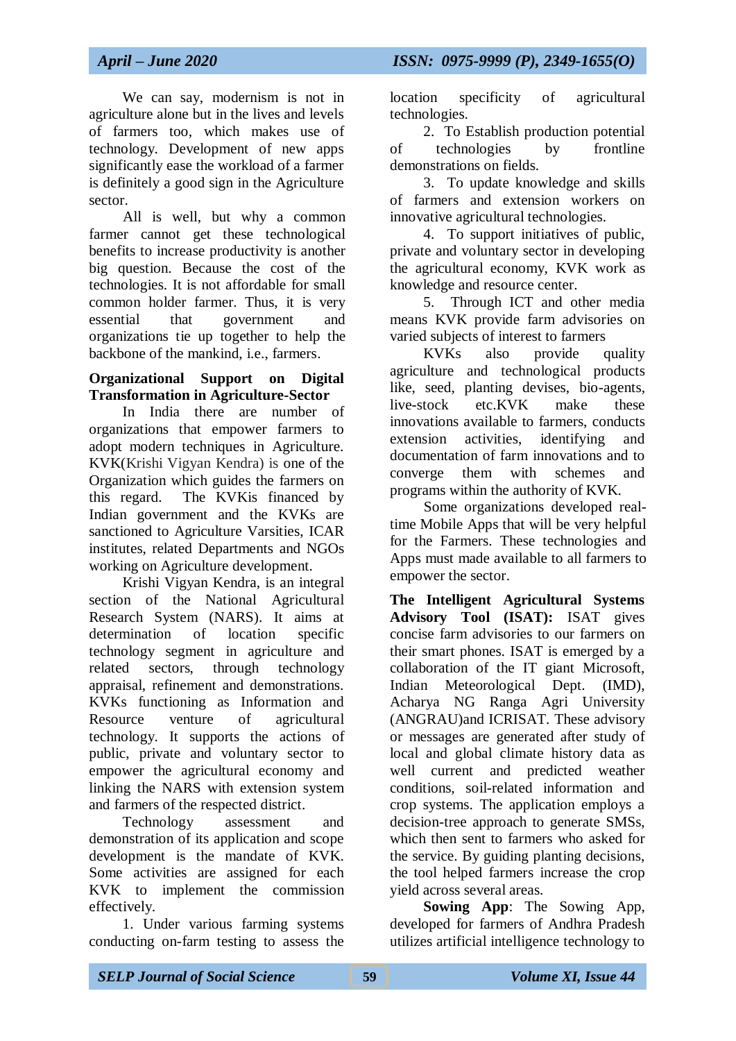We can say, modernism is not in agriculture alone but in the lives and levels of farmers too, which makes use of technology. Development of new apps significantly ease the workload of a farmer is definitely a good sign in the Agriculture sector.

All is well, but why a common farmer cannot get these technological benefits to increase productivity is another big question. Because the cost of the technologies. It is not affordable for small common holder farmer. Thus, it is very essential that government and organizations tie up together to help the backbone of the mankind, i.e., farmers.

## **Organizational Support on Digital Transformation in Agriculture-Sector**

In India there are number of organizations that empower farmers to adopt modern techniques in Agriculture. KVK(Krishi Vigyan Kendra) is one of the Organization which guides the farmers on this regard. The KVKis financed by Indian government and the KVKs are sanctioned to Agriculture Varsities, ICAR institutes, related Departments and NGOs working on Agriculture development.

Krishi Vigyan Kendra, is an integral section of the National Agricultural Research System (NARS). It aims at determination of location specific technology segment in agriculture and related sectors, through technology appraisal, refinement and demonstrations. KVKs functioning as Information and Resource venture of agricultural technology. It supports the actions of public, private and voluntary sector to empower the agricultural economy and linking the NARS with extension system and farmers of the respected district.

Technology assessment and demonstration of its application and scope development is the mandate of KVK. Some activities are assigned for each KVK to implement the commission effectively.

1. Under various farming systems conducting on-farm testing to assess the location specificity of agricultural technologies.

2. To Establish production potential of technologies by frontline demonstrations on fields.

3. To update knowledge and skills of farmers and extension workers on innovative agricultural technologies.

4. To support initiatives of public, private and voluntary sector in developing the agricultural economy, KVK work as knowledge and resource center.

5. Through ICT and other media means KVK provide farm advisories on varied subjects of interest to farmers

KVKs also provide quality agriculture and technological products like, seed, planting devises, bio-agents, live-stock etc.KVK make these innovations available to farmers, conducts extension activities, identifying and documentation of farm innovations and to converge them with schemes and programs within the authority of KVK.

Some organizations developed realtime Mobile Apps that will be very helpful for the Farmers. These technologies and Apps must made available to all farmers to empower the sector.

**The Intelligent Agricultural Systems Advisory Tool (ISAT):** ISAT gives concise farm advisories to our farmers on their smart phones. ISAT is emerged by a collaboration of the IT giant Microsoft, Indian Meteorological Dept. (IMD), Acharya NG Ranga Agri University (ANGRAU)and ICRISAT. These advisory or messages are generated after study of local and global climate history data as well current and predicted weather conditions, soil-related information and crop systems. The application employs a decision-tree approach to generate SMSs, which then sent to farmers who asked for the service. By guiding planting decisions, the tool helped farmers increase the crop yield across several areas.

**Sowing App**: The Sowing App, developed for farmers of Andhra Pradesh utilizes artificial intelligence technology to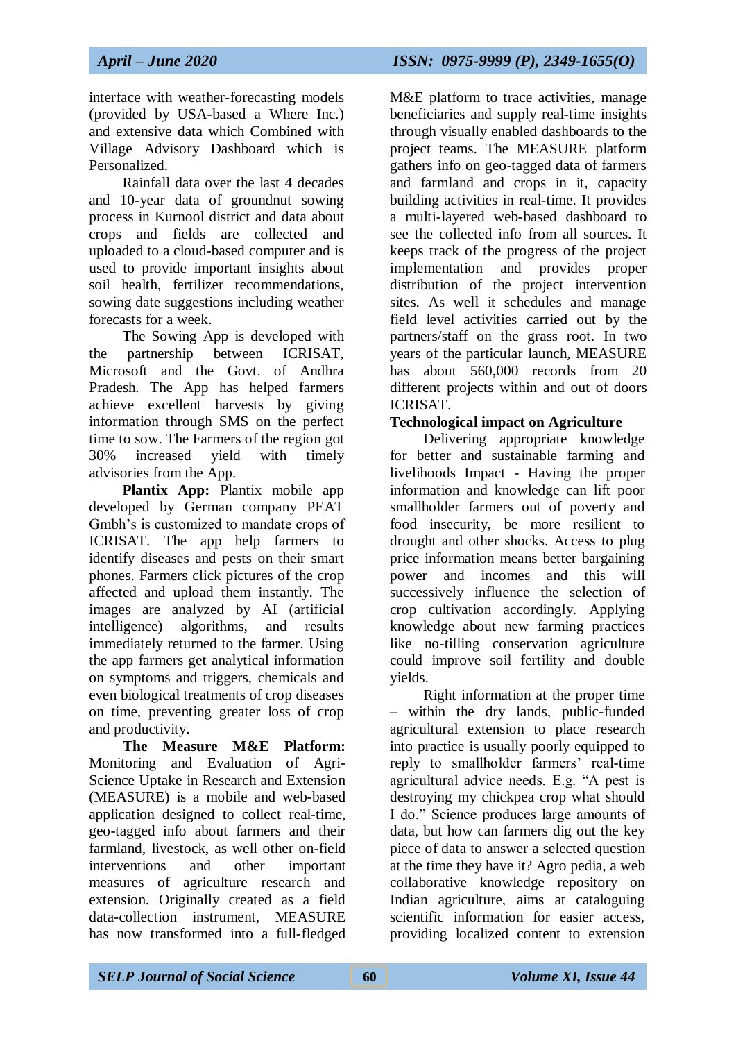interface with weather-forecasting models (provided by USA-based a Where Inc.) and extensive data which Combined with Village Advisory Dashboard which is Personalized.

Rainfall data over the last 4 decades and 10-year data of groundnut sowing process in Kurnool district and data about crops and fields are collected and uploaded to a cloud-based computer and is used to provide important insights about soil health, fertilizer recommendations, sowing date suggestions including weather forecasts for a week.

The Sowing App is developed with the partnership between ICRISAT, Microsoft and the Govt. of Andhra Pradesh. The App has helped farmers achieve excellent harvests by giving information through SMS on the perfect time to sow. The Farmers of the region got 30% increased yield with timely advisories from the App.

**Plantix App:** Plantix mobile app developed by German company PEAT Gmbh's is customized to mandate crops of ICRISAT. The app help farmers to identify diseases and pests on their smart phones. Farmers click pictures of the crop affected and upload them instantly. The images are analyzed by AI (artificial intelligence) algorithms, and results immediately returned to the farmer. Using the app farmers get analytical information on symptoms and triggers, chemicals and even biological treatments of crop diseases on time, preventing greater loss of crop and productivity.

**The Measure M&E Platform:** Monitoring and Evaluation of Agri-Science Uptake in Research and Extension (MEASURE) is a mobile and web-based application designed to collect real-time, geo-tagged info about farmers and their farmland, livestock, as well other on-field interventions and other important measures of agriculture research and extension. Originally created as a field data-collection instrument, MEASURE has now transformed into a full-fledged

M&E platform to trace activities, manage beneficiaries and supply real-time insights through visually enabled dashboards to the project teams. The MEASURE platform gathers info on geo-tagged data of farmers and farmland and crops in it, capacity building activities in real-time. It provides a multi-layered web-based dashboard to see the collected info from all sources. It keeps track of the progress of the project implementation and provides proper distribution of the project intervention sites. As well it schedules and manage field level activities carried out by the partners/staff on the grass root. In two years of the particular launch, MEASURE has about 560,000 records from 20 different projects within and out of doors ICRISAT.

## **Technological impact on Agriculture**

Delivering appropriate knowledge for better and sustainable farming and livelihoods Impact - Having the proper information and knowledge can lift poor smallholder farmers out of poverty and food insecurity, be more resilient to drought and other shocks. Access to plug price information means better bargaining power and incomes and this will successively influence the selection of crop cultivation accordingly. Applying knowledge about new farming practices like no-tilling conservation agriculture could improve soil fertility and double yields.

Right information at the proper time – within the dry lands, public-funded agricultural extension to place research into practice is usually poorly equipped to reply to smallholder farmers' real-time agricultural advice needs. E.g. "A pest is destroying my chickpea crop what should I do." Science produces large amounts of data, but how can farmers dig out the key piece of data to answer a selected question at the time they have it? Agro pedia, a web collaborative knowledge repository on Indian agriculture, aims at cataloguing scientific information for easier access providing localized content to extension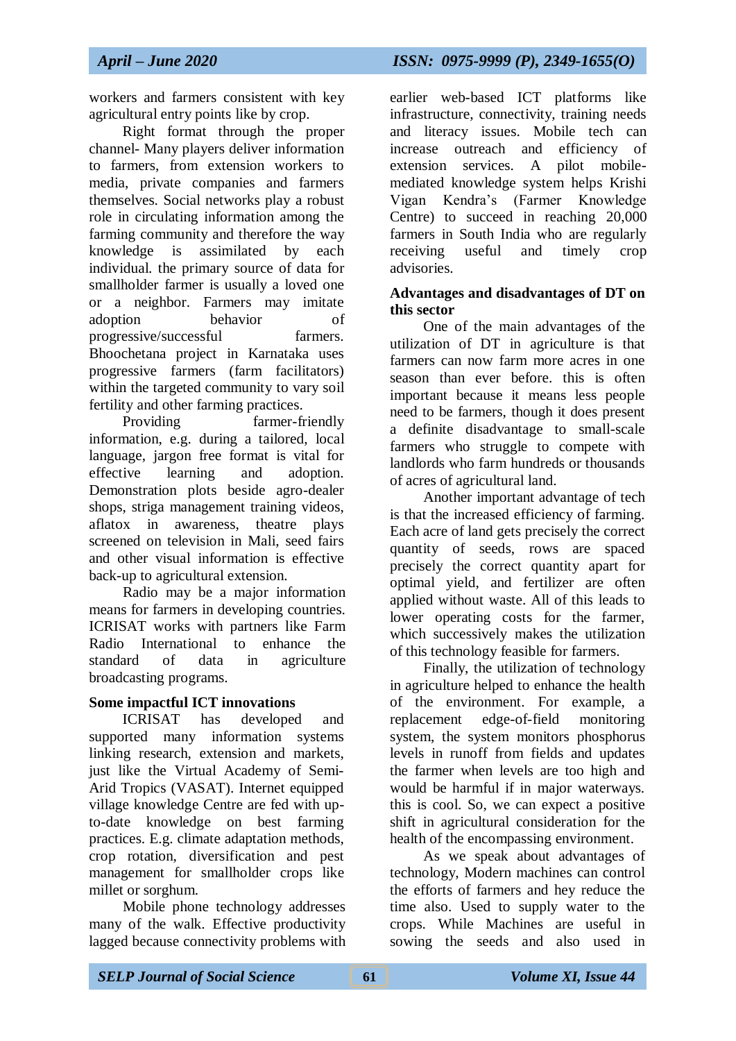workers and farmers consistent with key agricultural entry points like by crop.

Right format through the proper channel- Many players deliver information to farmers, from extension workers to media, private companies and farmers themselves. Social networks play a robust role in circulating information among the farming community and therefore the way knowledge is assimilated by each individual. the primary source of data for smallholder farmer is usually a loved one or a neighbor. Farmers may imitate adoption behavior of progressive/successful farmers. Bhoochetana project in Karnataka uses progressive farmers (farm facilitators) within the targeted community to vary soil fertility and other farming practices.

Providing farmer-friendly information, e.g. during a tailored, local language, jargon free format is vital for effective learning and adoption. Demonstration plots beside agro-dealer shops, striga management training videos, aflatox in awareness, theatre plays screened on television in Mali, seed fairs and other visual information is effective back-up to agricultural extension.

Radio may be a major information means for farmers in developing countries. ICRISAT works with partners like Farm Radio International to enhance the standard of data in agriculture broadcasting programs.

## **Some impactful ICT innovations**

ICRISAT has developed and supported many information systems linking research, extension and markets, just like the Virtual Academy of Semi-Arid Tropics (VASAT). Internet equipped village knowledge Centre are fed with upto-date knowledge on best farming practices. E.g. climate adaptation methods, crop rotation, diversification and pest management for smallholder crops like millet or sorghum.

Mobile phone technology addresses many of the walk. Effective productivity lagged because connectivity problems with earlier web-based ICT platforms like infrastructure, connectivity, training needs and literacy issues. Mobile tech can increase outreach and efficiency of extension services. A pilot mobilemediated knowledge system helps Krishi Vigan Kendra's (Farmer Knowledge Centre) to succeed in reaching 20,000 farmers in South India who are regularly receiving useful and timely crop advisories.

#### **Advantages and disadvantages of DT on this sector**

One of the main advantages of the utilization of DT in agriculture is that farmers can now farm more acres in one season than ever before. this is often important because it means less people need to be farmers, though it does present a definite disadvantage to small-scale farmers who struggle to compete with landlords who farm hundreds or thousands of acres of agricultural land.

Another important advantage of tech is that the increased efficiency of farming. Each acre of land gets precisely the correct quantity of seeds, rows are spaced precisely the correct quantity apart for optimal yield, and fertilizer are often applied without waste. All of this leads to lower operating costs for the farmer, which successively makes the utilization of this technology feasible for farmers.

Finally, the utilization of technology in agriculture helped to enhance the health of the environment. For example, a replacement edge-of-field monitoring system, the system monitors phosphorus levels in runoff from fields and updates the farmer when levels are too high and would be harmful if in major waterways. this is cool. So, we can expect a positive shift in agricultural consideration for the health of the encompassing environment.

As we speak about advantages of technology, Modern machines can control the efforts of farmers and hey reduce the time also. Used to supply water to the crops. While Machines are useful in sowing the seeds and also used in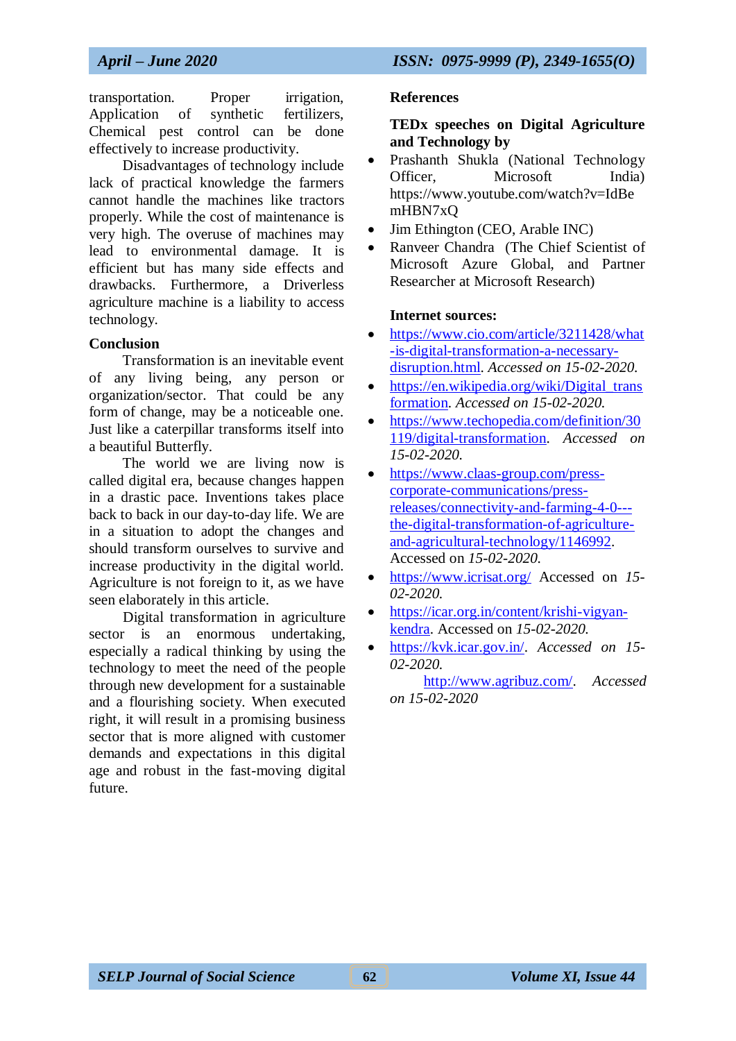transportation. Proper irrigation, Application of synthetic fertilizers, Chemical pest control can be done effectively to increase productivity.

Disadvantages of technology include lack of practical knowledge the farmers cannot handle the machines like tractors properly. While the cost of maintenance is very high. The overuse of machines may lead to environmental damage. It is efficient but has many side effects and drawbacks. Furthermore, a Driverless agriculture machine is a liability to access technology.

#### **Conclusion**

Transformation is an inevitable event of any living being, any person or organization/sector. That could be any form of change, may be a noticeable one. Just like a caterpillar transforms itself into a beautiful Butterfly.

The world we are living now is called digital era, because changes happen in a drastic pace. Inventions takes place back to back in our day-to-day life. We are in a situation to adopt the changes and should transform ourselves to survive and increase productivity in the digital world. Agriculture is not foreign to it, as we have seen elaborately in this article.

Digital transformation in agriculture sector is an enormous undertaking, especially a radical thinking by using the technology to meet the need of the people through new development for a sustainable and a flourishing society. When executed right, it will result in a promising business sector that is more aligned with customer demands and expectations in this digital age and robust in the fast-moving digital future.

#### **References**

#### **TEDx speeches on Digital Agriculture and Technology by**

- Prashanth Shukla (National Technology Officer, Microsoft India) https://www.youtube.com/watch?v=IdBe mHBN7xQ
- Jim Ethington (CEO, Arable INC)
- Ranveer Chandra (The Chief Scientist of Microsoft Azure Global, and Partner Researcher at Microsoft Research)

#### **Internet sources:**

- [https://www.cio.com/article/3211428/what](https://www.cio.com/article/3211428/what-is-digital-transformation-a-necessary-disruption.html) [-is-digital-transformation-a-necessary](https://www.cio.com/article/3211428/what-is-digital-transformation-a-necessary-disruption.html)[disruption.html.](https://www.cio.com/article/3211428/what-is-digital-transformation-a-necessary-disruption.html) *Accessed on 15-02-2020.*
- $\bullet$  https://en.wikipedia.org/wiki/Digital trans [formation.](https://en.wikipedia.org/wiki/Digital_transformation) *Accessed on 15-02-2020.*
- [https://www.techopedia.com/definition/30](https://www.techopedia.com/definition/30119/digital-transformation) [119/digital-transformation.](https://www.techopedia.com/definition/30119/digital-transformation) *Accessed on 15-02-2020.*
- [https://www.claas-group.com/press](https://www.claas-group.com/press-corporate-communications/press-releases/connectivity-and-farming-4-0---the-digital-transformation-of-agriculture-and-agricultural-technology/1146992)[corporate-communications/press](https://www.claas-group.com/press-corporate-communications/press-releases/connectivity-and-farming-4-0---the-digital-transformation-of-agriculture-and-agricultural-technology/1146992)[releases/connectivity-and-farming-4-0--](https://www.claas-group.com/press-corporate-communications/press-releases/connectivity-and-farming-4-0---the-digital-transformation-of-agriculture-and-agricultural-technology/1146992) [the-digital-transformation-of-agriculture](https://www.claas-group.com/press-corporate-communications/press-releases/connectivity-and-farming-4-0---the-digital-transformation-of-agriculture-and-agricultural-technology/1146992)[and-agricultural-technology/1146992.](https://www.claas-group.com/press-corporate-communications/press-releases/connectivity-and-farming-4-0---the-digital-transformation-of-agriculture-and-agricultural-technology/1146992) Accessed on *15-02-2020.*
- <https://www.icrisat.org/> Accessed on *15- 02-2020.*
- [https://icar.org.in/content/krishi-vigyan](https://icar.org.in/content/krishi-vigyan-kendra)[kendra.](https://icar.org.in/content/krishi-vigyan-kendra) Accessed on *15-02-2020.*
- [https://kvk.icar.gov.in/.](https://kvk.icar.gov.in/) *Accessed on 15- 02-2020.*

[http://www.agribuz.com/.](http://www.agribuz.com/) *Accessed on 15-02-2020*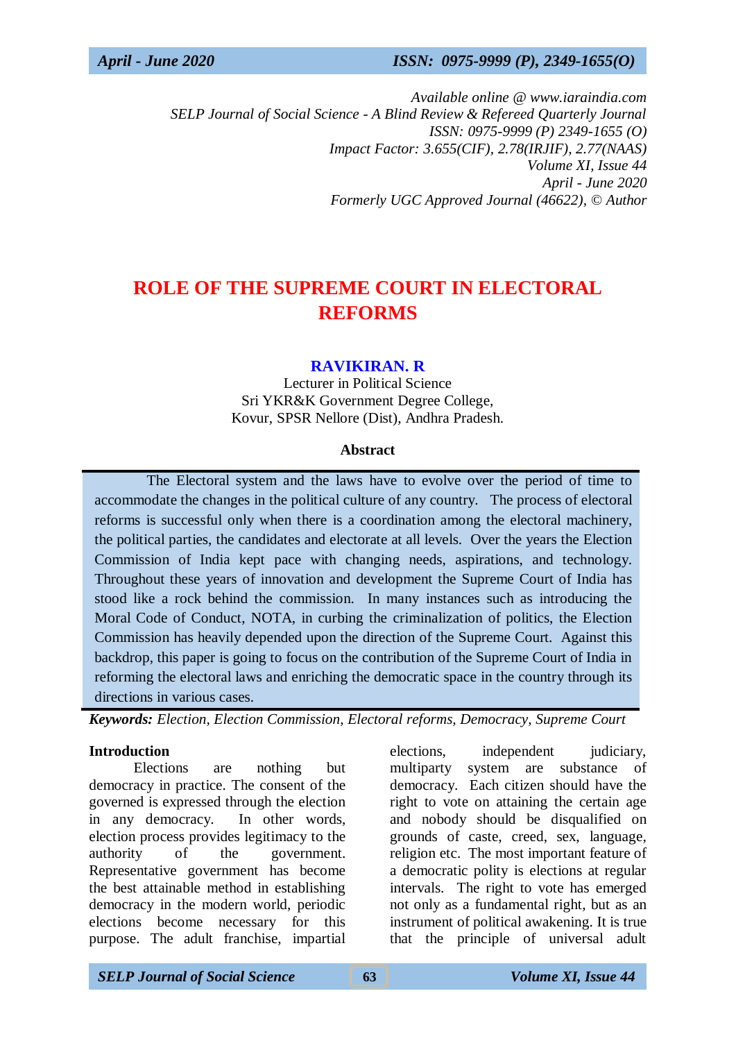*Available online @ www.iaraindia.com SELP Journal of Social Science - A Blind Review & Refereed Quarterly Journal ISSN: 0975-9999 (P) 2349-1655 (O) Impact Factor: 3.655(CIF), 2.78(IRJIF), 2.77(NAAS) Volume XI, Issue 44 April - June 2020 Formerly UGC Approved Journal (46622),* © *Author*

# **ROLE OF THE SUPREME COURT IN ELECTORAL REFORMS**

#### **RAVIKIRAN. R**

Lecturer in Political Science Sri YKR&K Government Degree College, Kovur, SPSR Nellore (Dist), Andhra Pradesh.

#### **Abstract**

 The Electoral system and the laws have to evolve over the period of time to accommodate the changes in the political culture of any country. The process of electoral reforms is successful only when there is a coordination among the electoral machinery, the political parties, the candidates and electorate at all levels. Over the years the Election Commission of India kept pace with changing needs, aspirations, and technology. Throughout these years of innovation and development the Supreme Court of India has stood like a rock behind the commission. In many instances such as introducing the Moral Code of Conduct, NOTA, in curbing the criminalization of politics, the Election Commission has heavily depended upon the direction of the Supreme Court. Against this backdrop, this paper is going to focus on the contribution of the Supreme Court of India in reforming the electoral laws and enriching the democratic space in the country through its directions in various cases.

*Keywords: Election, Election Commission, Electoral reforms, Democracy, Supreme Court*

#### **Introduction**

Elections are nothing but democracy in practice. The consent of the governed is expressed through the election in any democracy. In other words, election process provides legitimacy to the authority of the government. Representative government has become the best attainable method in establishing democracy in the modern world, periodic elections become necessary for this purpose. The adult franchise, impartial elections, independent judiciary, multiparty system are substance of democracy. Each citizen should have the right to vote on attaining the certain age and nobody should be disqualified on grounds of caste, creed, sex, language, religion etc. The most important feature of a democratic polity is elections at regular intervals. The right to vote has emerged not only as a fundamental right, but as an instrument of political awakening. It is true that the principle of universal adult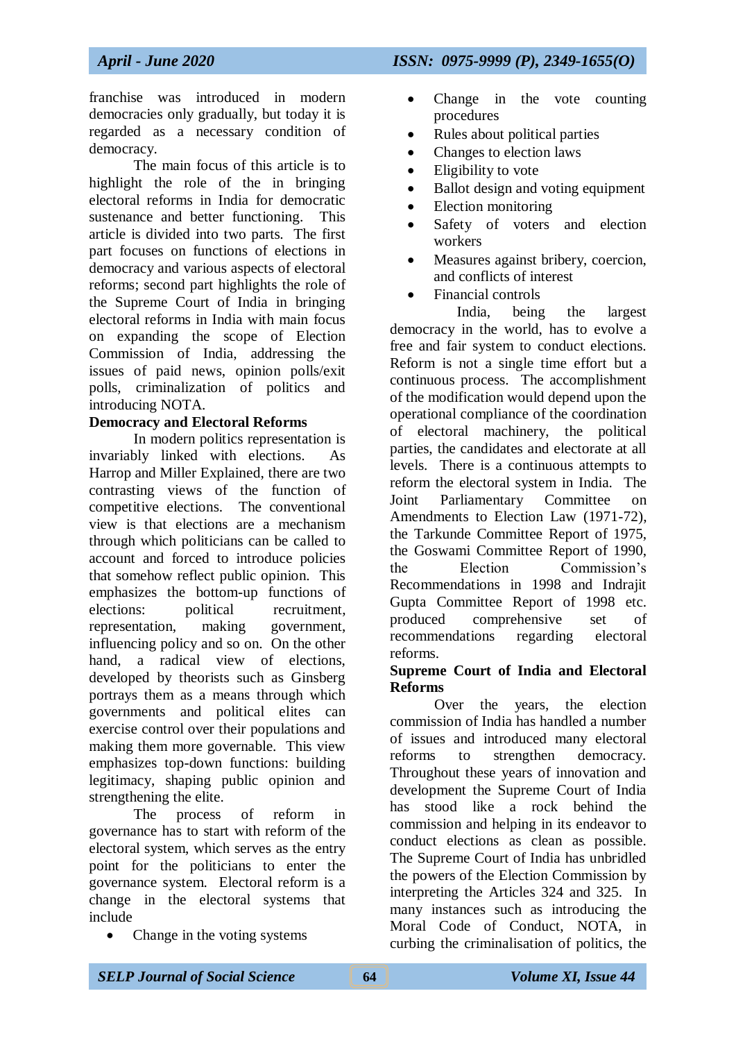franchise was introduced in modern democracies only gradually, but today it is regarded as a necessary condition of democracy.

The main focus of this article is to highlight the role of the in bringing electoral reforms in India for democratic sustenance and better functioning. This article is divided into two parts. The first part focuses on functions of elections in democracy and various aspects of electoral reforms; second part highlights the role of the Supreme Court of India in bringing electoral reforms in India with main focus on expanding the scope of Election Commission of India, addressing the issues of paid news, opinion polls/exit polls, criminalization of politics and introducing NOTA.

## **Democracy and Electoral Reforms**

In modern politics representation is invariably linked with elections. As Harrop and Miller Explained, there are two contrasting views of the function of competitive elections. The conventional view is that elections are a mechanism through which politicians can be called to account and forced to introduce policies that somehow reflect public opinion. This emphasizes the bottom-up functions of elections: political recruitment, representation, making government, influencing policy and so on. On the other hand, a radical view of elections, developed by theorists such as Ginsberg portrays them as a means through which governments and political elites can exercise control over their populations and making them more governable. This view emphasizes top-down functions: building legitimacy, shaping public opinion and strengthening the elite.

The process of reform in governance has to start with reform of the electoral system, which serves as the entry point for the politicians to enter the governance system. Electoral reform is a change in the electoral systems that include

• Change in the voting systems

- Change in the vote counting procedures
- Rules about political parties
- Changes to election laws
- Eligibility to vote
- Ballot design and voting equipment
- Election monitoring
- Safety of voters and election workers
- Measures against bribery, coercion, and conflicts of interest
- Financial controls

 India, being the largest democracy in the world, has to evolve a free and fair system to conduct elections. Reform is not a single time effort but a continuous process. The accomplishment of the modification would depend upon the operational compliance of the coordination of electoral machinery, the political parties, the candidates and electorate at all levels. There is a continuous attempts to reform the electoral system in India. The Joint Parliamentary Committee Amendments to Election Law (1971-72), the Tarkunde Committee Report of 1975, the Goswami Committee Report of 1990, the Election Commission's Recommendations in 1998 and Indrajit Gupta Committee Report of 1998 etc. produced comprehensive set of recommendations regarding electoral reforms.

#### **Supreme Court of India and Electoral Reforms**

Over the years, the election commission of India has handled a number of issues and introduced many electoral reforms to strengthen democracy. Throughout these years of innovation and development the Supreme Court of India has stood like a rock behind the commission and helping in its endeavor to conduct elections as clean as possible. The Supreme Court of India has unbridled the powers of the Election Commission by interpreting the Articles 324 and 325. In many instances such as introducing the Moral Code of Conduct, NOTA, in curbing the criminalisation of politics, the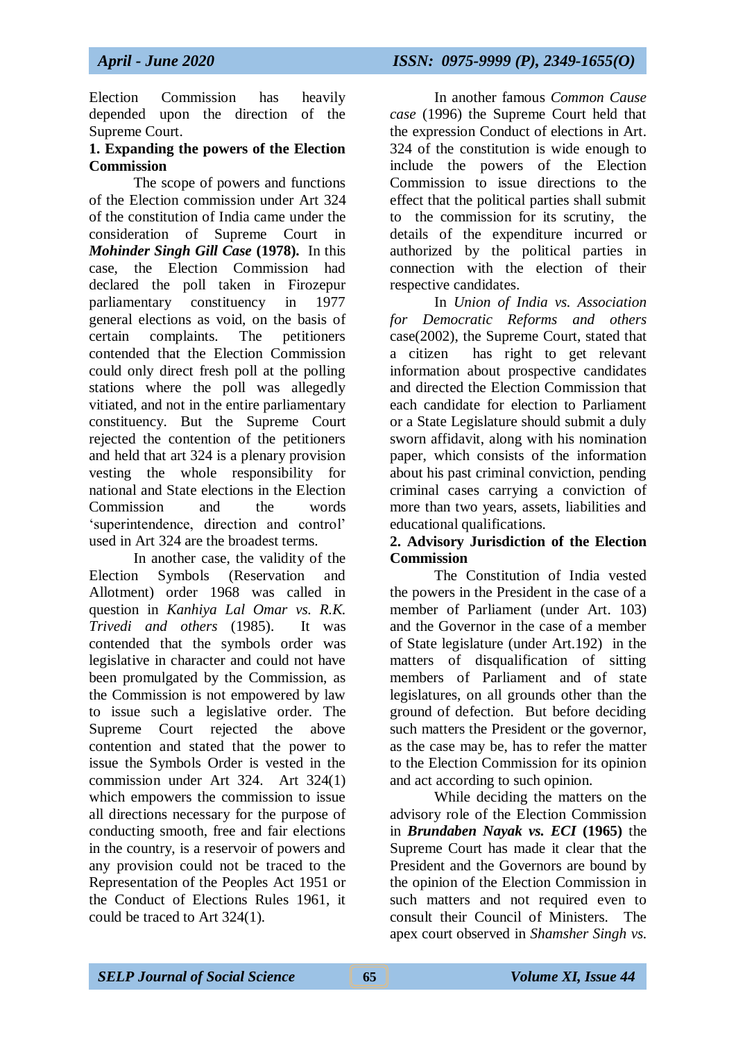Election Commission has heavily depended upon the direction of the Supreme Court.

#### **1. Expanding the powers of the Election Commission**

The scope of powers and functions of the Election commission under Art 324 of the constitution of India came under the consideration of Supreme Court in *Mohinder Singh Gill Case* **(1978).** In this case, the Election Commission had declared the poll taken in Firozepur parliamentary constituency in 1977 general elections as void, on the basis of certain complaints. The petitioners contended that the Election Commission could only direct fresh poll at the polling stations where the poll was allegedly vitiated, and not in the entire parliamentary constituency. But the Supreme Court rejected the contention of the petitioners and held that art 324 is a plenary provision vesting the whole responsibility for national and State elections in the Election Commission and the words 'superintendence, direction and control' used in Art 324 are the broadest terms.

In another case, the validity of the Election Symbols (Reservation and Allotment) order 1968 was called in question in *Kanhiya Lal Omar vs. R.K. Trivedi and others* (1985). It was contended that the symbols order was legislative in character and could not have been promulgated by the Commission, as the Commission is not empowered by law to issue such a legislative order. The Supreme Court rejected the above contention and stated that the power to issue the Symbols Order is vested in the commission under Art 324. Art 324(1) which empowers the commission to issue all directions necessary for the purpose of conducting smooth, free and fair elections in the country, is a reservoir of powers and any provision could not be traced to the Representation of the Peoples Act 1951 or the Conduct of Elections Rules 1961, it could be traced to Art 324(1).

In another famous *Common Cause case* (1996) the Supreme Court held that the expression Conduct of elections in Art. 324 of the constitution is wide enough to include the powers of the Election Commission to issue directions to the effect that the political parties shall submit to the commission for its scrutiny, the details of the expenditure incurred or authorized by the political parties in connection with the election of their respective candidates.

In *Union of India vs. Association for Democratic Reforms and others* case(2002), the Supreme Court, stated that a citizen has right to get relevant information about prospective candidates and directed the Election Commission that each candidate for election to Parliament or a State Legislature should submit a duly sworn affidavit, along with his nomination paper, which consists of the information about his past criminal conviction, pending criminal cases carrying a conviction of more than two years, assets, liabilities and educational qualifications.

#### **2. Advisory Jurisdiction of the Election Commission**

The Constitution of India vested the powers in the President in the case of a member of Parliament (under Art. 103) and the Governor in the case of a member of State legislature (under Art.192) in the matters of disqualification of sitting members of Parliament and of state legislatures, on all grounds other than the ground of defection. But before deciding such matters the President or the governor, as the case may be, has to refer the matter to the Election Commission for its opinion and act according to such opinion.

While deciding the matters on the advisory role of the Election Commission in *Brundaben Nayak vs. ECI* **(1965)** the Supreme Court has made it clear that the President and the Governors are bound by the opinion of the Election Commission in such matters and not required even to consult their Council of Ministers. The apex court observed in *Shamsher Singh vs.*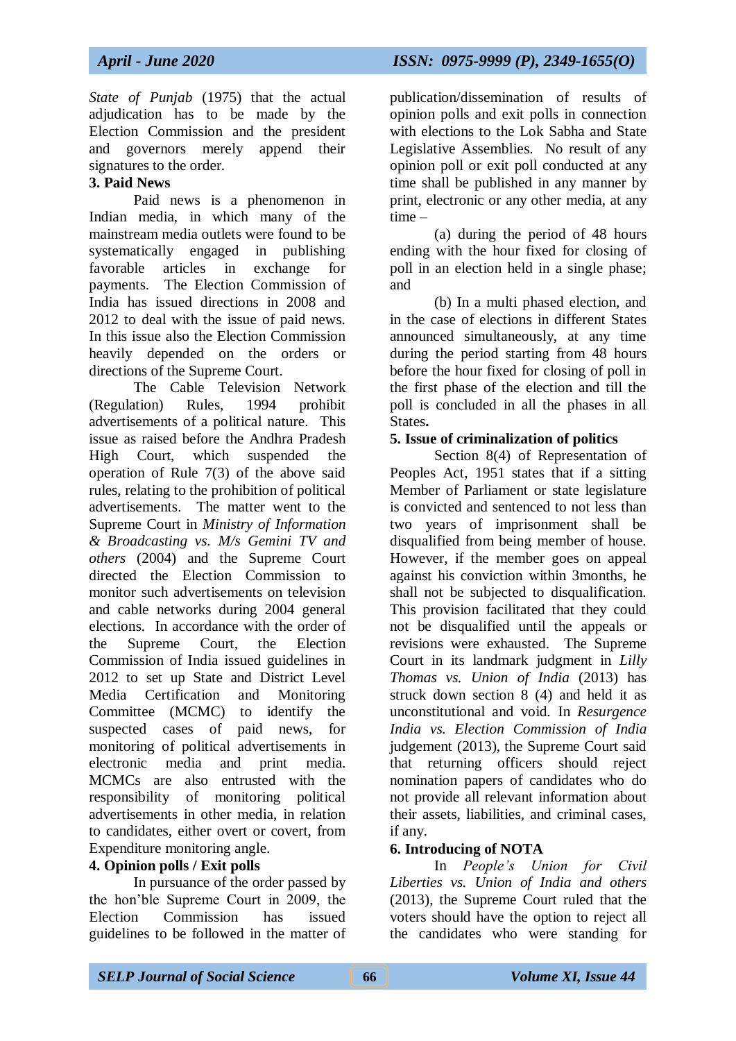*State of Punjab* (1975) that the actual adjudication has to be made by the Election Commission and the president and governors merely append their signatures to the order.

## **3. Paid News**

Paid news is a phenomenon in Indian media, in which many of the mainstream media outlets were found to be systematically engaged in publishing favorable articles in exchange for payments. The Election Commission of India has issued directions in 2008 and 2012 to deal with the issue of paid news. In this issue also the Election Commission heavily depended on the orders or directions of the Supreme Court.

The Cable Television Network (Regulation) Rules, 1994 prohibit advertisements of a political nature. This issue as raised before the Andhra Pradesh High Court, which suspended the operation of Rule 7(3) of the above said rules, relating to the prohibition of political advertisements. The matter went to the Supreme Court in *Ministry of Information & Broadcasting vs. M/s Gemini TV and others* (2004) and the Supreme Court directed the Election Commission to monitor such advertisements on television and cable networks during 2004 general elections. In accordance with the order of the Supreme Court, the Election Commission of India issued guidelines in 2012 to set up State and District Level Media Certification and Monitoring Committee (MCMC) to identify the suspected cases of paid news, for monitoring of political advertisements in electronic media and print media. MCMCs are also entrusted with the responsibility of monitoring political advertisements in other media, in relation to candidates, either overt or covert, from Expenditure monitoring angle.

## **4. Opinion polls / Exit polls**

In pursuance of the order passed by the hon'ble Supreme Court in 2009, the Election Commission has issued guidelines to be followed in the matter of

publication/dissemination of results of opinion polls and exit polls in connection with elections to the Lok Sabha and State Legislative Assemblies. No result of any opinion poll or exit poll conducted at any time shall be published in any manner by print, electronic or any other media, at any time –

(a) during the period of 48 hours ending with the hour fixed for closing of poll in an election held in a single phase; and

(b) In a multi phased election, and in the case of elections in different States announced simultaneously, at any time during the period starting from 48 hours before the hour fixed for closing of poll in the first phase of the election and till the poll is concluded in all the phases in all States**.**

## **5. Issue of criminalization of politics**

Section 8(4) of Representation of Peoples Act, 1951 states that if a sitting Member of Parliament or state legislature is convicted and sentenced to not less than two years of imprisonment shall be disqualified from being member of house. However, if the member goes on appeal against his conviction within 3months, he shall not be subjected to disqualification. This provision facilitated that they could not be disqualified until the appeals or revisions were exhausted. The Supreme Court in its landmark judgment in *Lilly Thomas vs. Union of India* (2013) has struck down section 8 (4) and held it as unconstitutional and void. In *Resurgence India vs. Election Commission of India* judgement (2013), the Supreme Court said that returning officers should reject nomination papers of candidates who do not provide all relevant information about their assets, liabilities, and criminal cases, if any.

## **6. Introducing of NOTA**

In *People's Union for Civil Liberties vs. Union of India and others* (2013), the Supreme Court ruled that the voters should have the option to reject all the candidates who were standing for